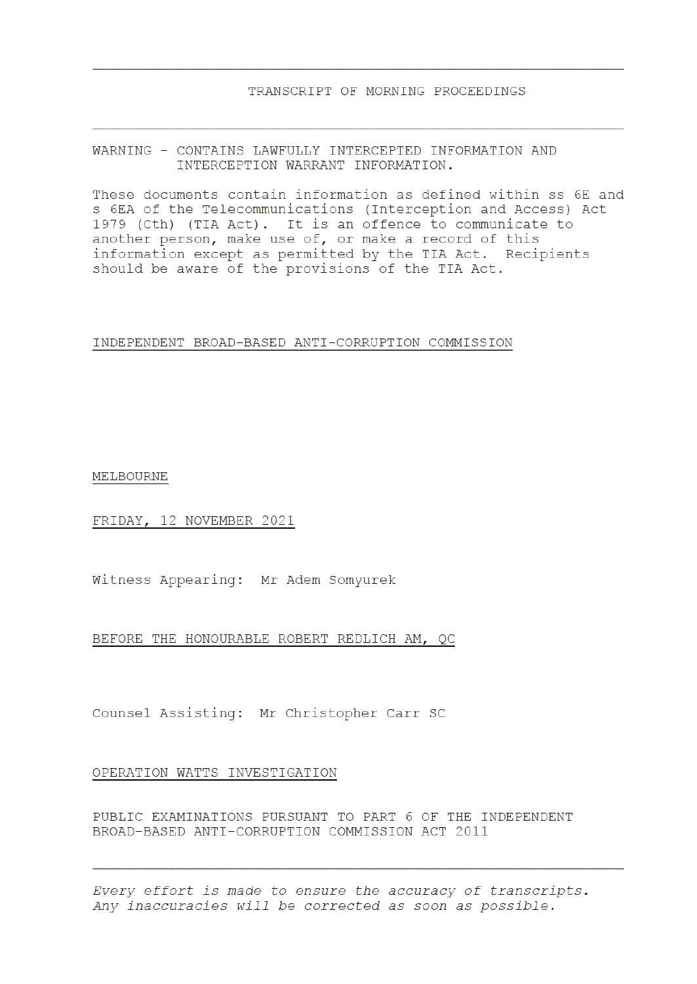WARNING - CONTAINS LAWFULLY INTERCEPTED INFORMATION AND INTERCEPTION WARRANT INFORMATION.

These documents contain information as defined within ss 6E and s 6EA of the Telecommunications (Interception and Access) Act 1979 (Cth) (TIA Act). It is an offence to communicate to another person, make use of, or make a record of this information except as permitted by the TIA Act. Recipients should be aware of the provisions of the TIA Act.

## INDEPENDENT BROAD-BASED ANTI-CORRUPTION COMMISSION

MELBOURNE

FRIDAY, 12 NOVEMBER 2021

Witness Appearing: Mr Adem Somyurek

BEFORE THE HONOURABLE ROBERT REDLICH AM, QC

Counsel Assisting: Mr Christopher Carr SC

## OPERATION WATTS INVESTIGATION

PUBLIC EXAMINATIONS PURSUANT TO PART 6 OF THE INDEPENDENT BROAD-BASED ANTI-CORRUPTION COMMISSION ACT 2011

Every effort is made to ensure the accuracy of transcripts. Any inaccuracies will be corrected as soon as possible.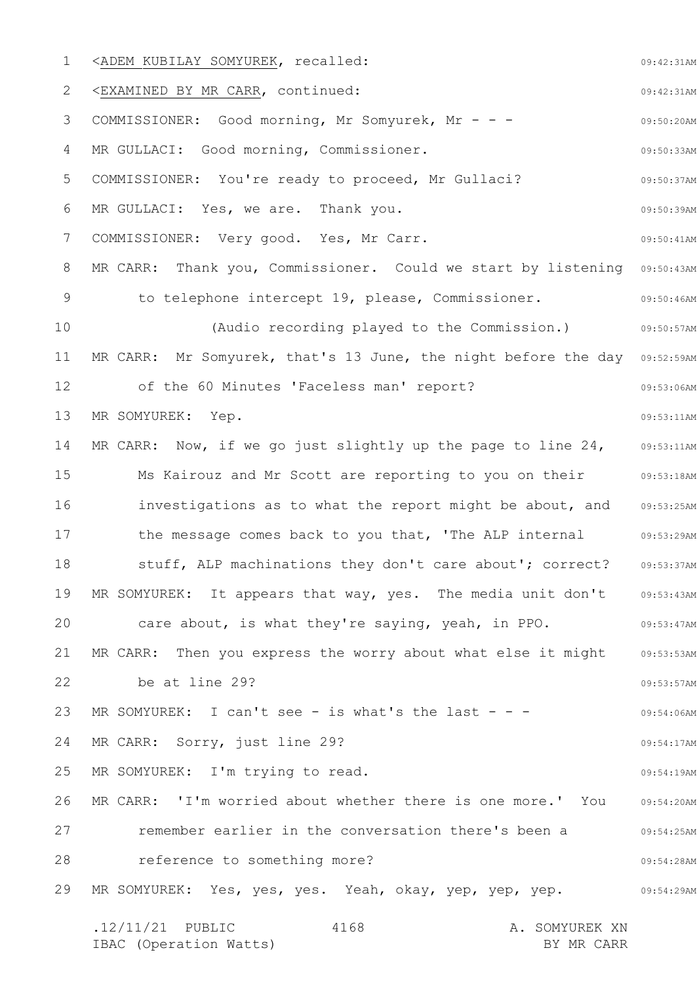1 2 3 4 5 6 7 8 9 10 11 12 13 14 15 16 17 18 19 20 21 22 23 24 25 26 27 28 29 09:42:31AM 09:42:31AM 09:50:20AM 09:50:33AM 09:50:37AM 09:50:39AM 09:50:41AM MR CARR: Thank you, Commissioner. Could we start by listening 09:50:43AM 09:50:46AM 09:50:57AM MR CARR: Mr Somyurek, that's 13 June, the night before the day 09:52:59AM 09:53:06AM 09:53:11AM 09:53:11AM Ms Kairouz and Mr Scott are reporting to you on their  $\qquad \qquad \, \, 09:53:18$ AM investigations as to what the report might be about, and 09:53:25AM 09:53:29AM 09:53:37AM MR SOMYUREK: It appears that way, yes. The media unit don't 09:53:43AM 09:53:47AM 09:53:53AM 09:53:57AM 09:54:06AM 09:54:17AM 09:54:19AM 09:54:20AM 09:54:25AM 09:54:28AM 09:54:29AM .12/11/21 PUBLIC 4168 A. SOMYUREK XN 4168 <ADEM KUBILAY SOMYUREK, recalled: <EXAMINED BY MR CARR, continued: COMMISSIONER: Good morning, Mr Somyurek, Mr - - - MR GULLACI: Good morning, Commissioner. COMMISSIONER: You're ready to proceed, Mr Gullaci? MR GULLACI: Yes, we are. Thank you. COMMISSIONER: Very good. Yes, Mr Carr. to telephone intercept 19, please, Commissioner. (Audio recording played to the Commission.) of the 60 Minutes 'Faceless man' report? MR SOMYUREK: Yep. MR CARR: Now, if we go just slightly up the page to line 24, the message comes back to you that, 'The ALP internal stuff, ALP machinations they don't care about'; correct? care about, is what they're saying, yeah, in PPO. MR CARR: Then you express the worry about what else it might be at line 29? MR SOMYUREK: I can't see - is what's the last - - -MR CARR: Sorry, just line 29? MR SOMYUREK: I'm trying to read. MR CARR: 'I'm worried about whether there is one more.' You remember earlier in the conversation there's been a reference to something more? MR SOMYUREK: Yes, yes, yes. Yeah, okay, yep, yep, yep.

IBAC (Operation Watts) and the state of the BY MR CARR BY MR CARR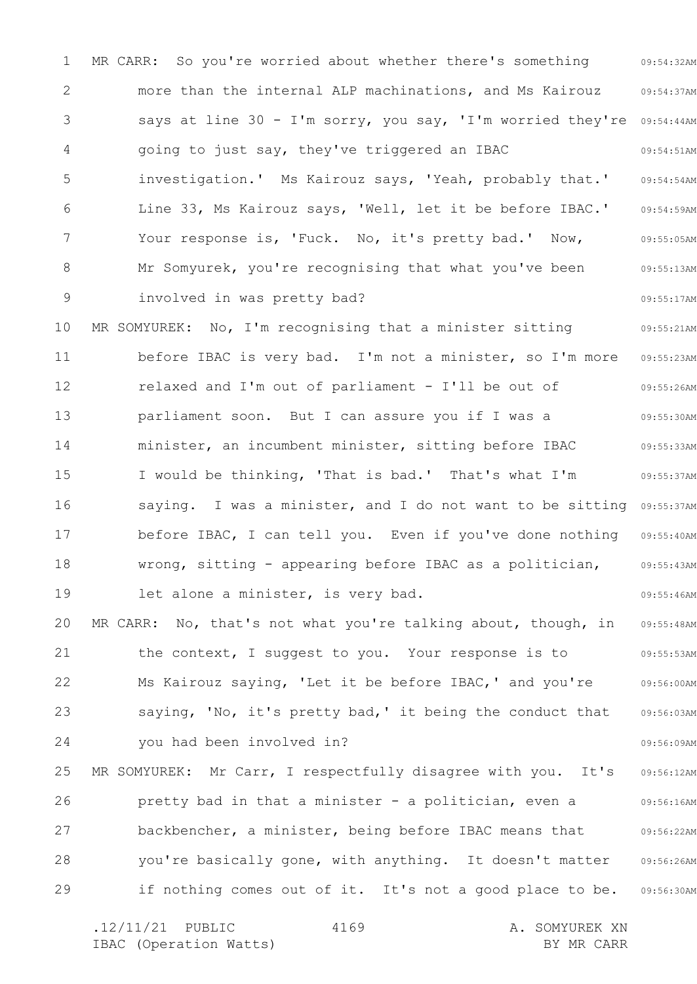1 2 3 4 5 6 7 8 9 10 11 12 13 14 15 16 17 18 19 20 21 22 23 24 25 26 27 28 29 09:54:32AM 09:54:37AM says at line 30 - I'm sorry, you say, 'I'm worried they're 09:54:44AM 09:54:51AM 09:54:54AM 09:54:59AM 09:55:05AM 09:55:13AM 09:55:17AM 09:55:21AM 09:55:23AM 09:55:26AM 09:55:30AM 09:55:33AM 09:55:37AM saying. I was a minister, and I do not want to be sitting 09:55:37AM before IBAC, I can tell you. Even if you've done nothing 09:55:40AM 09:55:43AM 09:55:46AM 09:55:48AM 09:55:53AM 09:56:00AM 09:56:03AM 09:56:09AM 09:56:12AM 09:56:16AM 09:56:22AM 09:56:26AM 09:56:30AM MR CARR: So you're worried about whether there's something more than the internal ALP machinations, and Ms Kairouz going to just say, they've triggered an IBAC investigation.' Ms Kairouz says, 'Yeah, probably that.' Line 33, Ms Kairouz says, 'Well, let it be before IBAC.' Your response is, 'Fuck. No, it's pretty bad.' Now, Mr Somyurek, you're recognising that what you've been involved in was pretty bad? MR SOMYUREK: No, I'm recognising that a minister sitting before IBAC is very bad. I'm not a minister, so I'm more relaxed and I'm out of parliament - I'll be out of parliament soon. But I can assure you if I was a minister, an incumbent minister, sitting before IBAC I would be thinking, 'That is bad.' That's what I'm wrong, sitting - appearing before IBAC as a politician, let alone a minister, is very bad. MR CARR: No, that's not what you're talking about, though, in the context, I suggest to you. Your response is to Ms Kairouz saying, 'Let it be before IBAC,' and you're saying, 'No, it's pretty bad,' it being the conduct that you had been involved in? MR SOMYUREK: Mr Carr, I respectfully disagree with you. It's pretty bad in that a minister - a politician, even a backbencher, a minister, being before IBAC means that you're basically gone, with anything. It doesn't matter if nothing comes out of it. It's not a good place to be.

.12/11/21 PUBLIC 4169 A. SOMYUREK XN IBAC (Operation Watts) and the set of the BY MR CARR BY MR CARR 4169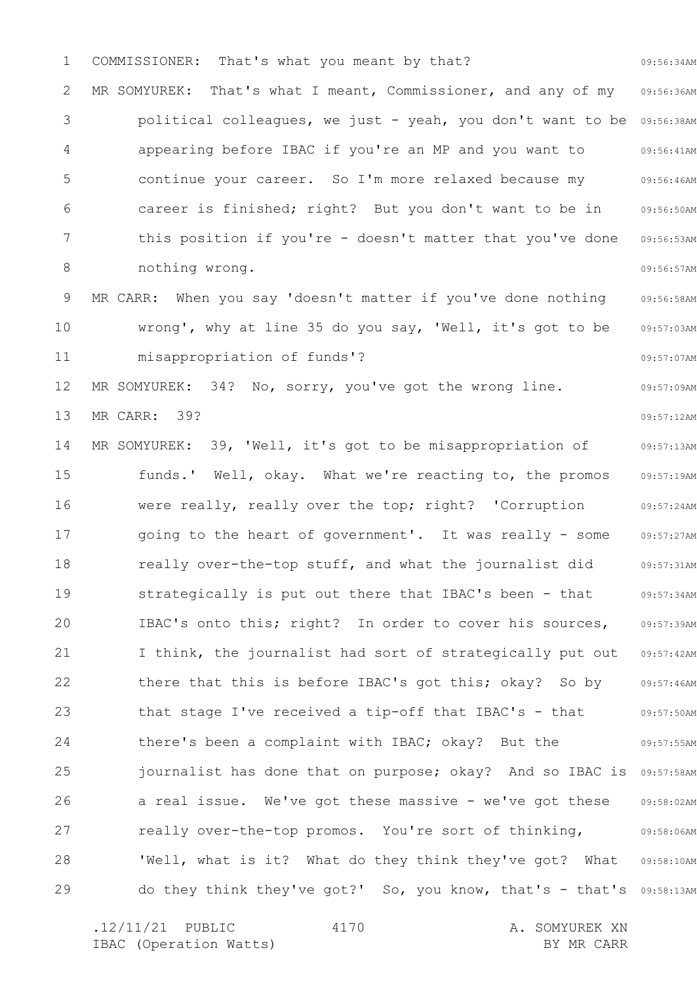1 2 3 4 5 6 7 8 9 10 11 12 13 14 15 16 17 18 19 20 21 22 23 24 25 26 27 28 29 09:56:34AM 09:56:36AM political colleagues, we just - yeah, you don't want to be 09:56:38AM 09:56:41AM 09:56:46AM 09:56:50AM 09:56:53AM 09:56:57AM 09:56:58AM 09:57:03AM 09:57:07AM 09:57:09AM 09:57:12AM 09:57:13AM 09:57:19AM 09:57:24AM 09:57:27AM 09:57:31AM 09:57:34AM 09:57:39AM 09:57:42AM 09:57:46AM 09:57:50AM 09:57:55AM journalist has done that on purpose; okay? And so IBAC is 09:57:58AM 09:58:02AM 09:58:06AM 'Well, what is it? What do they think they've got? What 09:58:10AM do they think they've got?' So, you know, that's - that's 09:58:13AM COMMISSIONER: That's what you meant by that? MR SOMYUREK: That's what I meant, Commissioner, and any of my appearing before IBAC if you're an MP and you want to continue your career. So I'm more relaxed because my career is finished; right? But you don't want to be in this position if you're - doesn't matter that you've done nothing wrong. MR CARR: When you say 'doesn't matter if you've done nothing wrong', why at line 35 do you say, 'Well, it's got to be misappropriation of funds'? MR SOMYUREK: 34? No, sorry, you've got the wrong line. MR CARR: 39? MR SOMYUREK: 39, 'Well, it's got to be misappropriation of funds.' Well, okay. What we're reacting to, the promos were really, really over the top; right? 'Corruption going to the heart of government'. It was really - some really over-the-top stuff, and what the journalist did strategically is put out there that IBAC's been - that IBAC's onto this; right? In order to cover his sources, I think, the journalist had sort of strategically put out there that this is before IBAC's got this; okay? So by that stage I've received a tip-off that IBAC's - that there's been a complaint with IBAC; okay? But the a real issue. We've got these massive - we've got these really over-the-top promos. You're sort of thinking,

4170

.12/11/21 PUBLIC 4170 A. SOMYUREK XN IBAC (Operation Watts) and the set of the BY MR CARR BY MR CARR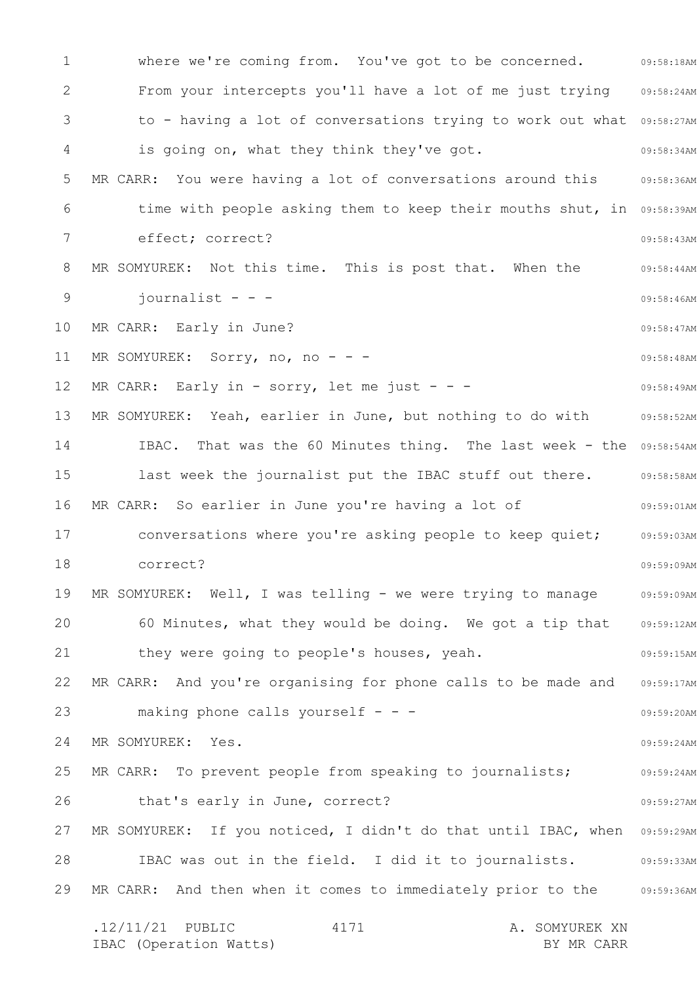1 2 3 4 5 6 7 8 9 10 11 12 13 14 15 16 17 18 19 20 21 22 23 24 25 26 27 28 29 where we're coming from. You've got to be concerned. 69:58:18AM 09:58:24AM to - having a lot of conversations trying to work out what 09:58:27AM 09:58:34AM 09:58:36AM time with people asking them to keep their mouths shut, in 09:58:39AM 09:58:43AM 09:58:44AM 09:58:46AM 09:58:47AM 09:58:48AM 09:58:49AM 09:58:52AM IBAC. That was the 60 Minutes thing. The last week - the 09:58:54AM last week the journalist put the IBAC stuff out there. 09:58:58AM 09:59:01AM 09:59:03AM 09:59:09AM 09:59:09AM 09:59:12AM 09:59:15AM 09:59:17AM 09:59:20AM 09:59:24AM 09:59:24AM 09:59:27AM MR SOMYUREK: If you noticed, I didn't do that until IBAC, when  $0.959:29$ AM 09:59:33AM 09:59:36AM .12/11/21 PUBLIC 4171 A. SOMYUREK XN IBAC (Operation Watts) and the set of the BY MR CARR BY MR CARR 4171 From your intercepts you'll have a lot of me just trying is going on, what they think they've got. MR CARR: You were having a lot of conversations around this effect; correct? MR SOMYUREK: Not this time. This is post that. When the  $j$ ournalist - - -MR CARR: Early in June? MR SOMYUREK: Sorry, no, no - - -MR CARR: Early in - sorry, let me just - - -MR SOMYUREK: Yeah, earlier in June, but nothing to do with MR CARR: So earlier in June you're having a lot of conversations where you're asking people to keep quiet; correct? MR SOMYUREK: Well, I was telling - we were trying to manage 60 Minutes, what they would be doing. We got a tip that they were going to people's houses, yeah. MR CARR: And you're organising for phone calls to be made and making phone calls yourself  $- -$ MR SOMYUREK: Yes. MR CARR: To prevent people from speaking to journalists; that's early in June, correct? IBAC was out in the field. I did it to journalists. MR CARR: And then when it comes to immediately prior to the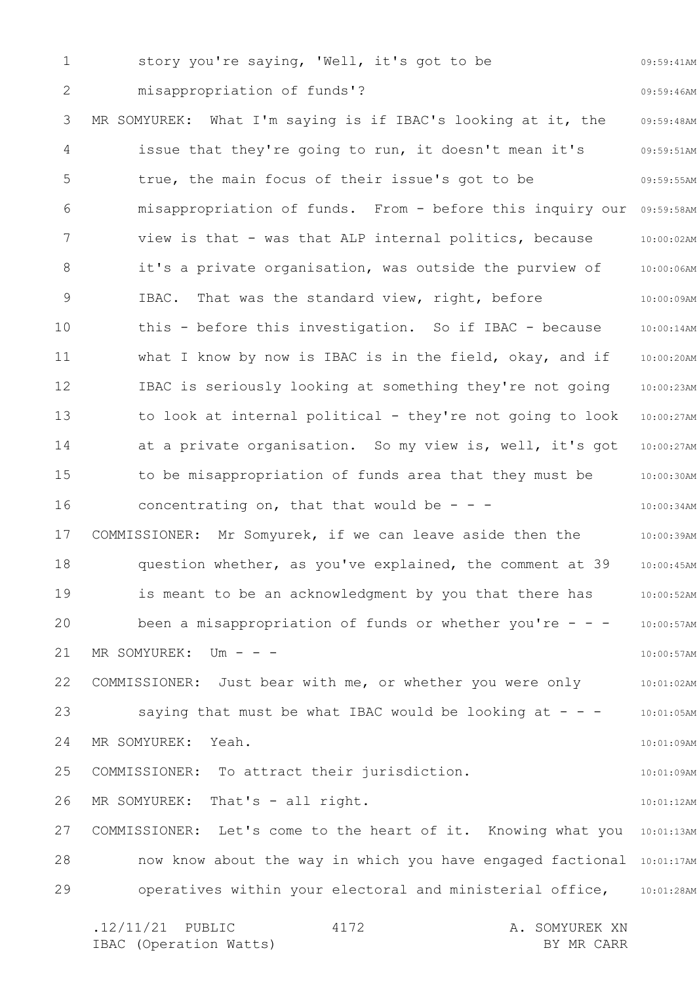1 2 3 4 5 6 7 8 9 10 11 12 13 14 15 16 17 18 19 20 21 22 23 24 25 26 27 28 29 09:59:41AM 09:59:46AM 09:59:48AM 09:59:51AM 09:59:55AM misappropriation of funds. From - before this inquiry our 09:59:58AM 10:00:02AM 10:00:06AM 10:00:09AM 10:00:14AM 10:00:20AM 10:00:23AM 10:00:27AM 10:00:27AM 10:00:30AM 10:00:34AM 10:00:39AM 10:00:45AM 10:00:52AM 10:00:57AM 10:00:57AM 10:01:02AM 10:01:05AM 10:01:09AM 10:01:09AM 10:01:12AM COMMISSIONER: Let's come to the heart of it. Knowing what you 10:01:13AM now know about the way in which you have engaged factional 10:01:17AM operatives within your electoral and ministerial office, 10:01:28AM .12/11/21 PUBLIC 4172 A. SOMYUREK XN 4172 story you're saying, 'Well, it's got to be misappropriation of funds'? MR SOMYUREK: What I'm saying is if IBAC's looking at it, the issue that they're going to run, it doesn't mean it's true, the main focus of their issue's got to be view is that - was that ALP internal politics, because it's a private organisation, was outside the purview of IBAC. That was the standard view, right, before this - before this investigation. So if IBAC - because what I know by now is IBAC is in the field, okay, and if IBAC is seriously looking at something they're not going to look at internal political - they're not going to look at a private organisation. So my view is, well, it's got to be misappropriation of funds area that they must be concentrating on, that that would be  $- -$ COMMISSIONER: Mr Somyurek, if we can leave aside then the question whether, as you've explained, the comment at 39 is meant to be an acknowledgment by you that there has been a misappropriation of funds or whether you're  $- -$ MR SOMYUREK: Um - - -COMMISSIONER: Just bear with me, or whether you were only saying that must be what IBAC would be looking at  $- -$ MR SOMYUREK: Yeah. COMMISSIONER: To attract their jurisdiction. MR SOMYUREK: That's - all right.

IBAC (Operation Watts) and the set of the BY MR CARR BY MR CARR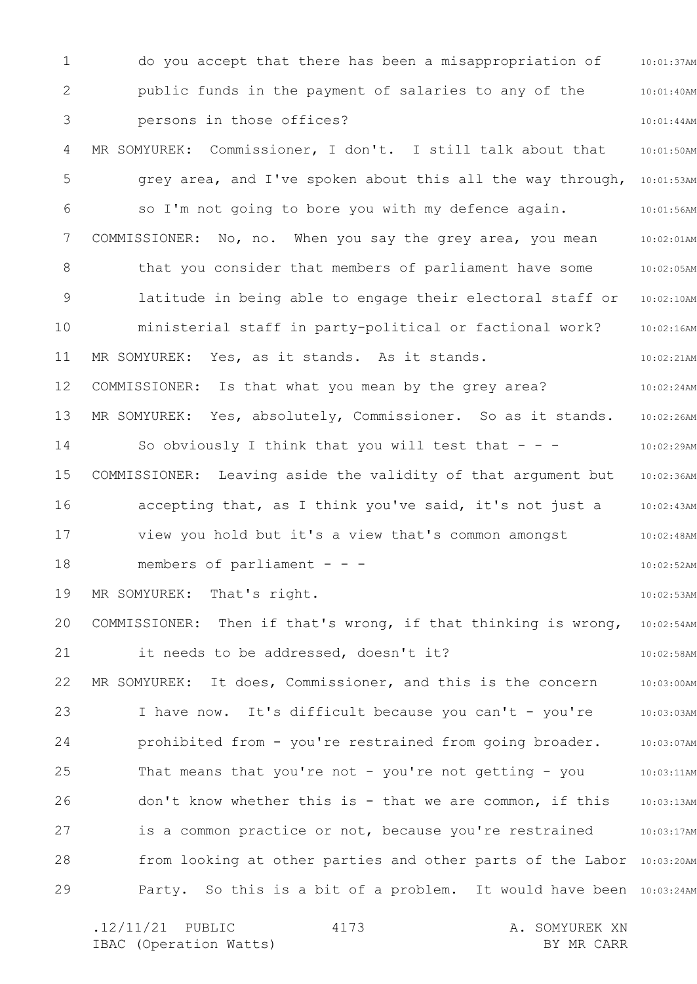1 2 3 4 5 6 7 8 9 10 11 12 13 14 15 16 17 18 19 20 21 22 23 24 25 26 27 28 29 10:01:37AM 10:01:40AM 10:01:44AM 10:01:50AM grey area, and I've spoken about this all the way through, 10:01:53AM 10:01:56AM 10:02:01AM 10:02:05AM 10:02:10AM 10:02:16AM 10:02:21AM 10:02:24AM 10:02:26AM 10:02:29AM 10:02:36AM 10:02:43AM 10:02:48AM 10:02:52AM 10:02:53AM 10:02:54AM 10:02:58AM 10:03:00AM 10:03:03AM 10:03:07AM 10:03:11AM 10:03:13AM 10:03:17AM from looking at other parties and other parts of the Labor 10:03:20AM Party. So this is a bit of a problem. It would have been 10:03:24AM do you accept that there has been a misappropriation of public funds in the payment of salaries to any of the persons in those offices? MR SOMYUREK: Commissioner, I don't. I still talk about that so I'm not going to bore you with my defence again. COMMISSIONER: No, no. When you say the grey area, you mean that you consider that members of parliament have some latitude in being able to engage their electoral staff or ministerial staff in party-political or factional work? MR SOMYUREK: Yes, as it stands. As it stands. COMMISSIONER: Is that what you mean by the grey area? MR SOMYUREK: Yes, absolutely, Commissioner. So as it stands. So obviously I think that you will test that  $- -$ COMMISSIONER: Leaving aside the validity of that argument but accepting that, as I think you've said, it's not just a view you hold but it's a view that's common amongst members of parliament - - -MR SOMYUREK: That's right. COMMISSIONER: Then if that's wrong, if that thinking is wrong, it needs to be addressed, doesn't it? MR SOMYUREK: It does, Commissioner, and this is the concern I have now. It's difficult because you can't - you're prohibited from - you're restrained from going broader. That means that you're not - you're not getting - you don't know whether this is - that we are common, if this is a common practice or not, because you're restrained

.12/11/21 PUBLIC 4173 A. SOMYUREK XN IBAC (Operation Watts) and the set of the BY MR CARR BY MR CARR 4173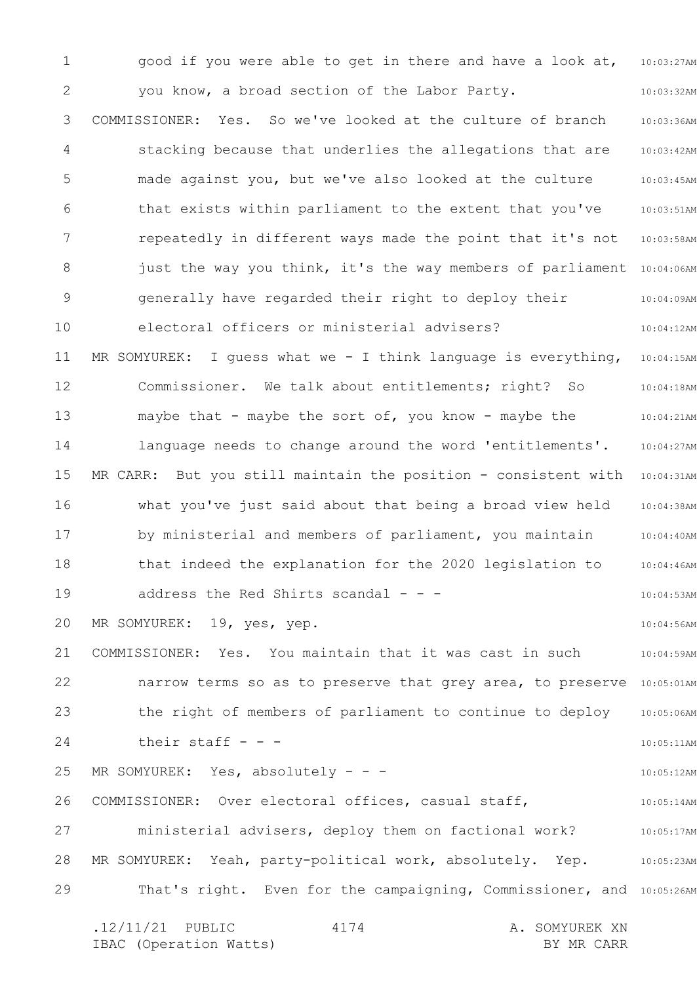1 2 3 4 5 6 7 8 9 10 11 12 13 14 15 16 17 18 19 20 21 22 23 24 25 26 27 28 29 10:03:27AM 10:03:32AM 10:03:36AM 10:03:42AM 10:03:45AM 10:03:51AM 10:03:58AM just the way you think, it's the way members of parliament 10:04:06AM 10:04:09AM 10:04:12AM 10:04:15AM 10:04:18AM 10:04:21AM 10:04:27AM MR CARR: But you still maintain the position - consistent with 10:04:31AM 10:04:38AM 10:04:40AM 10:04:46AM 10:04:53AM 10:04:56AM 10:04:59AM narrow terms so as to preserve that grey area, to preserve 10:05:01AM 10:05:06AM 10:05:11AM 10:05:12AM 10:05:14AM 10:05:17AM 10:05:23AM That's right. Even for the campaigning, Commissioner, and 10:05:26AM .12/11/21 PUBLIC 4174 A. SOMYUREK XN 4174 good if you were able to get in there and have a look at, you know, a broad section of the Labor Party. COMMISSIONER: Yes. So we've looked at the culture of branch stacking because that underlies the allegations that are made against you, but we've also looked at the culture that exists within parliament to the extent that you've repeatedly in different ways made the point that it's not generally have regarded their right to deploy their electoral officers or ministerial advisers? MR SOMYUREK: I guess what we - I think language is everything, Commissioner. We talk about entitlements; right? So maybe that - maybe the sort of, you know - maybe the language needs to change around the word 'entitlements'. what you've just said about that being a broad view held by ministerial and members of parliament, you maintain that indeed the explanation for the 2020 legislation to address the Red Shirts scandal  $-$  -  $-$ MR SOMYUREK: 19, yes, yep. COMMISSIONER: Yes. You maintain that it was cast in such the right of members of parliament to continue to deploy their staff  $-$ MR SOMYUREK: Yes, absolutely - - -COMMISSIONER: Over electoral offices, casual staff, ministerial advisers, deploy them on factional work? MR SOMYUREK: Yeah, party-political work, absolutely. Yep.

IBAC (Operation Watts) and the set of the BY MR CARR BY MR CARR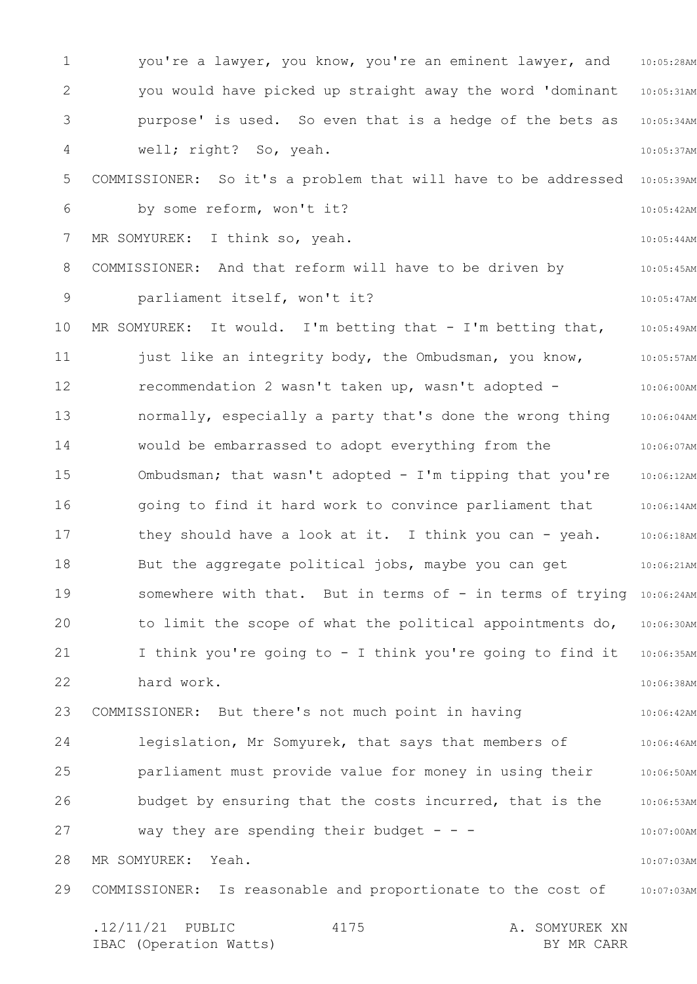1 2 3 4 5 6 7 8 9 10 11 12 13 14 15 16 17 18 19 20 21 22 23 24 25 26 27 28 29 10:05:28AM 10:05:31AM 10:05:34AM 10:05:37AM 10:05:39AM 10:05:42AM 10:05:44AM 10:05:45AM 10:05:47AM 10:05:49AM 10:05:57AM 10:06:00AM 10:06:04AM 10:06:07AM 10:06:12AM 10:06:14AM 10:06:18AM 10:06:21AM somewhere with that. But in terms of - in terms of trying 10:06:24AM 10:06:30AM 10:06:35AM 10:06:38AM 10:06:42AM 10:06:46AM 10:06:50AM 10:06:53AM 10:07:00AM 10:07:03AM COMMISSIONER: Is reasonable and proportionate to the cost of 10:07:03AM .12/11/21 PUBLIC 4175 A. SOMYUREK XN IBAC (Operation Watts) and the set of the BY MR CARR BY MR CARR 4175 you're a lawyer, you know, you're an eminent lawyer, and you would have picked up straight away the word 'dominant purpose' is used. So even that is a hedge of the bets as well; right? So, yeah. COMMISSIONER: So it's a problem that will have to be addressed by some reform, won't it? MR SOMYUREK: I think so, yeah. COMMISSIONER: And that reform will have to be driven by parliament itself, won't it? MR SOMYUREK: It would. I'm betting that - I'm betting that, just like an integrity body, the Ombudsman, you know, recommendation 2 wasn't taken up, wasn't adopted normally, especially a party that's done the wrong thing would be embarrassed to adopt everything from the Ombudsman; that wasn't adopted - I'm tipping that you're going to find it hard work to convince parliament that they should have a look at it. I think you can - yeah. But the aggregate political jobs, maybe you can get to limit the scope of what the political appointments do, I think you're going to - I think you're going to find it hard work. COMMISSIONER: But there's not much point in having legislation, Mr Somyurek, that says that members of parliament must provide value for money in using their budget by ensuring that the costs incurred, that is the way they are spending their budget  $- -$ MR SOMYUREK: Yeah.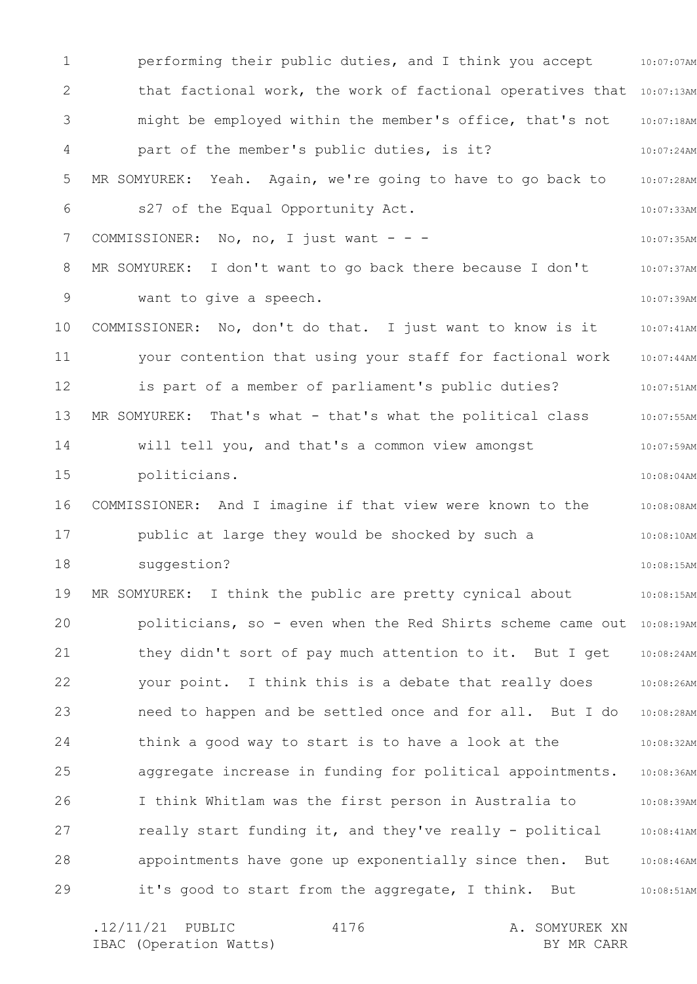1 2 3 4 5 6 7 8 9 10 11 12 13 14 15 16 17 18 19 20 21 22 23 24 25 26 27 28 29 10:07:07AM that factional work, the work of factional operatives that 10:07:13AM 10:07:18AM 10:07:24AM 10:07:28AM 10:07:33AM 10:07:35AM 10:07:37AM 10:07:39AM 10:07:41AM 10:07:44AM 10:07:51AM 10:07:55AM 10:07:59AM 10:08:04AM 10:08:08AM 10:08:10AM 10:08:15AM 10:08:15AM politicians, so - even when the Red Shirts scheme came out 10:08:19AM 10:08:24AM 10:08:26AM 10:08:28AM 10:08:32AM 10:08:36AM 10:08:39AM 10:08:41AM 10:08:46AM 10:08:51AM performing their public duties, and I think you accept might be employed within the member's office, that's not part of the member's public duties, is it? MR SOMYUREK: Yeah. Again, we're going to have to go back to s27 of the Equal Opportunity Act. COMMISSIONER: No, no, I just want - - -MR SOMYUREK: I don't want to go back there because I don't want to give a speech. COMMISSIONER: No, don't do that. I just want to know is it your contention that using your staff for factional work is part of a member of parliament's public duties? MR SOMYUREK: That's what - that's what the political class will tell you, and that's a common view amongst politicians. COMMISSIONER: And I imagine if that view were known to the public at large they would be shocked by such a suggestion? MR SOMYUREK: I think the public are pretty cynical about they didn't sort of pay much attention to it. But I get your point. I think this is a debate that really does need to happen and be settled once and for all. But I do think a good way to start is to have a look at the aggregate increase in funding for political appointments. I think Whitlam was the first person in Australia to really start funding it, and they've really - political appointments have gone up exponentially since then. But it's good to start from the aggregate, I think. But

.12/11/21 PUBLIC 4176 A. SOMYUREK XN IBAC (Operation Watts) and the set of the BY MR CARR BY MR CARR 4176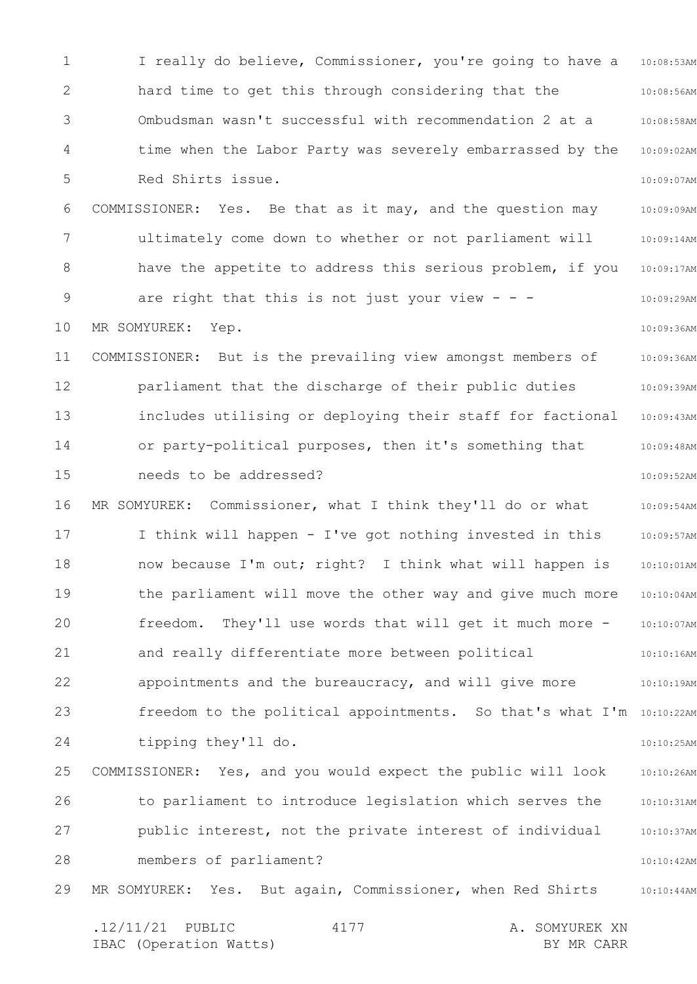1 2 3 4 5 6 7 8 9 10 11 12 13 14 15 16 17 18 19 20 21 22 23 24 25 26 27 28 29 10:08:53AM 10:08:56AM 10:08:58AM 10:09:02AM 10:09:07AM 10:09:09AM 10:09:14AM 10:09:17AM 10:09:29AM 10:09:36AM 10:09:36AM 10:09:39AM 10:09:43AM 10:09:48AM 10:09:52AM 10:09:54AM 10:09:57AM 10:10:01AM 10:10:04AM 10:10:07AM 10:10:16AM 10:10:19AM freedom to the political appointments. So that's what I'm 10:10:22AM 10:10:25AM 10:10:26AM 10:10:31AM 10:10:37AM 10:10:42AM 10:10:44AM .12/11/21 PUBLIC 4177 A. SOMYUREK XN 4177 I really do believe, Commissioner, you're going to have a hard time to get this through considering that the Ombudsman wasn't successful with recommendation 2 at a time when the Labor Party was severely embarrassed by the Red Shirts issue. COMMISSIONER: Yes. Be that as it may, and the question may ultimately come down to whether or not parliament will have the appetite to address this serious problem, if you are right that this is not just your view  $- -$ MR SOMYUREK: Yep. COMMISSIONER: But is the prevailing view amongst members of parliament that the discharge of their public duties includes utilising or deploying their staff for factional or party-political purposes, then it's something that needs to be addressed? MR SOMYUREK: Commissioner, what I think they'll do or what I think will happen - I've got nothing invested in this now because I'm out; right? I think what will happen is the parliament will move the other way and give much more freedom. They'll use words that will get it much more and really differentiate more between political appointments and the bureaucracy, and will give more tipping they'll do. COMMISSIONER: Yes, and you would expect the public will look to parliament to introduce legislation which serves the public interest, not the private interest of individual members of parliament? MR SOMYUREK: Yes. But again, Commissioner, when Red Shirts

IBAC (Operation Watts) and the set of the BY MR CARR BY MR CARR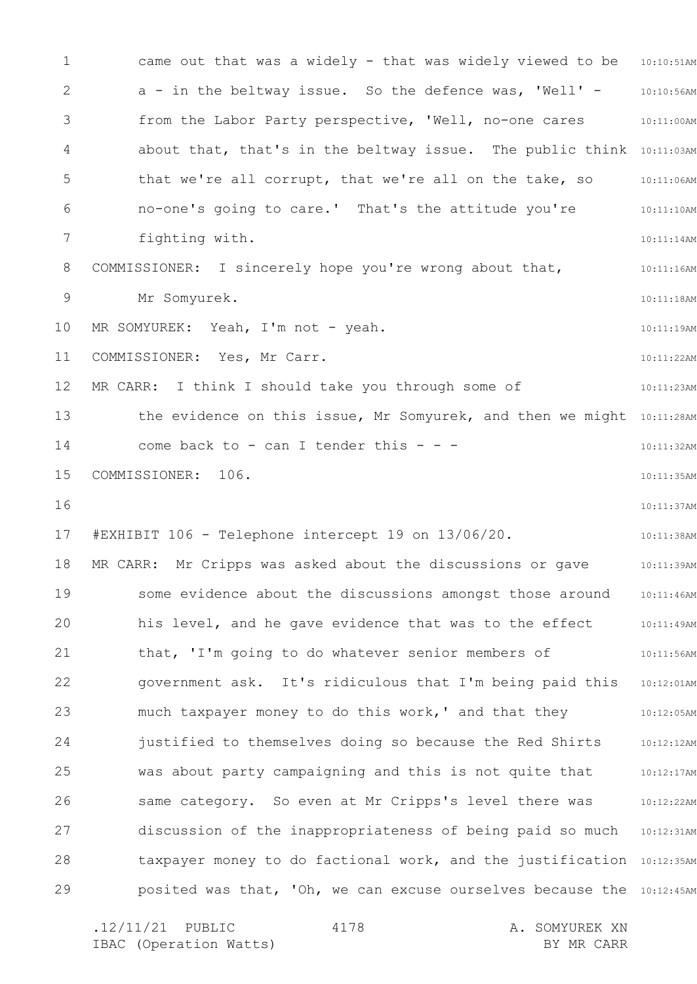1 2 3 4 5 6 7 8 9 10 11 12 13 14 15 16 17 18 19 20 21 22 23 24 25 26 27 28 29 came out that was a widely - that was widely viewed to be 10:10:51AM 10:10:56AM 10:11:00AM about that, that's in the beltway issue. The public think 10:11:03AM 10:11:06AM 10:11:10AM 10:11:14AM 10:11:16AM 10:11:18AM 10:11:19AM 10:11:22AM 10:11:23AM the evidence on this issue, Mr Somyurek, and then we might 10:11:28AM 10:11:32AM 10:11:35AM 10:11:37AM 10:11:38AM 10:11:39AM 10:11:46AM 10:11:49AM 10:11:56AM 10:12:01AM 10:12:05AM 10:12:12AM 10:12:17AM 10:12:22AM discussion of the inappropriateness of being paid so much 10:12:31AM taxpayer money to do factional work, and the justification 10:12:35AM posited was that, 'Oh, we can excuse ourselves because the  $10:12:45$ AM a - in the beltway issue. So the defence was, 'Well' from the Labor Party perspective, 'Well, no-one cares that we're all corrupt, that we're all on the take, so no-one's going to care.' That's the attitude you're fighting with. COMMISSIONER: I sincerely hope you're wrong about that, Mr Somyurek. MR SOMYUREK: Yeah, I'm not - yeah. COMMISSIONER: Yes, Mr Carr. MR CARR: I think I should take you through some of come back to - can I tender this - - -COMMISSIONER: 106. #EXHIBIT 106 - Telephone intercept 19 on 13/06/20. MR CARR: Mr Cripps was asked about the discussions or gave some evidence about the discussions amongst those around his level, and he gave evidence that was to the effect that, 'I'm going to do whatever senior members of government ask. It's ridiculous that I'm being paid this much taxpayer money to do this work,' and that they justified to themselves doing so because the Red Shirts was about party campaigning and this is not quite that same category. So even at Mr Cripps's level there was

4178

.12/11/21 PUBLIC 4178 A. SOMYUREK XN IBAC (Operation Watts) and the set of the BY MR CARR BY MR CARR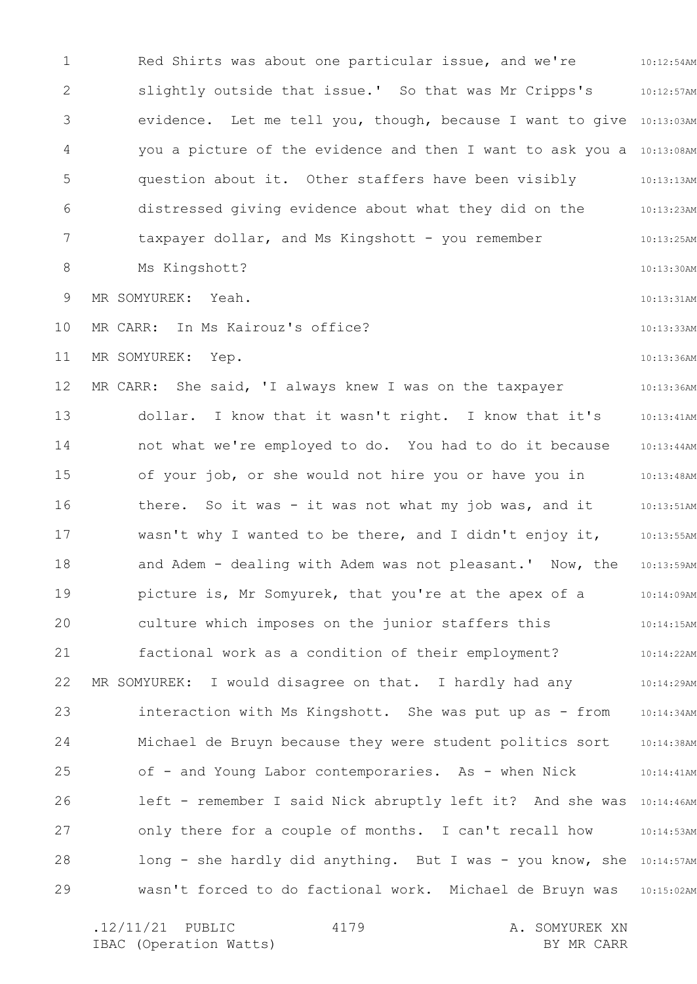1 2 3 4 5 6 7 8 9 10 11 12 13 14 15 16 17 18 19 20 21 22 23 24 25 26 27 28 29 10:12:54AM 10:12:57AM evidence. Let me tell you, though, because I want to give 10:13:03AM you a picture of the evidence and then I want to ask you a 10:13:08AM 10:13:13AM 10:13:23AM 10:13:25AM 10:13:30AM 10:13:31AM 10:13:33AM 10:13:36AM 10:13:36AM 10:13:41AM 10:13:44AM 10:13:48AM 10:13:51AM 10:13:55AM 10:13:59AM 10:14:09AM 10:14:15AM 10:14:22AM 10:14:29AM 10:14:34AM 10:14:38AM 10:14:41AM left - remember I said Nick abruptly left it? And she was 10:14:46AM 10:14:53AM long - she hardly did anything. But I was - you know, she 10:14:57AM 10:15:02AM Red Shirts was about one particular issue, and we're slightly outside that issue.' So that was Mr Cripps's question about it. Other staffers have been visibly distressed giving evidence about what they did on the taxpayer dollar, and Ms Kingshott - you remember Ms Kingshott? MR SOMYUREK: Yeah. MR CARR: In Ms Kairouz's office? MR SOMYUREK: Yep. MR CARR: She said, 'I always knew I was on the taxpayer dollar. I know that it wasn't right. I know that it's not what we're employed to do. You had to do it because of your job, or she would not hire you or have you in there. So it was - it was not what my job was, and it wasn't why I wanted to be there, and I didn't enjoy it, and Adem - dealing with Adem was not pleasant.' Now, the picture is, Mr Somyurek, that you're at the apex of a culture which imposes on the junior staffers this factional work as a condition of their employment? MR SOMYUREK: I would disagree on that. I hardly had any interaction with Ms Kingshott. She was put up as - from Michael de Bruyn because they were student politics sort of - and Young Labor contemporaries. As - when Nick only there for a couple of months. I can't recall how wasn't forced to do factional work. Michael de Bruyn was

4179

.12/11/21 PUBLIC 4179 A. SOMYUREK XN IBAC (Operation Watts) and the set of the BY MR CARR BY MR CARR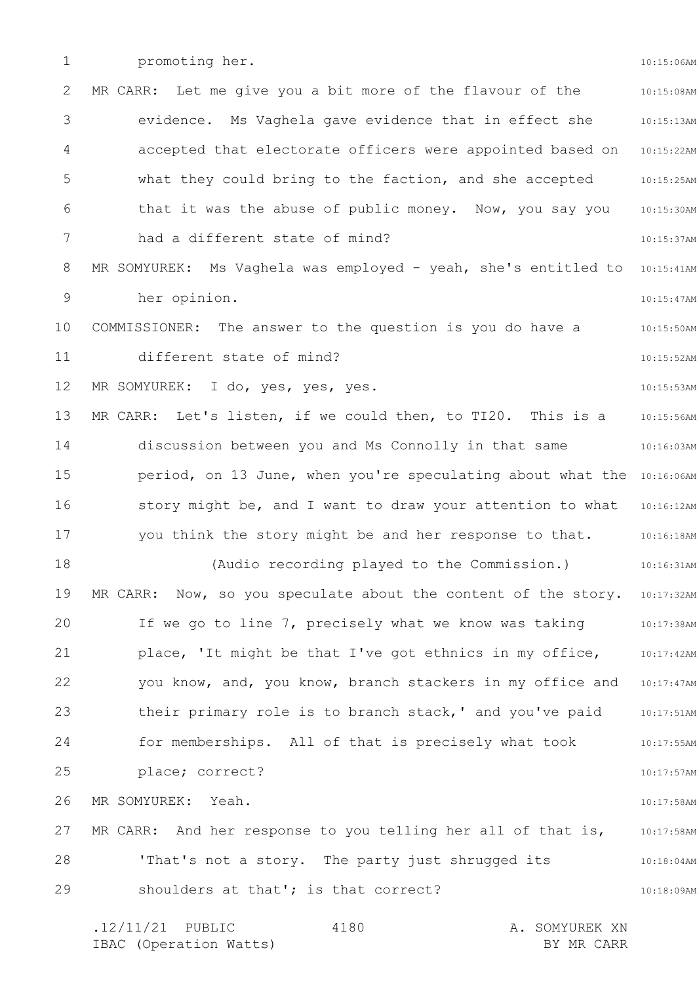1

promoting her.

10:15:06AM

2 3 4 5 6 7 8 9 10 11 12 13 14 15 16 17 18 19 20 21 22 23 24 25 26 27 28 29 10:15:08AM 10:15:13AM 10:15:22AM 10:15:25AM 10:15:30AM 10:15:37AM MR SOMYUREK: Ms Vaghela was employed - yeah, she's entitled to 10:15:41AM 10:15:47AM 10:15:50AM 10:15:52AM 10:15:53AM 10:15:56AM 10:16:03AM period, on 13 June, when you're speculating about what the 10:16:06AM 10:16:12AM 10:16:18AM 10:16:31AM MR CARR: Now, so you speculate about the content of the story. 10:17:32AM 10:17:38AM 10:17:42AM 10:17:47AM 10:17:51AM 10:17:55AM 10:17:57AM 10:17:58AM 10:17:58AM 10:18:04AM 10:18:09AM .12/11/21 PUBLIC 4180 A. SOMYUREK XN IBAC (Operation Watts) and the set of the BY MR CARR BY MR CARR 4180 MR CARR: Let me give you a bit more of the flavour of the evidence. Ms Vaghela gave evidence that in effect she accepted that electorate officers were appointed based on what they could bring to the faction, and she accepted that it was the abuse of public money. Now, you say you had a different state of mind? her opinion. COMMISSIONER: The answer to the question is you do have a different state of mind? MR SOMYUREK: I do, yes, yes, yes. MR CARR: Let's listen, if we could then, to TI20. This is a discussion between you and Ms Connolly in that same story might be, and I want to draw your attention to what you think the story might be and her response to that. (Audio recording played to the Commission.) If we go to line 7, precisely what we know was taking place, 'It might be that I've got ethnics in my office, you know, and, you know, branch stackers in my office and their primary role is to branch stack,' and you've paid for memberships. All of that is precisely what took place; correct? MR SOMYUREK: Yeah. MR CARR: And her response to you telling her all of that is, 'That's not a story. The party just shrugged its shoulders at that'; is that correct?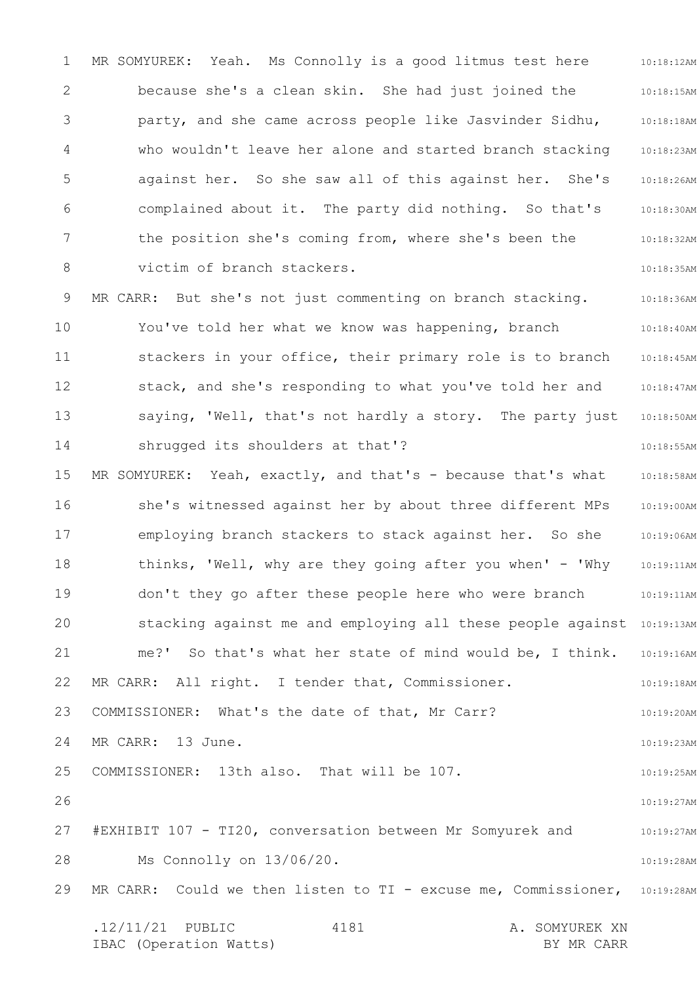1 2 3 4 5 6 7 8 9 10 11 12 13 14 15 16 17 18 19 20 21 22 23 24 25 26 27 28 29 10:18:12AM 10:18:15AM 10:18:18AM 10:18:23AM 10:18:26AM 10:18:30AM 10:18:32AM 10:18:35AM 10:18:36AM 10:18:40AM 10:18:45AM 10:18:47AM 10:18:50AM 10:18:55AM 10:18:58AM 10:19:00AM 10:19:06AM 10:19:11AM 10:19:11AM stacking against me and employing all these people against 10:19:13AM 10:19:16AM 10:19:18AM 10:19:20AM 10:19:23AM 10:19:25AM 10:19:27AM 10:19:27AM 10:19:28AM MR CARR: Could we then listen to TI - excuse me, Commissioner, 10:19:28AM .12/11/21 PUBLIC 4181 A. SOMYUREK XN IBAC (Operation Watts) and the set of the BY MR CARR BY MR CARR 4181 MR SOMYUREK: Yeah. Ms Connolly is a good litmus test here because she's a clean skin. She had just joined the party, and she came across people like Jasvinder Sidhu, who wouldn't leave her alone and started branch stacking against her. So she saw all of this against her. She's complained about it. The party did nothing. So that's the position she's coming from, where she's been the victim of branch stackers. MR CARR: But she's not just commenting on branch stacking. You've told her what we know was happening, branch stackers in your office, their primary role is to branch stack, and she's responding to what you've told her and saying, 'Well, that's not hardly a story. The party just shrugged its shoulders at that'? MR SOMYUREK: Yeah, exactly, and that's - because that's what she's witnessed against her by about three different MPs employing branch stackers to stack against her. So she thinks, 'Well, why are they going after you when' - 'Why don't they go after these people here who were branch me?' So that's what her state of mind would be, I think. MR CARR: All right. I tender that, Commissioner. COMMISSIONER: What's the date of that, Mr Carr? MR CARR: 13 June. COMMISSIONER: 13th also. That will be 107. #EXHIBIT 107 - TI20, conversation between Mr Somyurek and Ms Connolly on 13/06/20.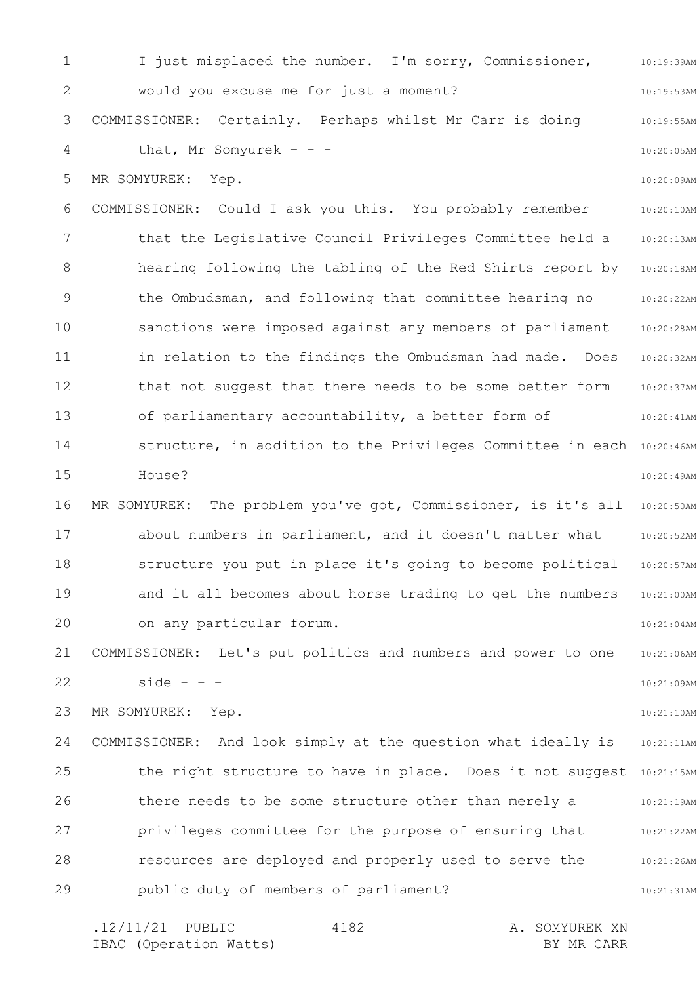1 2 3 4 5 6 7 8 9 10 11 12 13 14 15 16 17 18 19 20 21 22 23 24 25 26 27 28 29 10:19:39AM 10:19:53AM 10:19:55AM 10:20:05AM 10:20:09AM 10:20:10AM 10:20:13AM 10:20:18AM 10:20:22AM 10:20:28AM 10:20:32AM 10:20:37AM 10:20:41AM structure, in addition to the Privileges Committee in each 10:20:46AM 10:20:49AM 10:20:50AM 10:20:52AM 10:20:57AM 10:21:00AM 10:21:04AM 10:21:06AM 10:21:09AM 10:21:10AM 10:21:11AM the right structure to have in place. Does it not suggest 10:21:15AM 10:21:19AM 10:21:22AM 10:21:26AM 10:21:31AM I just misplaced the number. I'm sorry, Commissioner, would you excuse me for just a moment? COMMISSIONER: Certainly. Perhaps whilst Mr Carr is doing that, Mr Somyurek - - -MR SOMYUREK: Yep. COMMISSIONER: Could I ask you this. You probably remember that the Legislative Council Privileges Committee held a hearing following the tabling of the Red Shirts report by the Ombudsman, and following that committee hearing no sanctions were imposed against any members of parliament in relation to the findings the Ombudsman had made. Does that not suggest that there needs to be some better form of parliamentary accountability, a better form of House? MR SOMYUREK: The problem you've got, Commissioner, is it's all about numbers in parliament, and it doesn't matter what structure you put in place it's going to become political and it all becomes about horse trading to get the numbers on any particular forum. COMMISSIONER: Let's put politics and numbers and power to one side -  $-$ MR SOMYUREK: Yep. COMMISSIONER: And look simply at the question what ideally is there needs to be some structure other than merely a privileges committee for the purpose of ensuring that resources are deployed and properly used to serve the public duty of members of parliament?

.12/11/21 PUBLIC 4182 A. SOMYUREK XN IBAC (Operation Watts) and the set of the BY MR CARR BY MR CARR 4182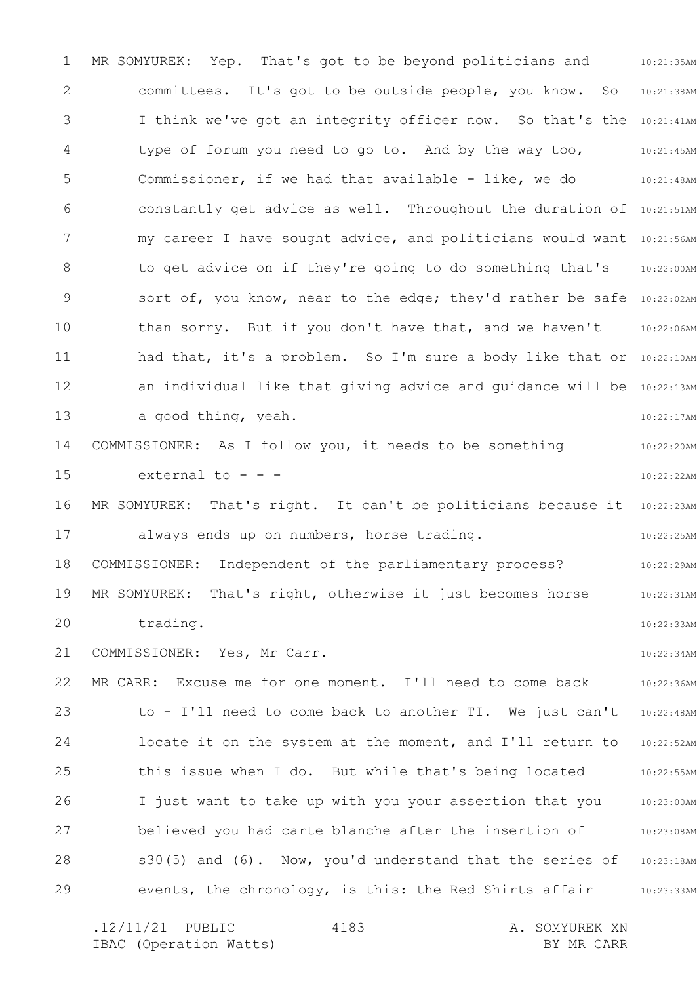1 2 3 4 5 6 7 8 9 10 11 12 13 14 15 16 17 18 19 20 21 22 23 24 25 26 27 28 29 MR SOMYUREK: Yep. That's got to be beyond politicians and animalisty 10:21:38AM I think we've got an integrity officer now. So that's the 10:21:41AM 10:21:45AM 10:21:48AM constantly get advice as well. Throughout the duration of 10:21:51AM my career I have sought advice, and politicians would want  $10:21:56$ AM 10:22:00AM sort of, you know, near to the edge; they'd rather be safe 10:22:02AM 10:22:06AM had that, it's a problem. So I'm sure a body like that or 10:22:10AM an individual like that giving advice and guidance will be 10:22:13AM 10:22:17AM 10:22:20AM 10:22:22AM MR SOMYUREK: That's right. It can't be politicians because it 10:22:23AM 10:22:25AM 10:22:29AM 10:22:31AM 10:22:33AM 10:22:34AM 10:22:36AM 10:22:48AM 10:22:52AM 10:22:55AM 10:23:00AM 10:23:08AM 10:23:18AM 10:23:33AM committees. It's got to be outside people, you know. So type of forum you need to go to. And by the way too, Commissioner, if we had that available - like, we do to get advice on if they're going to do something that's than sorry. But if you don't have that, and we haven't a good thing, yeah. COMMISSIONER: As I follow you, it needs to be something external to  $$ always ends up on numbers, horse trading. COMMISSIONER: Independent of the parliamentary process? MR SOMYUREK: That's right, otherwise it just becomes horse trading. COMMISSIONER: Yes, Mr Carr. MR CARR: Excuse me for one moment. I'll need to come back to - I'll need to come back to another TI. We just can't locate it on the system at the moment, and I'll return to this issue when I do. But while that's being located I just want to take up with you your assertion that you believed you had carte blanche after the insertion of s30(5) and (6). Now, you'd understand that the series of events, the chronology, is this: the Red Shirts affair

.12/11/21 PUBLIC 4183 A. SOMYUREK XN IBAC (Operation Watts) and the set of the BY MR CARR BY MR CARR 4183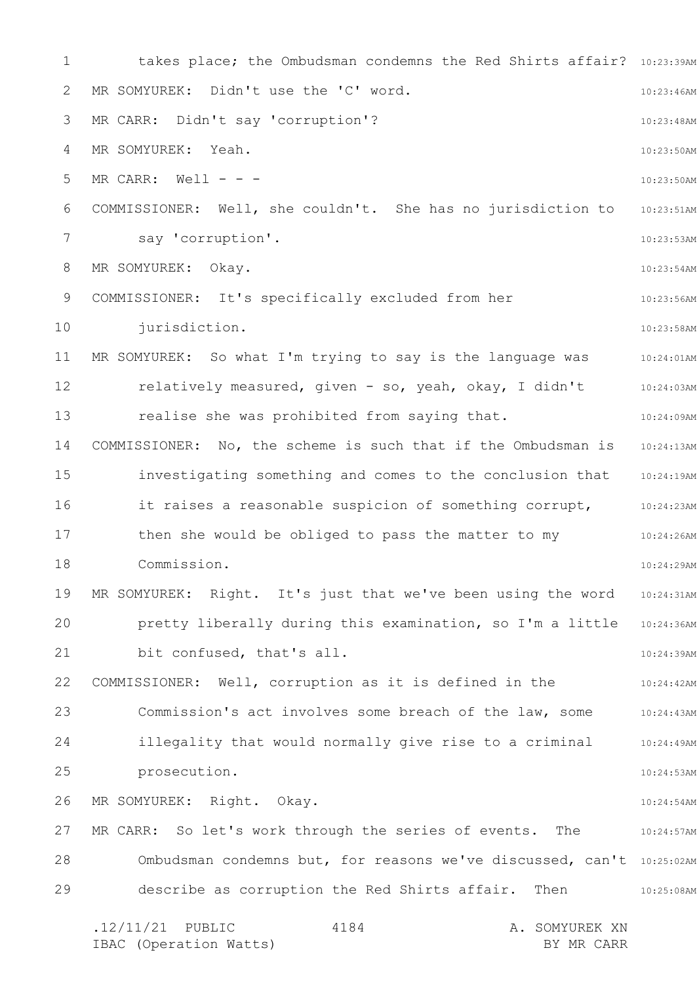1 2 3 4 5 6 7 8 9 10 11 12 13 14 15 16 17 18 19 20 21 22 23 24 25 26 27 28 29 takes place; the Ombudsman condemns the Red Shirts affair? 10:23:39AM 10:23:46AM 10:23:48AM 10:23:50AM 10:23:50AM 10:23:51AM 10:23:53AM 10:23:54AM 10:23:56AM 10:23:58AM 10:24:01AM 10:24:03AM 10:24:09AM 10:24:13AM 10:24:19AM it raises a reasonable suspicion of something corrupt, 10:24:23AM 10:24:26AM 10:24:29AM 10:24:31AM pretty liberally during this examination, so I'm a little 10:24:36AM 10:24:39AM 10:24:42AM 10:24:43AM 10:24:49AM 10:24:53AM 10:24:54AM 10:24:57AM Ombudsman condemns but, for reasons we've discussed, can't 10:25:02AM 10:25:08AM .12/11/21 PUBLIC 4184 A. SOMYUREK XN IBAC (Operation Watts) and the set of the BY MR CARR BY MR CARR 4184 MR SOMYUREK: Didn't use the 'C' word. MR CARR: Didn't say 'corruption'? MR SOMYUREK: Yeah.  $MR$  CARR: Well - - -COMMISSIONER: Well, she couldn't. She has no jurisdiction to say 'corruption'. MR SOMYUREK: Okay. COMMISSIONER: It's specifically excluded from her jurisdiction. MR SOMYUREK: So what I'm trying to say is the language was relatively measured, given - so, yeah, okay, I didn't realise she was prohibited from saying that. COMMISSIONER: No, the scheme is such that if the Ombudsman is investigating something and comes to the conclusion that then she would be obliged to pass the matter to my Commission. MR SOMYUREK: Right. It's just that we've been using the word bit confused, that's all. COMMISSIONER: Well, corruption as it is defined in the Commission's act involves some breach of the law, some illegality that would normally give rise to a criminal prosecution. MR SOMYUREK: Right. Okay. MR CARR: So let's work through the series of events. The describe as corruption the Red Shirts affair. Then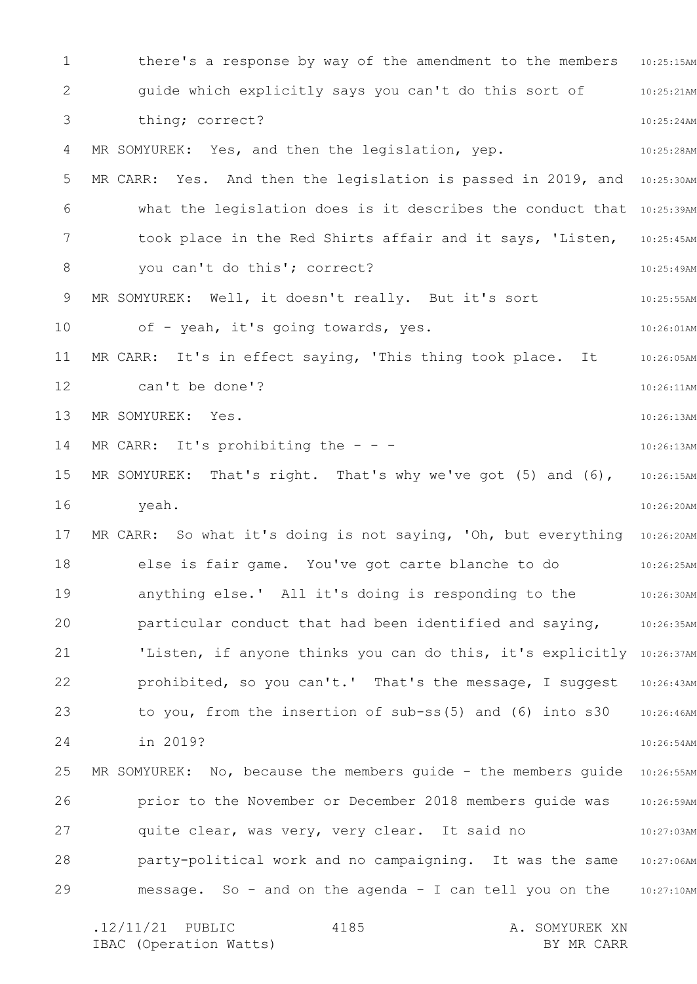1 2 3 4 5 6 7 8 9 10 11 12 13 14 15 16 17 18 19 20 21 22 23 24 25 26 27 28 29 there's a response by way of the amendment to the members 10:25:15AM 10:25:21AM 10:25:24AM 10:25:28AM MR CARR: Yes. And then the legislation is passed in 2019, and 10:25:30AM what the legislation does is it describes the conduct that 10:25:39AM took place in the Red Shirts affair and it says, 'Listen, 10:25:45AM 10:25:49AM 10:25:55AM 10:26:01AM 10:26:05AM 10:26:11AM 10:26:13AM 10:26:13AM 10:26:15AM 10:26:20AM MR CARR: So what it's doing is not saying, 'Oh, but everything 10:26:20AM 10:26:25AM 10:26:30AM 10:26:35AM 'Listen, if anyone thinks you can do this, it's explicitly 10:26:37AM 10:26:43AM 10:26:46AM 10:26:54AM MR SOMYUREK: No, because the members guide - the members guide 10:26:55AM 10:26:59AM 10:27:03AM party-political work and no campaigning. It was the same 10:27:06AM 10:27:10AM message. So - and on the agenda - I can tell you on the .12/11/21 PUBLIC 4185 A. SOMYUREK XN 4185 guide which explicitly says you can't do this sort of thing; correct? MR SOMYUREK: Yes, and then the legislation, yep. you can't do this'; correct? MR SOMYUREK: Well, it doesn't really. But it's sort of - yeah, it's going towards, yes. MR CARR: It's in effect saying, 'This thing took place. It can't be done'? MR SOMYUREK: Yes. MR CARR: It's prohibiting the  $-$  -MR SOMYUREK: That's right. That's why we've got (5) and (6), yeah. else is fair game. You've got carte blanche to do anything else.' All it's doing is responding to the particular conduct that had been identified and saying, prohibited, so you can't.' That's the message, I suggest to you, from the insertion of sub-ss(5) and (6) into s30 in 2019? prior to the November or December 2018 members guide was quite clear, was very, very clear. It said no

IBAC (Operation Watts) and the set of the BY MR CARR BY MR CARR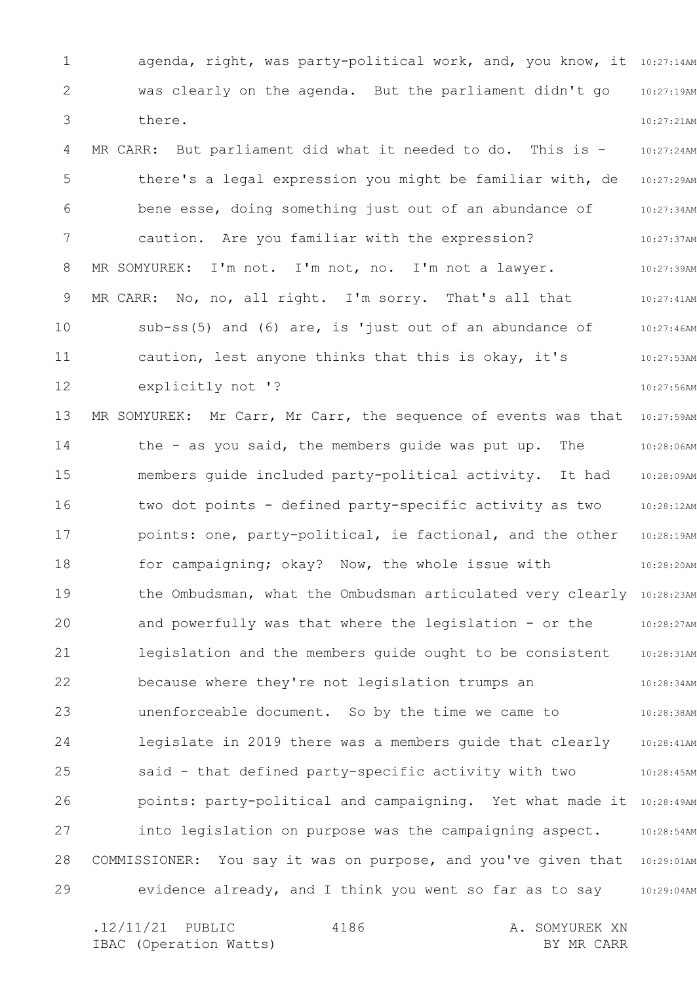1 2 3 4 5 6 7 8 9 10 11 12 13 14 15 16 17 18 19 20 21 22 23 24 25 26 27 28 29 agenda, right, was party-political work, and, you know, it 10:27:14AM 10:27:19AM 10:27:21AM 10:27:24AM 10:27:29AM 10:27:34AM 10:27:37AM 10:27:39AM 10:27:41AM 10:27:46AM 10:27:53AM 10:27:56AM 10:27:59AM 10:28:06AM 10:28:09AM 10:28:12AM 10:28:19AM 10:28:20AM the Ombudsman, what the Ombudsman articulated very clearly 10:28:23AM 10:28:27AM 10:28:31AM 10:28:34AM 10:28:38AM 10:28:41AM 10:28:45AM points: party-political and campaigning. Yet what made it 10:28:49AM 10:28:54AM 10:29:01AM 10:29:04AM was clearly on the agenda. But the parliament didn't go there. MR CARR: But parliament did what it needed to do. This is there's a legal expression you might be familiar with, de bene esse, doing something just out of an abundance of caution. Are you familiar with the expression? MR SOMYUREK: I'm not. I'm not, no. I'm not a lawyer. MR CARR: No, no, all right. I'm sorry. That's all that sub-ss(5) and (6) are, is 'just out of an abundance of caution, lest anyone thinks that this is okay, it's explicitly not '? MR SOMYUREK: Mr Carr, Mr Carr, the sequence of events was that the - as you said, the members guide was put up. The members guide included party-political activity. It had two dot points - defined party-specific activity as two points: one, party-political, ie factional, and the other for campaigning; okay? Now, the whole issue with and powerfully was that where the legislation - or the legislation and the members guide ought to be consistent because where they're not legislation trumps an unenforceable document. So by the time we came to legislate in 2019 there was a members guide that clearly said - that defined party-specific activity with two into legislation on purpose was the campaigning aspect. COMMISSIONER: You say it was on purpose, and you've given that evidence already, and I think you went so far as to say

.12/11/21 PUBLIC 4186 A. SOMYUREK XN IBAC (Operation Watts) and the set of the BY MR CARR BY MR CARR 4186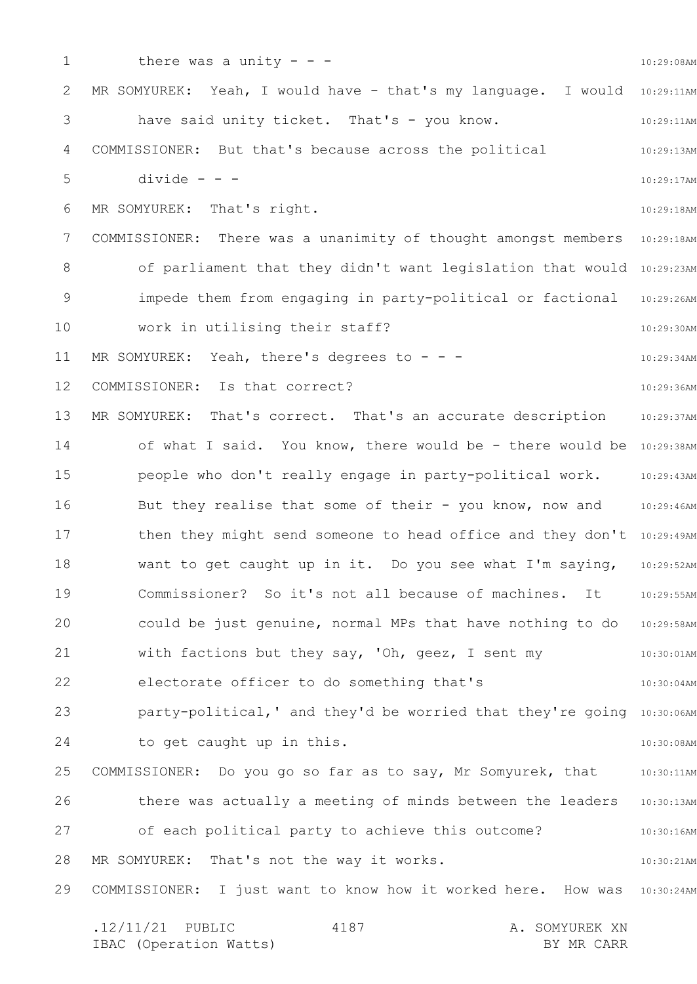1 2 3 4 5 6 7 8 9 10 11 12 13 14 15 16 17 18 19 20 21 22 23 24 25 26 27 28 29 10:29:08AM MR SOMYUREK: Yeah, I would have - that's my language. I would 10:29:11AM 10:29:11AM 10:29:13AM 10:29:17AM 10:29:18AM COMMISSIONER: There was a unanimity of thought amongst members 10:29:18AM of parliament that they didn't want legislation that would 10:29:23AM impede them from engaging in party-political or factional 10:29:26AM 10:29:30AM 10:29:34AM 10:29:36AM 10:29:37AM of what I said. You know, there would be - there would be 10:29:38AM 10:29:43AM 10:29:46AM then they might send someone to head office and they don't 10:29:49AM 10:29:52AM 10:29:55AM could be just genuine, normal MPs that have nothing to do 10:29:58AM 10:30:01AM 10:30:04AM party-political,' and they'd be worried that they're going 10:30:06AM 10:30:08AM 10:30:11AM 10:30:13AM 10:30:16AM 10:30:21AM COMMISSIONER: I just want to know how it worked here. How was 10:30:24AM .12/11/21 PUBLIC 4187 A. SOMYUREK XN 4187 there was a unity  $-$ have said unity ticket. That's - you know. COMMISSIONER: But that's because across the political  $divide - -$ MR SOMYUREK: That's right. work in utilising their staff? MR SOMYUREK: Yeah, there's degrees to  $-$  - -COMMISSIONER: Is that correct? MR SOMYUREK: That's correct. That's an accurate description people who don't really engage in party-political work. But they realise that some of their - you know, now and want to get caught up in it. Do you see what I'm saying, Commissioner? So it's not all because of machines. It with factions but they say, 'Oh, geez, I sent my electorate officer to do something that's to get caught up in this. COMMISSIONER: Do you go so far as to say, Mr Somyurek, that there was actually a meeting of minds between the leaders of each political party to achieve this outcome? MR SOMYUREK: That's not the way it works.

IBAC (Operation Watts) and the set of the BY MR CARR BY MR CARR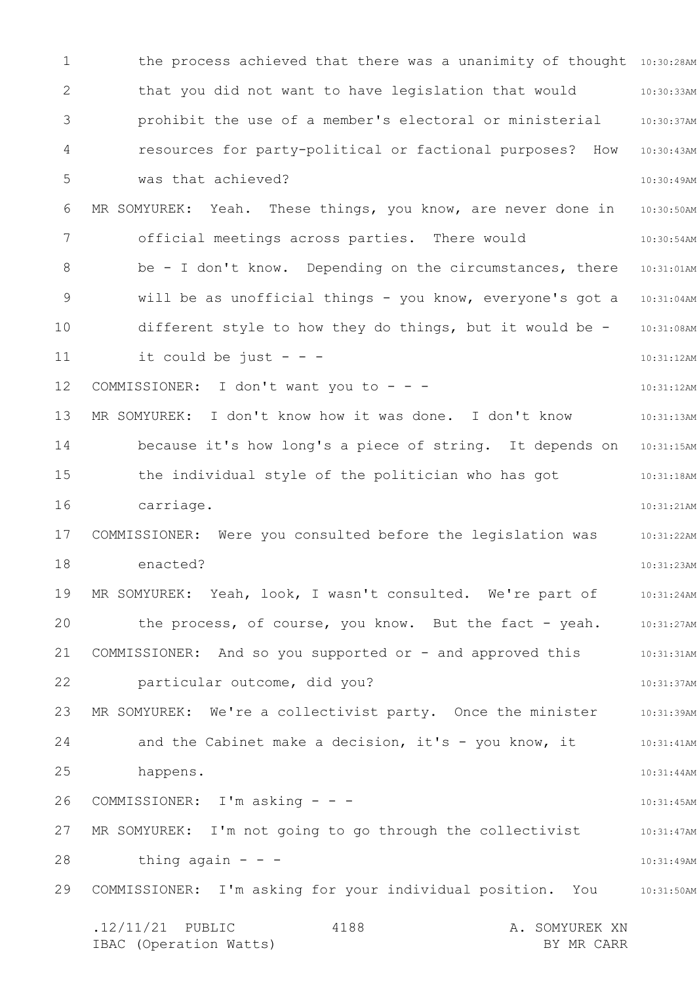1 2 3 4 5 6 7 8 9 10 11 12 13 14 15 16 17 18 19 20 21 22 23 24 25 26 27 28 29 the process achieved that there was a unanimity of thought 10:30:28AM 10:30:33AM 10:30:37AM 10:30:43AM 10:30:49AM 10:30:50AM 10:30:54AM be - I don't know. Depending on the circumstances, there 10:31:01AM will be as unofficial things - you know, everyone's got a 10:31:04AM 10:31:08AM 10:31:12AM 10:31:12AM 10:31:13AM because it's how long's a piece of string. It depends on 10:31:15AM 10:31:18AM 10:31:21AM 10:31:22AM 10:31:23AM 10:31:24AM 10:31:27AM 10:31:31AM 10:31:37AM 10:31:39AM 10:31:41AM 10:31:44AM 10:31:45AM 10:31:47AM 10:31:49AM COMMISSIONER: I'm asking for your individual position. You and 10:31:50AM .12/11/21 PUBLIC 4188 A. SOMYUREK XN IBAC (Operation Watts) and the set of the BY MR CARR BY MR CARR 4188 that you did not want to have legislation that would prohibit the use of a member's electoral or ministerial resources for party-political or factional purposes? How was that achieved? MR SOMYUREK: Yeah. These things, you know, are never done in official meetings across parties. There would different style to how they do things, but it would be it could be just  $- -$ COMMISSIONER: I don't want you to - - -MR SOMYUREK: I don't know how it was done. I don't know the individual style of the politician who has got carriage. COMMISSIONER: Were you consulted before the legislation was enacted? MR SOMYUREK: Yeah, look, I wasn't consulted. We're part of the process, of course, you know. But the fact - yeah. COMMISSIONER: And so you supported or - and approved this particular outcome, did you? MR SOMYUREK: We're a collectivist party. Once the minister and the Cabinet make a decision, it's - you know, it happens. COMMISSIONER: I'm asking - - - MR SOMYUREK: I'm not going to go through the collectivist thing again  $- -$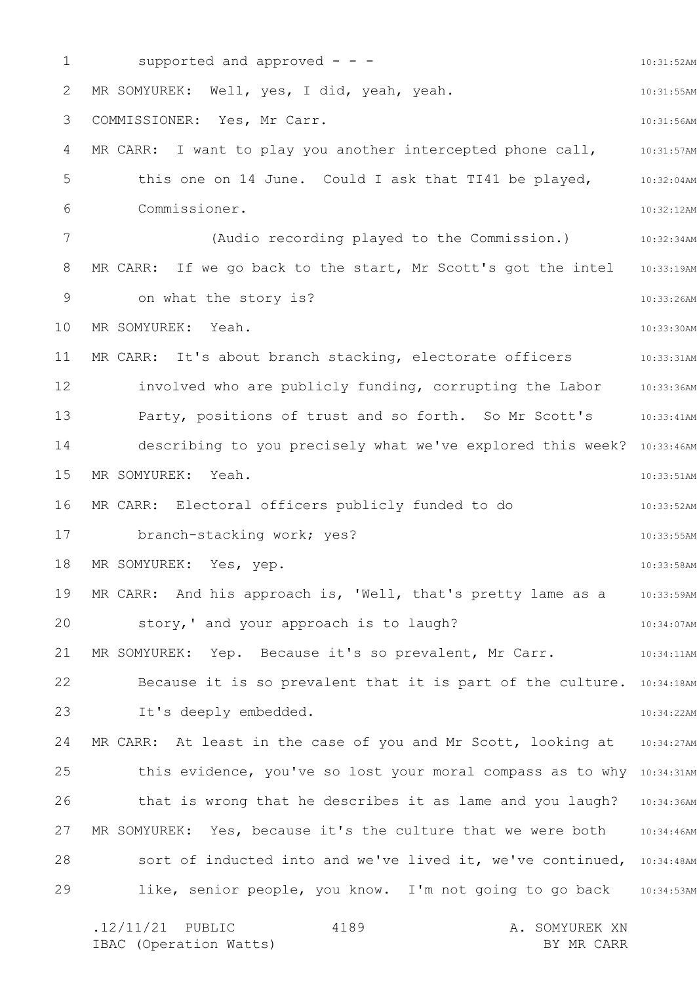1 2 3 4 5 6 7 8 9 10 11 12 13 14 15 16 17 18 19 20 21 22 23 24 25 26 27 28 29 10:31:52AM 10:31:55AM 10:31:56AM 10:31:57AM 10:32:04AM 10:32:12AM 10:32:34AM MR CARR: If we go back to the start, Mr Scott's got the intel 10:33:19AM 10:33:26AM 10:33:30AM 10:33:31AM involved who are publicly funding, corrupting the Labor 10:33:36AM 10:33:41AM describing to you precisely what we've explored this week? 10:33:46AM 10:33:51AM 10:33:52AM 10:33:55AM 10:33:58AM 10:33:59AM 10:34:07AM 10:34:11AM Because it is so prevalent that it is part of the culture. 10:34:18AM 10:34:22AM MR CARR: At least in the case of you and Mr Scott, looking at 10:34:27AM this evidence, you've so lost your moral compass as to why 10:34:31AM that is wrong that he describes it as lame and you laugh? 10:34:36AM MR SOMYUREK: Yes, because it's the culture that we were both 10:34:46AM sort of inducted into and we've lived it, we've continued, 10:34:48AM like, senior people, you know. I'm not going to go back 10:34:53AM supported and approved  $-$  -  $-$ MR SOMYUREK: Well, yes, I did, yeah, yeah. COMMISSIONER: Yes, Mr Carr. MR CARR: I want to play you another intercepted phone call, this one on 14 June. Could I ask that TI41 be played, Commissioner. (Audio recording played to the Commission.) on what the story is? MR SOMYUREK: Yeah. MR CARR: It's about branch stacking, electorate officers Party, positions of trust and so forth. So Mr Scott's MR SOMYUREK: Yeah. MR CARR: Electoral officers publicly funded to do branch-stacking work; yes? MR SOMYUREK: Yes, yep. MR CARR: And his approach is, 'Well, that's pretty lame as a story,' and your approach is to laugh? MR SOMYUREK: Yep. Because it's so prevalent, Mr Carr. It's deeply embedded.

.12/11/21 PUBLIC 4189 A. SOMYUREK XN IBAC (Operation Watts) and the set of the BY MR CARR BY MR CARR 4189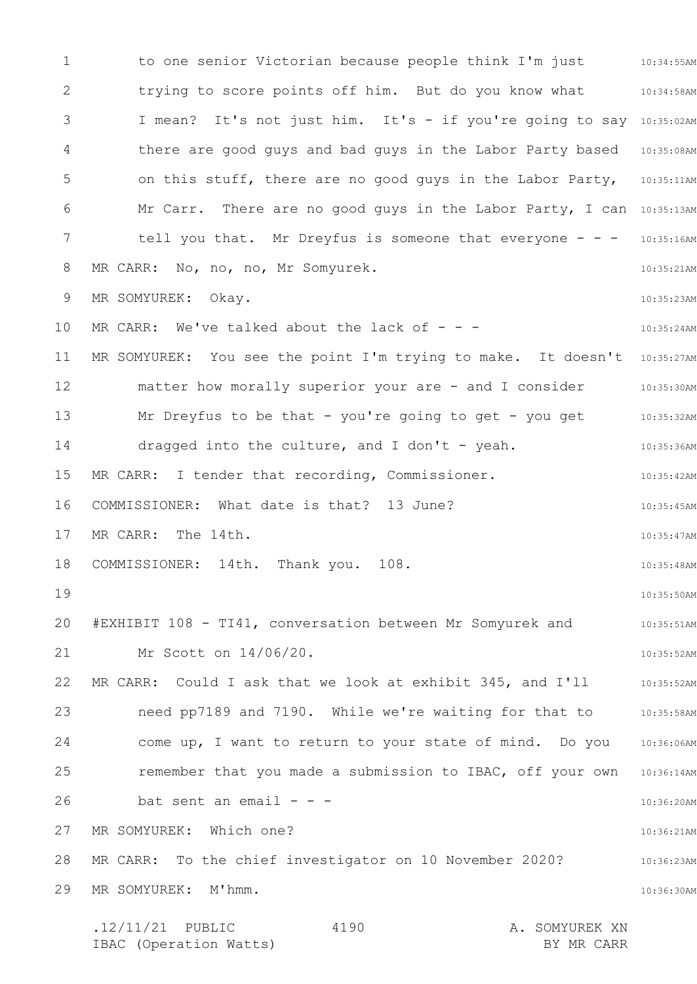1 2 3 4 5 6 7 8 9 10 11 12 13 14 15 16 17 18 19 20 21 22 23 24 25 26 27 28 29 to one senior Victorian because people think I'm just 10:34:55AM 10:34:58AM I mean? It's not just him. It's - if you're going to say 10:35:02AM there are good guys and bad guys in the Labor Party based 10:35:08AM on this stuff, there are no good guys in the Labor Party, 10:35:11AM Mr Carr. There are no good guys in the Labor Party, I can 10:35:13AM tell you that. Mr Dreyfus is someone that everyone - - - 10:35:16AM 10:35:21AM 10:35:23AM 10:35:24AM MR SOMYUREK: You see the point I'm trying to make. It doesn't 10:35:27AM matter how morally superior your are - and I consider  $\qquad \qquad$  10:35:30AM 10:35:32AM 10:35:36AM 10:35:42AM 10:35:45AM 10:35:47AM 10:35:48AM 10:35:50AM 10:35:51AM 10:35:52AM 10:35:52AM need pp7189 and 7190. While we're waiting for that to 35:58AM come up, I want to return to your state of mind. Do you 10:36:06AM remember that you made a submission to IBAC, off your own 10:36:14AM 10:36:20AM 10:36:21AM 10:36:23AM 10:36:30AM .12/11/21 PUBLIC 4190 A. SOMYUREK XN 4190 trying to score points off him. But do you know what MR CARR: No, no, no, Mr Somyurek. MR SOMYUREK: Okay. MR CARR: We've talked about the lack of  $-$  -Mr Dreyfus to be that - you're going to get - you get dragged into the culture, and I don't - yeah. MR CARR: I tender that recording, Commissioner. COMMISSIONER: What date is that? 13 June? MR CARR: The 14th. COMMISSIONER: 14th. Thank you. 108. #EXHIBIT 108 - TI41, conversation between Mr Somyurek and Mr Scott on 14/06/20. MR CARR: Could I ask that we look at exhibit 345, and I'll bat sent an email  $- -$ MR SOMYUREK: Which one? MR CARR: To the chief investigator on 10 November 2020? MR SOMYUREK: M'hmm.

IBAC (Operation Watts) BY MR CARR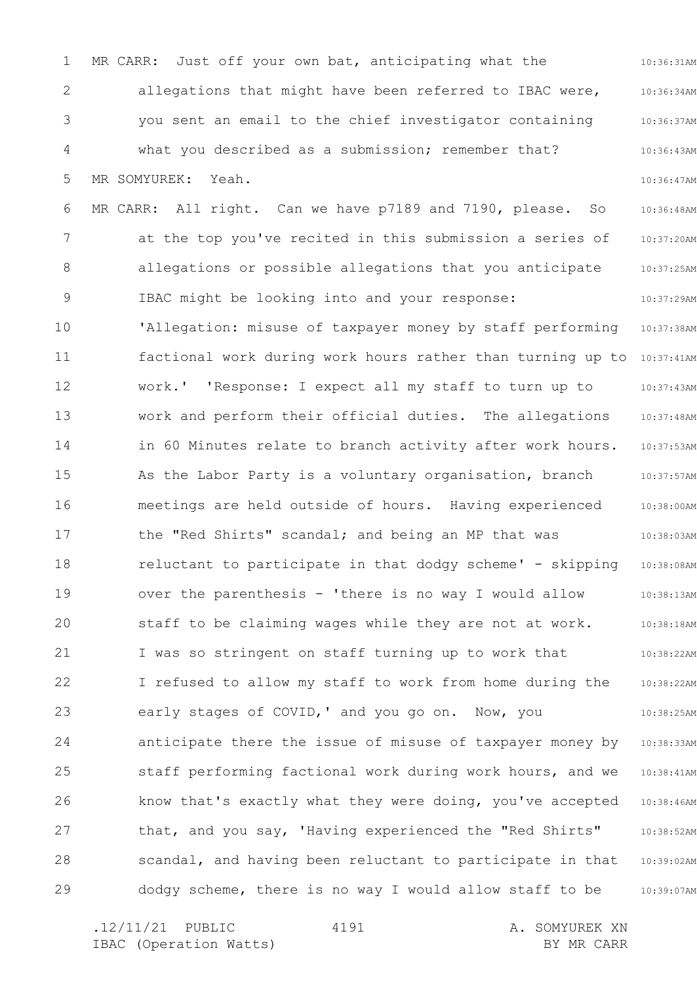1 2 3 4 5 6 7 8 9 10 11 12 13 14 15 16 17 18 19 20 21 22 23 24 25 26 27 28 29 10:36:31AM 10:36:34AM 10:36:37AM 10:36:43AM 10:36:47AM 10:36:48AM 10:37:20AM 10:37:25AM 10:37:29AM 10:37:38AM factional work during work hours rather than turning up to 10:37:41AM 10:37:43AM 10:37:48AM 10:37:53AM 10:37:57AM 10:38:00AM 10:38:03AM 10:38:08AM 10:38:13AM 10:38:18AM 10:38:22AM 10:38:22AM 10:38:25AM 10:38:33AM 10:38:41AM 10:38:46AM 10:38:52AM 10:39:02AM 10:39:07AM MR CARR: Just off your own bat, anticipating what the allegations that might have been referred to IBAC were, you sent an email to the chief investigator containing what you described as a submission; remember that? MR SOMYUREK: Yeah. MR CARR: All right. Can we have p7189 and 7190, please. So at the top you've recited in this submission a series of allegations or possible allegations that you anticipate IBAC might be looking into and your response: 'Allegation: misuse of taxpayer money by staff performing work.' 'Response: I expect all my staff to turn up to work and perform their official duties. The allegations in 60 Minutes relate to branch activity after work hours. As the Labor Party is a voluntary organisation, branch meetings are held outside of hours. Having experienced the "Red Shirts" scandal; and being an MP that was reluctant to participate in that dodgy scheme' - skipping over the parenthesis - 'there is no way I would allow staff to be claiming wages while they are not at work. I was so stringent on staff turning up to work that I refused to allow my staff to work from home during the early stages of COVID,' and you go on. Now, you anticipate there the issue of misuse of taxpayer money by staff performing factional work during work hours, and we know that's exactly what they were doing, you've accepted that, and you say, 'Having experienced the "Red Shirts" scandal, and having been reluctant to participate in that dodgy scheme, there is no way I would allow staff to be

4191

.12/11/21 PUBLIC 4191 A. SOMYUREK XN IBAC (Operation Watts) and the set of the BY MR CARR BY MR CARR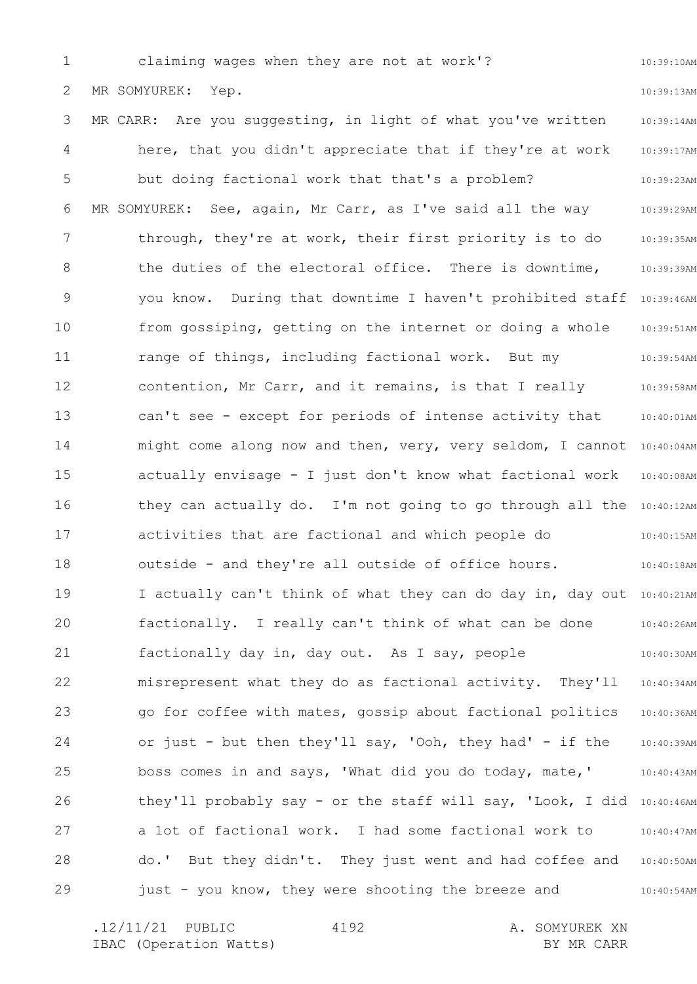1 2 3 4 5 6 7 8 9 10 11 12 13 14 15 16 17 18 19 20 21 22 23 24 25 26 27 28 29 10:39:10AM 10:39:13AM 10:39:14AM 10:39:17AM 10:39:23AM 10:39:29AM 10:39:35AM 10:39:39AM you know. During that downtime I haven't prohibited staff 10:39:46AM 10:39:51AM 10:39:54AM 10:39:58AM 10:40:01AM might come along now and then, very, very seldom, I cannot  $10:40:04$ AM 10:40:08AM they can actually do. I'm not going to go through all the 10:40:12AM 10:40:15AM 10:40:18AM I actually can't think of what they can do day in, day out 10:40:21AM 10:40:26AM 10:40:30AM 10:40:34AM 10:40:36AM 10:40:39AM 10:40:43AM they'll probably say - or the staff will say, 'Look, I did 10:40:46AM 10:40:47AM 10:40:50AM 10:40:54AM claiming wages when they are not at work'? MR SOMYUREK: Yep. MR CARR: Are you suggesting, in light of what you've written here, that you didn't appreciate that if they're at work but doing factional work that that's a problem? MR SOMYUREK: See, again, Mr Carr, as I've said all the way through, they're at work, their first priority is to do the duties of the electoral office. There is downtime, from gossiping, getting on the internet or doing a whole range of things, including factional work. But my contention, Mr Carr, and it remains, is that I really can't see - except for periods of intense activity that actually envisage - I just don't know what factional work activities that are factional and which people do outside - and they're all outside of office hours. factionally. I really can't think of what can be done factionally day in, day out. As I say, people misrepresent what they do as factional activity. They'll go for coffee with mates, gossip about factional politics or just - but then they'll say, 'Ooh, they had' - if the boss comes in and says, 'What did you do today, mate,' a lot of factional work. I had some factional work to do.' But they didn't. They just went and had coffee and just - you know, they were shooting the breeze and

4192

.12/11/21 PUBLIC 4192 A. SOMYUREK XN IBAC (Operation Watts) and the set of the BY MR CARR BY MR CARR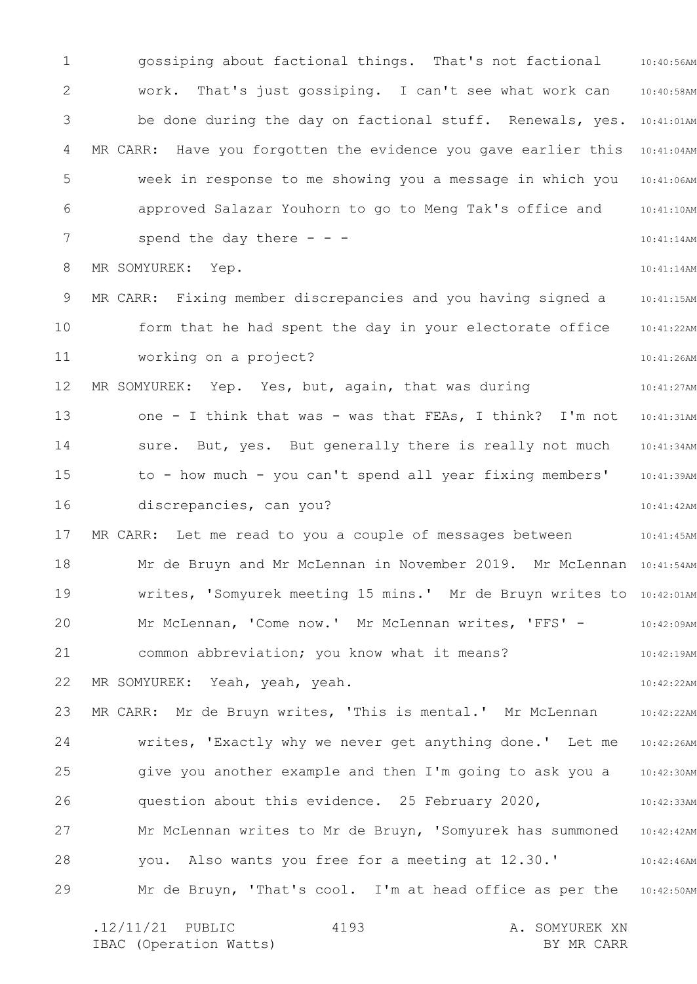1 2 3 4 5 6 7 8 9 10 11 12 13 14 15 16 17 18 19 20 21 22 23 24 25 26 27 28 29 10:40:56AM 10:40:58AM be done during the day on factional stuff. Renewals, yes. 10:41:01AM 10:41:04AM 10:41:06AM 10:41:10AM 10:41:14AM 10:41:14AM 10:41:15AM 10:41:22AM 10:41:26AM 10:41:27AM 10:41:31AM 10:41:34AM 10:41:39AM 10:41:42AM 10:41:45AM Mr de Bruyn and Mr McLennan in November 2019. Mr McLennan 10:41:54AM writes, 'Somyurek meeting 15 mins.' Mr de Bruyn writes to 10:42:01AM 10:42:09AM 10:42:19AM 10:42:22AM 10:42:22AM 10:42:26AM 10:42:30AM 10:42:33AM 10:42:42AM 10:42:46AM Mr de Bruyn, 'That's cool. I'm at head office as per the 10:42:50AM gossiping about factional things. That's not factional work. That's just gossiping. I can't see what work can MR CARR: Have you forgotten the evidence you gave earlier this week in response to me showing you a message in which you approved Salazar Youhorn to go to Meng Tak's office and spend the day there  $-$  -  $-$ MR SOMYUREK: Yep. MR CARR: Fixing member discrepancies and you having signed a form that he had spent the day in your electorate office working on a project? MR SOMYUREK: Yep. Yes, but, again, that was during one - I think that was - was that FEAs, I think? I'm not sure. But, yes. But generally there is really not much to - how much - you can't spend all year fixing members' discrepancies, can you? MR CARR: Let me read to you a couple of messages between Mr McLennan, 'Come now.' Mr McLennan writes, 'FFS' common abbreviation; you know what it means? MR SOMYUREK: Yeah, yeah, yeah. MR CARR: Mr de Bruyn writes, 'This is mental.' Mr McLennan writes, 'Exactly why we never get anything done.' Let me give you another example and then I'm going to ask you a question about this evidence. 25 February 2020, Mr McLennan writes to Mr de Bruyn, 'Somyurek has summoned you. Also wants you free for a meeting at 12.30.'

.12/11/21 PUBLIC 4193 A. SOMYUREK XN IBAC (Operation Watts) and the set of the BY MR CARR BY MR CARR 4193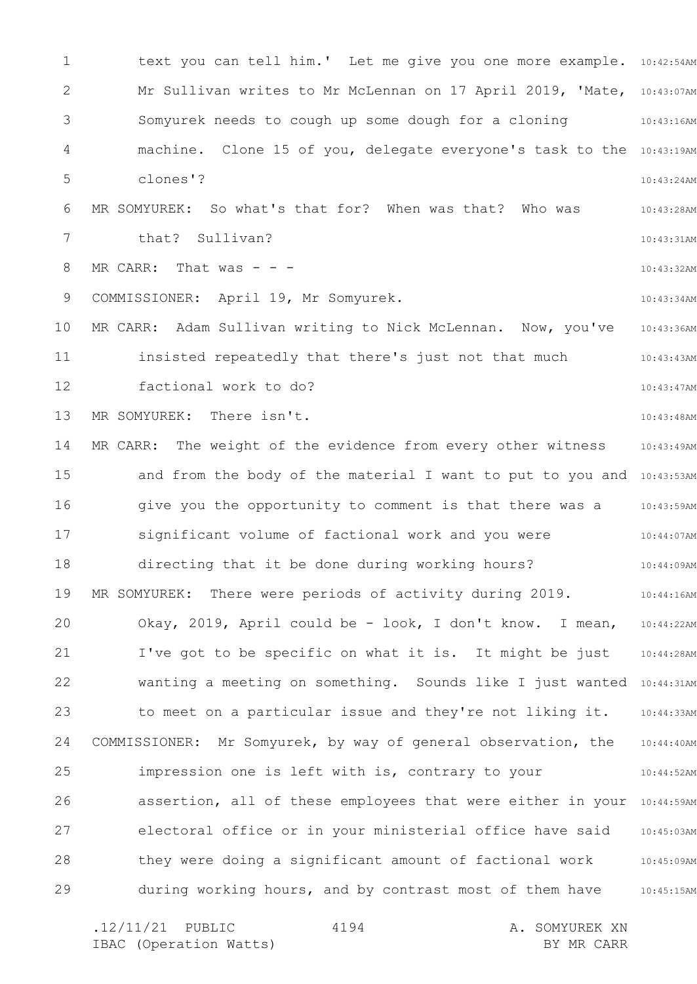1 2 3 4 5 6 7 8 9 10 11 12 13 14 15 16 17 18 19 20 21 22 23 24 25 26 27 28 29 text you can tell him.' Let me give you one more example. 10:42:54AM Mr Sullivan writes to Mr McLennan on 17 April 2019, 'Mate, 10:43:07AM 10:43:16AM machine. Clone 15 of you, delegate everyone's task to the 10:43:19AM 10:43:24AM 10:43:28AM 10:43:31AM 10:43:32AM 10:43:34AM 10:43:36AM 10:43:43AM 10:43:47AM 10:43:48AM 10:43:49AM and from the body of the material I want to put to you and 10:43:53AM 10:43:59AM 10:44:07AM 10:44:09AM 10:44:16AM 10:44:22AM 10:44:28AM wanting a meeting on something. Sounds like I just wanted 10:44:31AM 10:44:33AM 10:44:40AM 10:44:52AM assertion, all of these employees that were either in your 10:44:59AM 10:45:03AM 10:45:09AM 10:45:15AM Somyurek needs to cough up some dough for a cloning clones'? MR SOMYUREK: So what's that for? When was that? Who was that? Sullivan? MR CARR: That was  $-$  -  $-$ COMMISSIONER: April 19, Mr Somyurek. MR CARR: Adam Sullivan writing to Nick McLennan. Now, you've insisted repeatedly that there's just not that much factional work to do? MR SOMYUREK: There isn't. MR CARR: The weight of the evidence from every other witness give you the opportunity to comment is that there was a significant volume of factional work and you were directing that it be done during working hours? MR SOMYUREK: There were periods of activity during 2019. Okay, 2019, April could be - look, I don't know. I mean, I've got to be specific on what it is. It might be just to meet on a particular issue and they're not liking it. COMMISSIONER: Mr Somyurek, by way of general observation, the impression one is left with is, contrary to your electoral office or in your ministerial office have said they were doing a significant amount of factional work during working hours, and by contrast most of them have

.12/11/21 PUBLIC 4194 A. SOMYUREK XN IBAC (Operation Watts) and the set of the BY MR CARR BY MR CARR 4194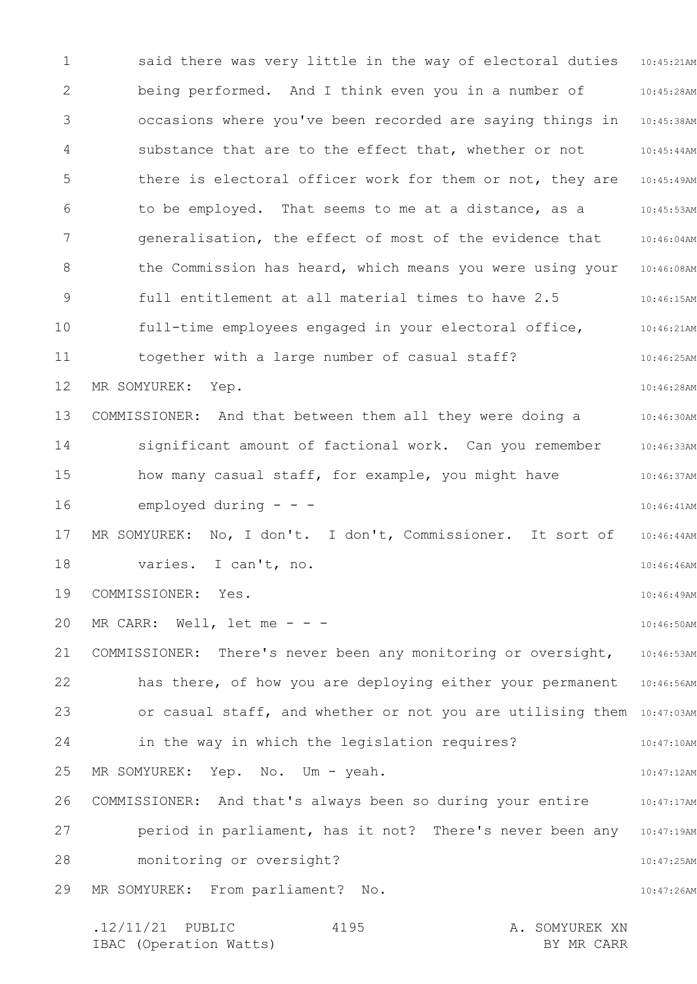1 2 3 4 5 6 7 8 9 10 11 12 13 14 15 16 17 18 19 20 21 22 23 24 25 26 27 28 29 said there was very little in the way of electoral duties 10:45:21AM 10:45:28AM 10:45:38AM 10:45:44AM there is electoral officer work for them or not, they are 10:45:49AM 10:45:53AM 10:46:04AM the Commission has heard, which means you were using your 10:46:08AM 10:46:15AM 10:46:21AM 10:46:25AM 10:46:28AM 10:46:30AM 10:46:33AM 10:46:37AM 10:46:41AM 10:46:44AM 10:46:46AM 10:46:49AM 10:46:50AM 10:46:53AM has there, of how you are deploying either your permanent 10:46:56AM or casual staff, and whether or not you are utilising them 10:47:03AM 10:47:10AM 10:47:12AM 10:47:17AM 10:47:19AM 10:47:25AM 10:47:26AM being performed. And I think even you in a number of occasions where you've been recorded are saying things in substance that are to the effect that, whether or not to be employed. That seems to me at a distance, as a generalisation, the effect of most of the evidence that full entitlement at all material times to have 2.5 full-time employees engaged in your electoral office, together with a large number of casual staff? MR SOMYUREK: Yep. COMMISSIONER: And that between them all they were doing a significant amount of factional work. Can you remember how many casual staff, for example, you might have employed during  $-$ MR SOMYUREK: No, I don't. I don't, Commissioner. It sort of varies. I can't, no. COMMISSIONER: Yes. MR CARR: Well, let me - - -COMMISSIONER: There's never been any monitoring or oversight, in the way in which the legislation requires? MR SOMYUREK: Yep. No. Um - yeah. COMMISSIONER: And that's always been so during your entire period in parliament, has it not? There's never been any monitoring or oversight? MR SOMYUREK: From parliament? No.

.12/11/21 PUBLIC 4195 A. SOMYUREK XN IBAC (Operation Watts) BY MR CARR 4195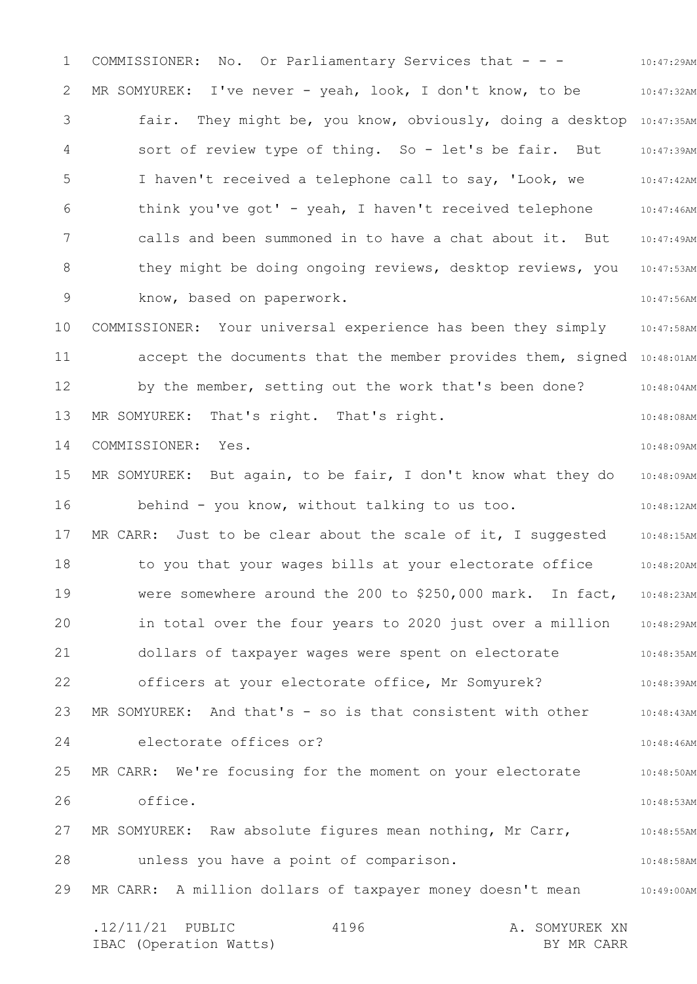1 2 3 4 5 6 7 8 9 10 11 12 13 14 15 16 17 18 19 20 21 22 23 24 25 26 27 28 29 10:47:29AM 10:47:32AM fair. They might be, you know, obviously, doing a desktop 10:47:35AM 10:47:39AM 10:47:42AM 10:47:46AM 10:47:49AM they might be doing ongoing reviews, desktop reviews, you 10:47:53AM 10:47:56AM 10:47:58AM accept the documents that the member provides them, signed 10:48:01AM 10:48:04AM 10:48:08AM 10:48:09AM 10:48:09AM 10:48:12AM 10:48:15AM 10:48:20AM 10:48:23AM in total over the four years to 2020 just over a million 10:48:29AM 10:48:35AM 10:48:39AM 10:48:43AM 10:48:46AM 10:48:50AM 10:48:53AM 10:48:55AM 10:48:58AM MR CARR: A million dollars of taxpayer money doesn't mean and the 10:49:00AM .12/11/21 PUBLIC 4196 A. SOMYUREK XN IBAC (Operation Watts) and the set of the BY MR CARR BY MR CARR 4196 COMMISSIONER: No. Or Parliamentary Services that - - - MR SOMYUREK: I've never - yeah, look, I don't know, to be sort of review type of thing. So - let's be fair. But I haven't received a telephone call to say, 'Look, we think you've got' - yeah, I haven't received telephone calls and been summoned in to have a chat about it. But know, based on paperwork. COMMISSIONER: Your universal experience has been they simply by the member, setting out the work that's been done? MR SOMYUREK: That's right. That's right. COMMISSIONER: Yes. MR SOMYUREK: But again, to be fair, I don't know what they do behind - you know, without talking to us too. MR CARR: Just to be clear about the scale of it, I suggested to you that your wages bills at your electorate office were somewhere around the 200 to \$250,000 mark. In fact, dollars of taxpayer wages were spent on electorate officers at your electorate office, Mr Somyurek? MR SOMYUREK: And that's - so is that consistent with other electorate offices or? MR CARR: We're focusing for the moment on your electorate office. MR SOMYUREK: Raw absolute figures mean nothing, Mr Carr, unless you have a point of comparison.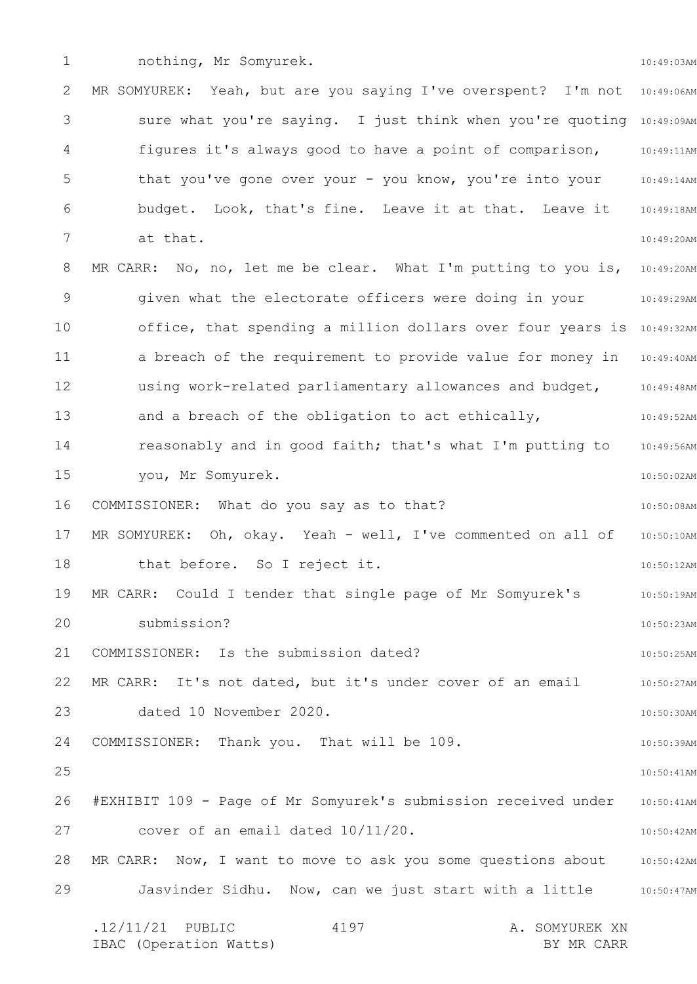1

10:49:03AM

2 3 4 5 6 7 8 9 10 11 12 13 14 15 16 17 18 19 20 21 22 23 24 25 26 27 28 29 MR SOMYUREK: Yeah, but are you saying I've overspent? I'm not 10:49:06AM sure what you're saying. I just think when you're quoting 10:49:09AM figures it's always good to have a point of comparison, 10:49:11AM 10:49:14AM 10:49:18AM 10:49:20AM MR CARR: No, no, let me be clear. What I'm putting to you is, 10:49:20AM 10:49:29AM office, that spending a million dollars over four years is 10:49:32AM 10:49:40AM 10:49:48AM 10:49:52AM 10:49:56AM 10:50:02AM 10:50:08AM 10:50:10AM 10:50:12AM 10:50:19AM 10:50:23AM 10:50:25AM 10:50:27AM 10:50:30AM 10:50:39AM 10:50:41AM 10:50:41AM 10:50:42AM MR CARR: Now, I want to move to ask you some questions about 10:50:42AM 10:50:47AM .12/11/21 PUBLIC 4197 A. SOMYUREK XN IBAC (Operation Watts) and the set of the BY MR CARR BY MR CARR 4197 that you've gone over your - you know, you're into your budget. Look, that's fine. Leave it at that. Leave it at that. given what the electorate officers were doing in your a breach of the requirement to provide value for money in using work-related parliamentary allowances and budget, and a breach of the obligation to act ethically, reasonably and in good faith; that's what I'm putting to you, Mr Somyurek. COMMISSIONER: What do you say as to that? MR SOMYUREK: Oh, okay. Yeah - well, I've commented on all of that before. So I reject it. MR CARR: Could I tender that single page of Mr Somyurek's submission? COMMISSIONER: Is the submission dated? MR CARR: It's not dated, but it's under cover of an email dated 10 November 2020. COMMISSIONER: Thank you. That will be 109. #EXHIBIT 109 - Page of Mr Somyurek's submission received under cover of an email dated 10/11/20. Jasvinder Sidhu. Now, can we just start with a little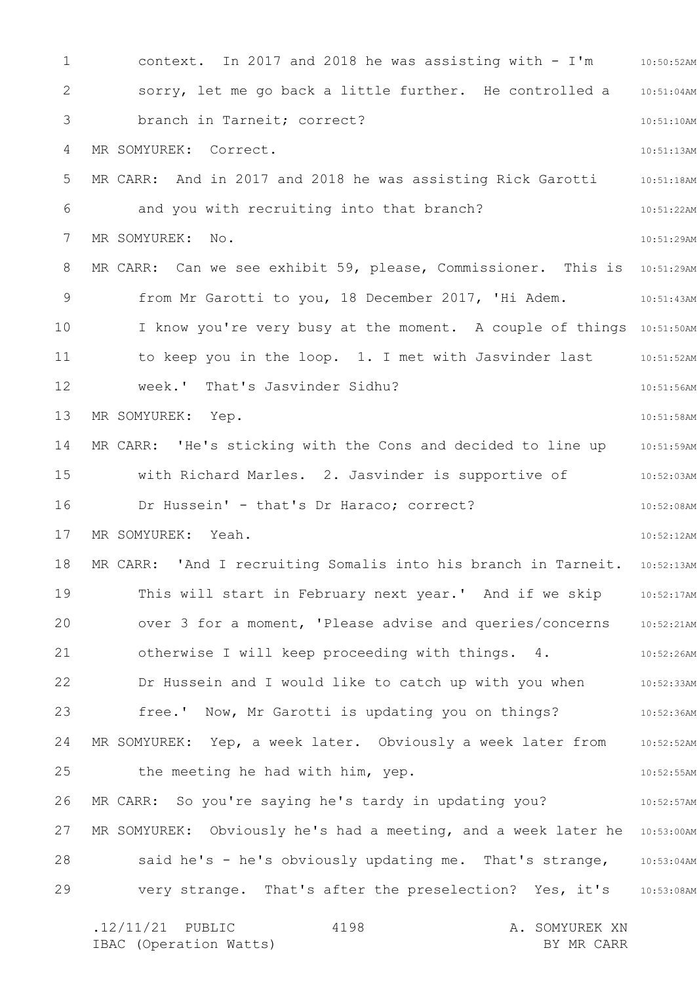1 2 3 4 5 6 7 8 9 10 11 12 13 14 15 16 17 18 19 20 21 22 23 24 25 26 27 28 29 context. In 2017 and 2018 he was assisting with - I'm 10:50:52AM 10:51:04AM 10:51:10AM 10:51:13AM 10:51:18AM 10:51:22AM 10:51:29AM MR CARR: Can we see exhibit 59, please, Commissioner. This is 10:51:29AM 10:51:43AM I know you're very busy at the moment. A couple of things 10:51:50AM 10:51:52AM 10:51:56AM 10:51:58AM 10:51:59AM 10:52:03AM 10:52:08AM 10:52:12AM MR CARR: 'And I recruiting Somalis into his branch in Tarneit. 10:52:13AM This will start in February next year.' And if we skip 10:52:17AM over 3 for a moment, 'Please advise and queries/concerns 10:52:21AM 10:52:26AM 10:52:33AM 10:52:36AM MR SOMYUREK: Yep, a week later. Obviously a week later from 10:52:52AM 10:52:55AM 10:52:57AM MR SOMYUREK: Obviously he's had a meeting, and a week later he 10:53:00AM said he's - he's obviously updating me. That's strange, 10:53:04AM very strange. That's after the preselection? Yes, it's 310:53:08AM .12/11/21 PUBLIC 4198 A. SOMYUREK XN 4198 sorry, let me go back a little further. He controlled a branch in Tarneit; correct? MR SOMYUREK: Correct. MR CARR: And in 2017 and 2018 he was assisting Rick Garotti and you with recruiting into that branch? MR SOMYUREK: No. from Mr Garotti to you, 18 December 2017, 'Hi Adem. to keep you in the loop. 1. I met with Jasvinder last week.' That's Jasvinder Sidhu? MR SOMYUREK: Yep. MR CARR: 'He's sticking with the Cons and decided to line up with Richard Marles. 2. Jasvinder is supportive of Dr Hussein' - that's Dr Haraco; correct? MR SOMYUREK: Yeah. otherwise I will keep proceeding with things. 4. Dr Hussein and I would like to catch up with you when free.' Now, Mr Garotti is updating you on things? the meeting he had with him, yep. MR CARR: So you're saying he's tardy in updating you?

IBAC (Operation Watts) and the set of the BY MR CARR BY MR CARR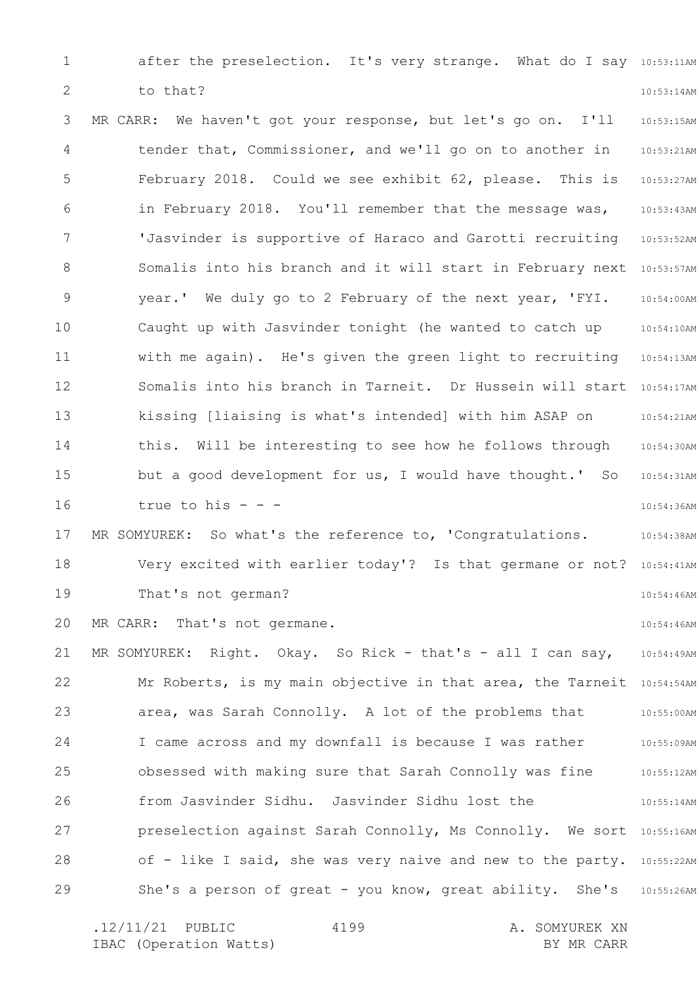1 2 after the preselection. It's very strange. What do I say 10:53:11AM 10:53:14AM to that?

3 4 5 6 7 8 9 10 11 12 13 14 15 16 17 18 19 20 21 22 23 24 25 26 27 28 10:53:15AM 10:53:21AM 10:53:27AM 10:53:43AM 10:53:52AM Somalis into his branch and it will start in February next 10:53:57AM 10:54:00AM 10:54:10AM 10:54:13AM Somalis into his branch in Tarneit. Dr Hussein will start 10:54:17AM 10:54:21AM 10:54:30AM 10:54:31AM 10:54:36AM 10:54:38AM Very excited with earlier today'? Is that germane or not? 10:54:41AM 10:54:46AM 10:54:46AM 10:54:49AM Mr Roberts, is my main objective in that area, the Tarneit 10:54:54AM 10:55:00AM 10:55:09AM 10:55:12AM 10:55:14AM preselection against Sarah Connolly, Ms Connolly. We sort 10:55:16AM of - like I said, she was very naive and new to the party. 10:55:22AM MR CARR: We haven't got your response, but let's go on. I'll tender that, Commissioner, and we'll go on to another in February 2018. Could we see exhibit 62, please. This is in February 2018. You'll remember that the message was, 'Jasvinder is supportive of Haraco and Garotti recruiting year.' We duly go to 2 February of the next year, 'FYI. Caught up with Jasvinder tonight (he wanted to catch up with me again). He's given the green light to recruiting kissing [liaising is what's intended] with him ASAP on this. Will be interesting to see how he follows through but a good development for us, I would have thought.' So true to his - - - MR SOMYUREK: So what's the reference to, 'Congratulations. That's not german? MR CARR: That's not germane. MR SOMYUREK: Right. Okay. So Rick - that's - all I can say, area, was Sarah Connolly. A lot of the problems that I came across and my downfall is because I was rather obsessed with making sure that Sarah Connolly was fine from Jasvinder Sidhu. Jasvinder Sidhu lost the

.12/11/21 PUBLIC 4199 A. SOMYUREK XN IBAC (Operation Watts) and the set of the BY MR CARR BY MR CARR 4199

She's a person of great - you know, great ability. She's 10:55:26AM

29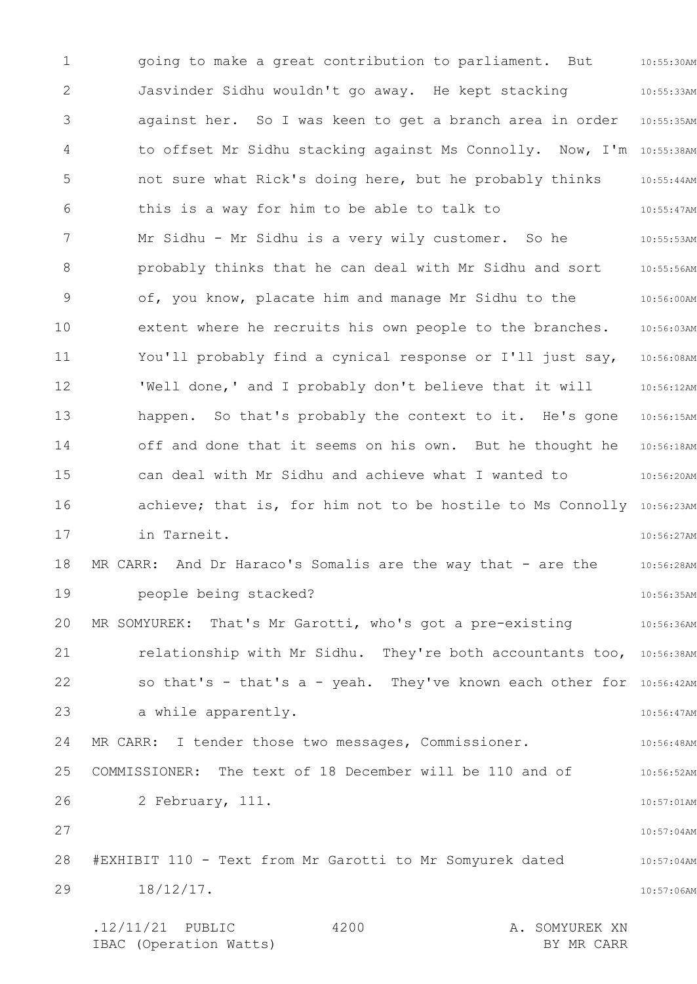1 2 3 4 5 6 7 8 9 10 11 12 13 14 15 16 17 18 19 20 21 22 23 24 25 26 27 28 29 10:55:30AM 10:55:33AM against her. So I was keen to get a branch area in order 10:55:35AM to offset Mr Sidhu stacking against Ms Connolly. Now, I'm 10:55:38AM 10:55:44AM 10:55:47AM 10:55:53AM 10:55:56AM 10:56:00AM 10:56:03AM 10:56:08AM 10:56:12AM happen. So that's probably the context to it. He's gone 10:56:15AM 10:56:18AM 10:56:20AM achieve; that is, for him not to be hostile to Ms Connolly 10:56:23AM 10:56:27AM 10:56:28AM 10:56:35AM MR SOMYUREK: That's Mr Garotti, who's got a pre-existing 30:56:36AM relationship with Mr Sidhu. They're both accountants too, 10:56:38AM so that's - that's a - yeah. They've known each other for 10:56:42AM 10:56:47AM 10:56:48AM 10:56:52AM 10:57:01AM 10:57:04AM 10:57:04AM 10:57:06AM .12/11/21 PUBLIC 4200 A. SOMYUREK XN 4200 going to make a great contribution to parliament. But Jasvinder Sidhu wouldn't go away. He kept stacking not sure what Rick's doing here, but he probably thinks this is a way for him to be able to talk to Mr Sidhu - Mr Sidhu is a very wily customer. So he probably thinks that he can deal with Mr Sidhu and sort of, you know, placate him and manage Mr Sidhu to the extent where he recruits his own people to the branches. You'll probably find a cynical response or I'll just say, 'Well done,' and I probably don't believe that it will off and done that it seems on his own. But he thought he can deal with Mr Sidhu and achieve what I wanted to in Tarneit. MR CARR: And Dr Haraco's Somalis are the way that - are the people being stacked? a while apparently. MR CARR: I tender those two messages, Commissioner. COMMISSIONER: The text of 18 December will be 110 and of 2 February, 111. #EXHIBIT 110 - Text from Mr Garotti to Mr Somyurek dated 18/12/17.

IBAC (Operation Watts) BY MR CARR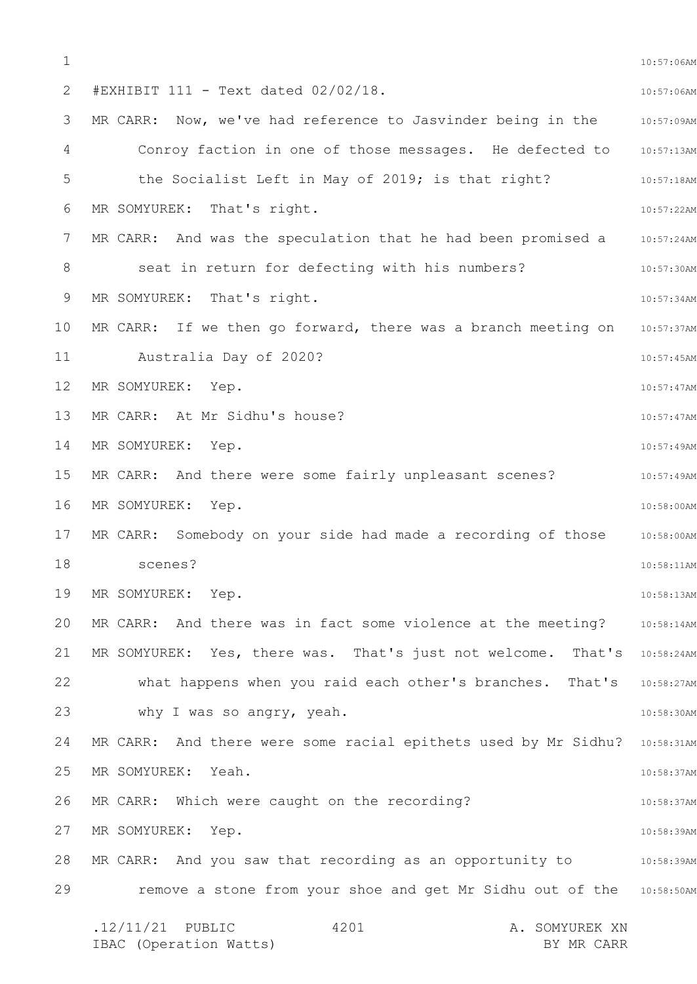1 2 3 4 5 6 7 8 9 10 11 12 13 14 15 16 17 18 19 20 21 22 23 24 25 26 27 28 29 10:57:06AM 10:57:06AM 10:57:09AM Conroy faction in one of those messages. He defected to 10:57:13AM 10:57:18AM 10:57:22AM MR CARR: And was the speculation that he had been  $p$ romised a  $p = 10:57:24$ AM 10:57:30AM 10:57:34AM 10:57:37AM 10:57:45AM 10:57:47AM 10:57:47AM 10:57:49AM MR CARR: And there were some fairly unpleasant scenes? The MOS57:49AM 10:58:00AM 10:58:00AM 10:58:11AM 10:58:13AM MR CARR: And there was in fact some violence at the meeting? 30:58:14AM MR SOMYUREK: Yes, there was. That's just not welcome. That's 10:58:24AM what happens when you raid each other's branches. That's 10:58:27AM 10:58:30AM MR CARR: And there were some racial epithets used by Mr Sidhu? 10:58:31AM 10:58:37AM 10:58:37AM 10:58:39AM MR CARR: And you saw that recording as an opportunity to  $10:58:39$ AM remove a stone from your shoe and get Mr Sidhu out of the 10:58:50AM .12/11/21 PUBLIC 4201 A. SOMYUREK XN IBAC (Operation Watts) BY MR CARR 4201 #EXHIBIT 111 - Text dated 02/02/18. MR CARR: Now, we've had reference to Jasvinder being in the the Socialist Left in May of 2019; is that right? MR SOMYUREK: That's right. seat in return for defecting with his numbers? MR SOMYUREK: That's right. MR CARR: If we then go forward, there was a branch meeting on Australia Day of 2020? MR SOMYUREK: Yep. MR CARR: At Mr Sidhu's house? MR SOMYUREK: Yep. MR SOMYUREK: Yep. MR CARR: Somebody on your side had made a recording of those scenes? MR SOMYUREK: Yep. why I was so angry, yeah. MR SOMYUREK: Yeah. MR CARR: Which were caught on the recording? MR SOMYUREK: Yep.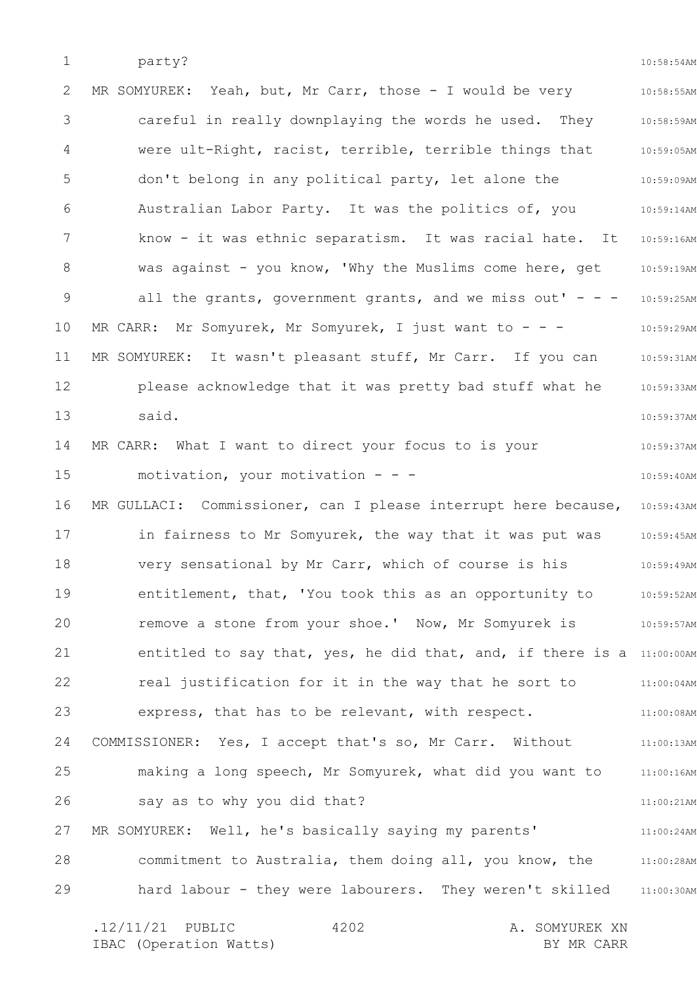1 party?

10:58:54AM

| 2               | MR SOMYUREK: Yeah, but, Mr Carr, those - I would be very              | 10:58:55AM    |
|-----------------|-----------------------------------------------------------------------|---------------|
| 3               | careful in really downplaying the words he used. They                 | 10:58:59AM    |
| 4               | were ult-Right, racist, terrible, terrible things that                | 10:59:05AM    |
| 5               | don't belong in any political party, let alone the                    | 10:59:09AM    |
| 6               | Australian Labor Party. It was the politics of, you                   | 10:59:14AM    |
| $7\phantom{.0}$ | know - it was ethnic separatism. It was racial hate. It               | 10:59:16AM    |
| 8               | was against - you know, 'Why the Muslims come here, get               | 10:59:19AM    |
| 9               | all the grants, government grants, and we miss out' - - -             | 10:59:25AM    |
| 10              | MR CARR: Mr Somyurek, Mr Somyurek, I just want to - - -               | 10:59:29AM    |
| 11              | MR SOMYUREK: It wasn't pleasant stuff, Mr Carr. If you can            | 10:59:31AM    |
| 12              | please acknowledge that it was pretty bad stuff what he               | 10:59:33AM    |
| 13              | said.                                                                 | 10:59:37AM    |
| 14              | MR CARR: What I want to direct your focus to is your                  | 10:59:37AM    |
| 15              | motivation, your motivation - - -                                     | 10:59:40AM    |
| 16              | MR GULLACI: Commissioner, can I please interrupt here because,        | 10:59:43AM    |
| 17              | in fairness to Mr Somyurek, the way that it was put was               | $10:59:45$ AM |
| 18              | very sensational by Mr Carr, which of course is his                   | $10:59:49$ AM |
| 19              | entitlement, that, 'You took this as an opportunity to                | 10:59:52AM    |
| 20              | remove a stone from your shoe.' Now, Mr Somyurek is                   | 10:59:57AM    |
| 21              | entitled to say that, yes, he did that, and, if there is a 11:00:00AM |               |
| 22              | real justification for it in the way that he sort to                  | 11:00:04AM    |
| 23              | express, that has to be relevant, with respect.                       | 11:00:08AM    |
| 24              | COMMISSIONER: Yes, I accept that's so, Mr Carr. Without               | 11:00:13AM    |
| 25              | making a long speech, Mr Somyurek, what did you want to               | $11:00:16$ AM |
| 26              | say as to why you did that?                                           | 11:00:21AM    |
| 27              | MR SOMYUREK: Well, he's basically saying my parents'                  | 11:00:24AM    |
| 28              | commitment to Australia, them doing all, you know, the                | 11:00:28AM    |
| 29              | hard labour - they were labourers. They weren't skilled               | 11:00:30AM    |
|                 | $.12/11/21$ PUBLIC<br>4202<br>A. SOMYUREK XN                          |               |

IBAC (Operation Watts) and the set of the BY MR CARR BY MR CARR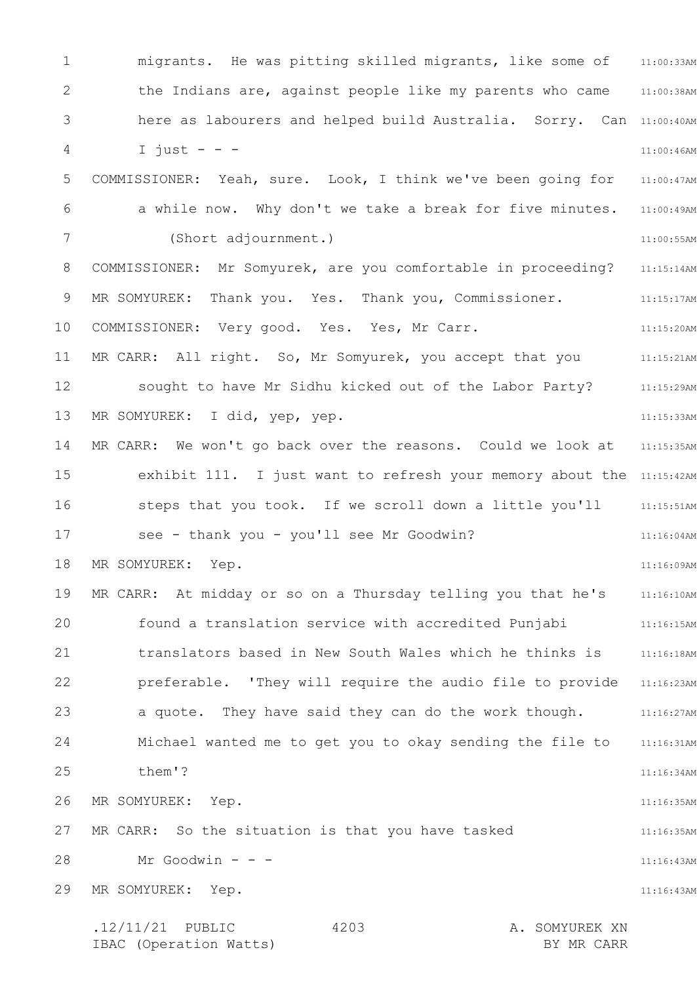1 2 3 4 5 6 7 8 9 10 11 12 13 14 15 16 17 18 19 20 21 22 23 24 25 26 27 28 29 11:00:33AM migrants. He was pitting skilled migrants, like some of 11:00:38AM here as labourers and helped build Australia. Sorry. Can 11:00:40AM 11:00:46AM 11:00:47AM 11:00:49AM 11:00:55AM 11:15:14AM 11:15:17AM 11:15:20AM 11:15:21AM 11:15:29AM 11:15:33AM 11:15:35AM exhibit 111. I just want to refresh your memory about the 11:15:42AM steps that you took. If we scroll down a little you'll 11:15:51AM 11:16:04AM 11:16:09AM 11:16:10AM 11:16:15AM 11:16:18AM 11:16:23AM a quote. They have said they can do the work though. 41:16:27AM Michael wanted me to get you to okay sending the file to ali:16:31AM 11:16:34AM 11:16:35AM 11:16:35AM 11:16:43AM 11:16:43AM .12/11/21 PUBLIC 4203 A. SOMYUREK XN 4203 the Indians are, against people like my parents who came I just  $-$ COMMISSIONER: Yeah, sure. Look, I think we've been going for a while now. Why don't we take a break for five minutes. (Short adjournment.) COMMISSIONER: Mr Somyurek, are you comfortable in proceeding? MR SOMYUREK: Thank you. Yes. Thank you, Commissioner. COMMISSIONER: Very good. Yes. Yes, Mr Carr. MR CARR: All right. So, Mr Somyurek, you accept that you sought to have Mr Sidhu kicked out of the Labor Party? MR SOMYUREK: I did, yep, yep. MR CARR: We won't go back over the reasons. Could we look at see - thank you - you'll see Mr Goodwin? MR SOMYUREK: Yep. MR CARR: At midday or so on a Thursday telling you that he's found a translation service with accredited Punjabi translators based in New South Wales which he thinks is preferable. 'They will require the audio file to provide them'? MR SOMYUREK: Yep. MR CARR: So the situation is that you have tasked Mr Goodwin - - -MR SOMYUREK: Yep.

IBAC (Operation Watts) BY MR CARR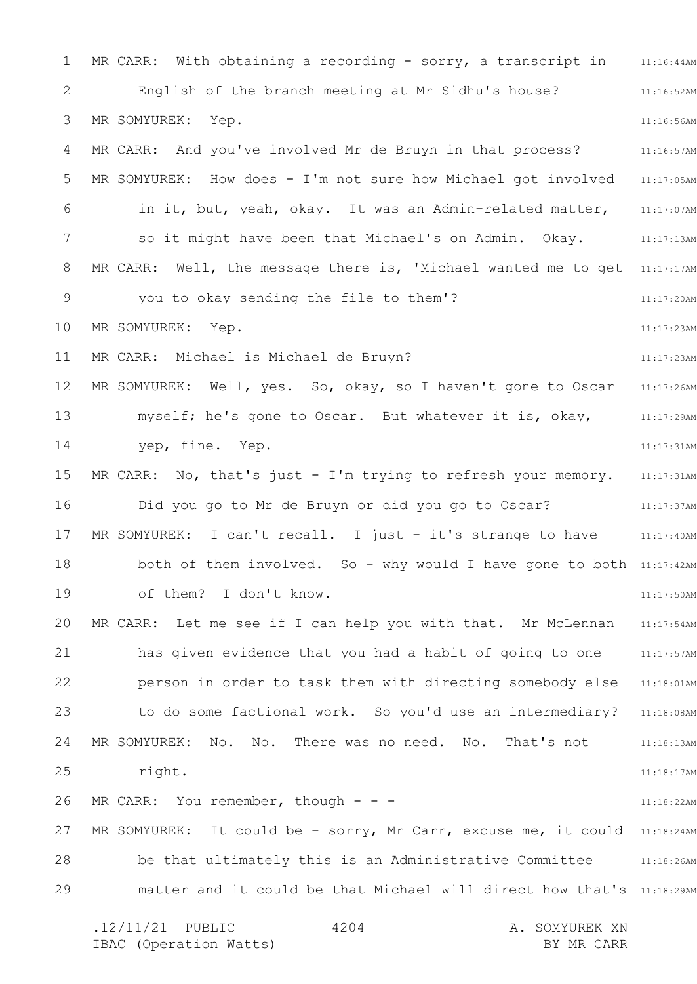1 2 3 4 5 6 7 8 9 10 11 12 13 14 15 16 17 18 19 20 21 22 23 24 25 26 27 28 29 MR CARR: With obtaining a recording - sorry, a transcript in anisisity and the section of the contro 11:16:52AM 11:16:56AM 11:16:57AM MR SOMYUREK: How does - I'm not sure how Michael got involved 31:17:05AM 11:17:07AM so it might have been that Michael's on Admin. Okay. 11:17:13AM MR CARR:  $\,$  Well, the message there is, 'Michael wanted me to get  $\,$  11:17:17AM 11:17:20AM 11:17:23AM 11:17:23AM 11:17:26AM 11:17:29AM 11:17:31AM MR CARR: No, that's just - I'm trying to refresh your memory. 31:17:31AM 11:17:37AM 11:17:40AM both of them involved. So - why would I have gone to both 11:17:42AM 11:17:50AM 11:17:54AM 11:17:57AM person in order to task them with directing somebody else 11:18:01AM to do some factional work. So you'd use an intermediary? 11:18:08AM 11:18:13AM 11:18:17AM 11:18:22AM MR SOMYUREK: It could be - sorry, Mr Carr, excuse me, it could 11:18:24AM be that ultimately this is an Administrative Committee 311:18:26AM matter and it could be that Michael will direct how that's 11:18:29AM .12/11/21 PUBLIC 4204 A. SOMYUREK XN 4204 English of the branch meeting at Mr Sidhu's house? MR SOMYUREK: Yep. MR CARR: And you've involved Mr de Bruyn in that process? in it, but, yeah, okay. It was an Admin-related matter, you to okay sending the file to them'? MR SOMYUREK: Yep. MR CARR: Michael is Michael de Bruyn? MR SOMYUREK: Well, yes. So, okay, so I haven't gone to Oscar myself; he's gone to Oscar. But whatever it is, okay, yep, fine. Yep. Did you go to Mr de Bruyn or did you go to Oscar? MR SOMYUREK: I can't recall. I just - it's strange to have of them? I don't know. MR CARR: Let me see if I can help you with that. Mr McLennan has given evidence that you had a habit of going to one MR SOMYUREK: No. No. There was no need. No. That's not right. MR CARR: You remember, though  $- -$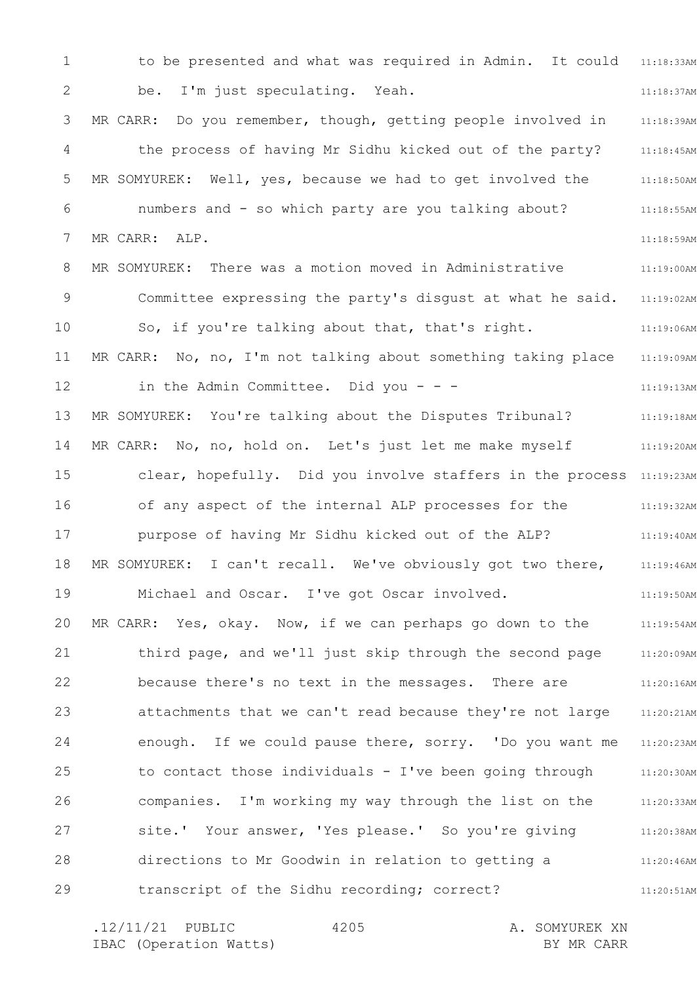1 2 3 4 5 6 7 8 9 10 11 12 13 14 15 16 17 18 19 20 21 22 23 24 25 26 27 28 29 to be presented and what was required in Admin. It could 11:18:33AM 11:18:37AM 11:18:39AM 11:18:45AM 11:18:50AM 11:18:55AM 11:18:59AM 11:19:00AM 11:19:02AM 11:19:06AM 11:19:09AM 11:19:13AM 11:19:18AM 11:19:20AM clear, hopefully. Did you involve staffers in the process 11:19:23AM 11:19:32AM 11:19:40AM 11:19:46AM 11:19:50AM MR CARR: Yes, okay. Now, if we can perhaps go down to the  $11:19:54$ AM 11:20:09AM 11:20:16AM 11:20:21AM 11:20:23AM 11:20:30AM 11:20:33AM 11:20:38AM 11:20:46AM 11:20:51AM be. I'm just speculating. Yeah. MR CARR: Do you remember, though, getting people involved in the process of having Mr Sidhu kicked out of the party? MR SOMYUREK: Well, yes, because we had to get involved the numbers and - so which party are you talking about? MR CARR: ALP. MR SOMYUREK: There was a motion moved in Administrative Committee expressing the party's disgust at what he said. So, if you're talking about that, that's right. MR CARR: No, no, I'm not talking about something taking place in the Admin Committee. Did you  $-$  -MR SOMYUREK: You're talking about the Disputes Tribunal? MR CARR: No, no, hold on. Let's just let me make myself of any aspect of the internal ALP processes for the purpose of having Mr Sidhu kicked out of the ALP? MR SOMYUREK: I can't recall. We've obviously got two there, Michael and Oscar. I've got Oscar involved. third page, and we'll just skip through the second page because there's no text in the messages. There are attachments that we can't read because they're not large enough. If we could pause there, sorry. 'Do you want me to contact those individuals - I've been going through companies. I'm working my way through the list on the site.' Your answer, 'Yes please.' So you're giving directions to Mr Goodwin in relation to getting a transcript of the Sidhu recording; correct?

.12/11/21 PUBLIC 4205 A. SOMYUREK XN IBAC (Operation Watts) and the set of the BY MR CARR BY MR CARR 4205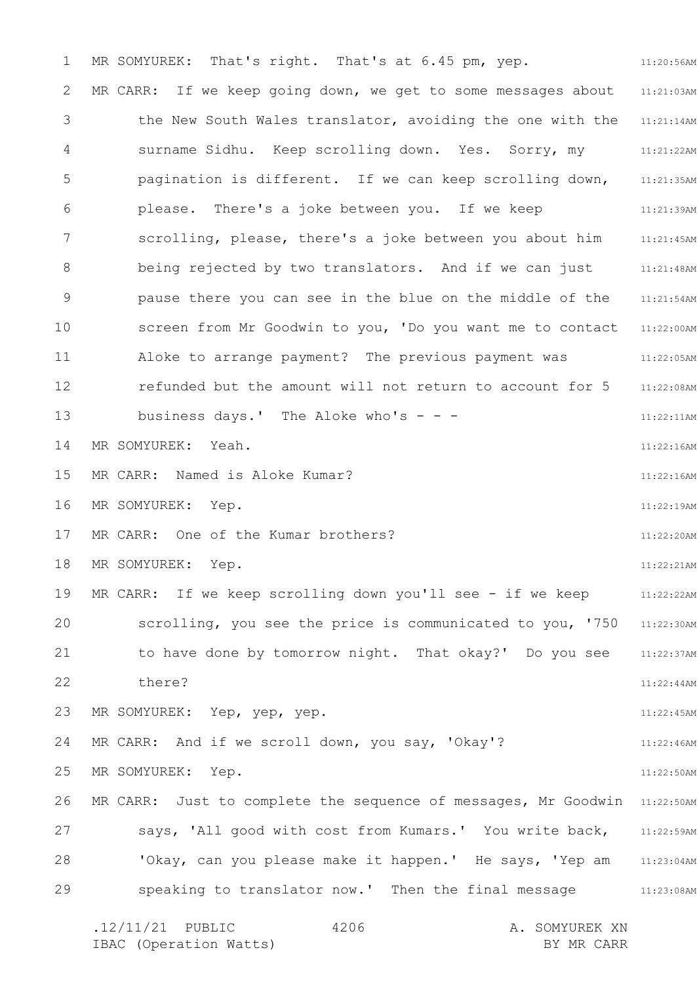1 2 3 4 5 6 7 8 9 10 11 12 13 14 15 16 17 18 19 20 21 22 23 24 25 26 27 28 29 11:20:56AM 11:21:03AM 11:21:14AM surname Sidhu. Keep scrolling down. Yes. Sorry, my 11:21:22AM 11:21:35AM 11:21:39AM 11:21:45AM 11:21:48AM 11:21:54AM 11:22:00AM 11:22:05AM 11:22:08AM 11:22:11AM 11:22:16AM 11:22:16AM 11:22:19AM 11:22:20AM 11:22:21AM 11:22:22AM scrolling, you see the price is communicated to you, '750 11:22:30AM 11:22:37AM 11:22:44AM 11:22:45AM 11:22:46AM 11:22:50AM MR CARR: Just to complete the sequence of messages, Mr Goodwin 11:22:50AM says, 'All good with cost from Kumars.' You write back, 11:22:59AM 'Okay, can you please make it happen.' He says, 'Yep am an  $11:23:04$ AM 11:23:08AM .12/11/21 PUBLIC 4206 A. SOMYUREK XN 4206 MR SOMYUREK: That's right. That's at 6.45 pm, yep. MR CARR: If we keep going down, we get to some messages about the New South Wales translator, avoiding the one with the pagination is different. If we can keep scrolling down, please. There's a joke between you. If we keep scrolling, please, there's a joke between you about him being rejected by two translators. And if we can just pause there you can see in the blue on the middle of the screen from Mr Goodwin to you, 'Do you want me to contact Aloke to arrange payment? The previous payment was refunded but the amount will not return to account for 5 business days.' The Aloke who's  $- -$ MR SOMYUREK: Yeah. MR CARR: Named is Aloke Kumar? MR SOMYUREK: Yep. MR CARR: One of the Kumar brothers? MR SOMYUREK: Yep. MR CARR: If we keep scrolling down you'll see - if we keep to have done by tomorrow night. That okay?' Do you see there? MR SOMYUREK: Yep, yep, yep. MR CARR: And if we scroll down, you say, 'Okay'? MR SOMYUREK: Yep. speaking to translator now.' Then the final message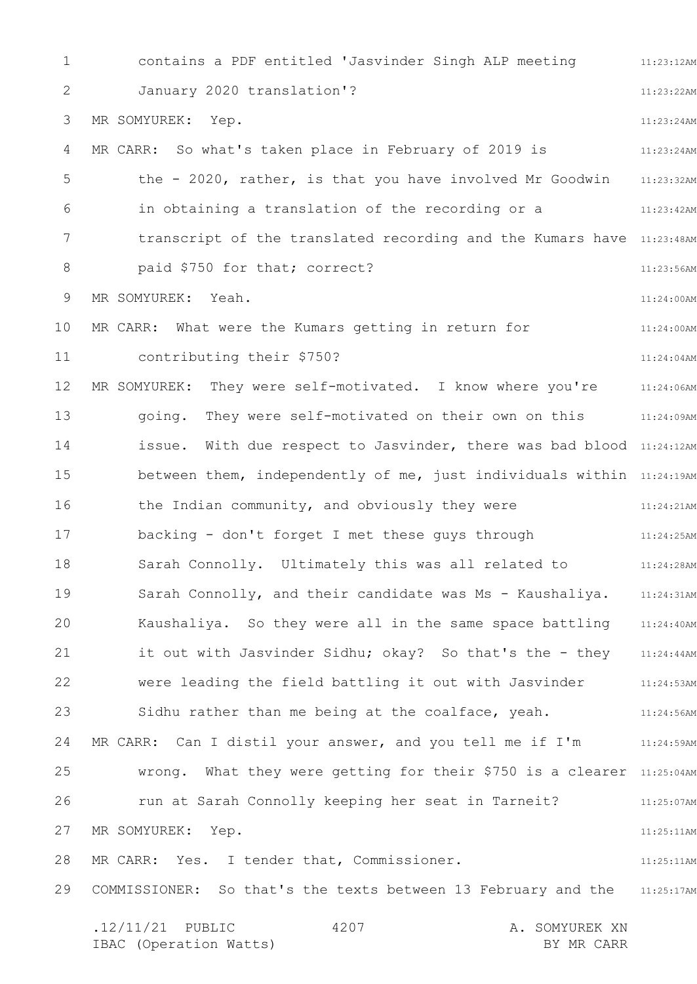1 2 3 4 5 6 7 8 9 10 11 12 13 14 15 16 17 18 19 20 21 22 23 24 25 26 27 28 29 11:23:12AM 11:23:22AM 11:23:24AM 11:23:24AM 11:23:32AM 11:23:42AM transcript of the translated recording and the Kumars have 11:23:48AM 11:23:56AM 11:24:00AM 11:24:00AM 11:24:04AM MR SOMYUREK: They were self-motivated. I know where you're  $11:24:06$ AM 11:24:09AM issue. With due respect to Jasvinder, there was bad blood 11:24:12AM between them, independently of me, just individuals within  $11:24:19$ AM 11:24:21AM 11:24:25AM 11:24:28AM Sarah Connolly, and their candidate was Ms - Kaushaliya. 11:24:31AM Kaushaliya. So they were all in the same space battling 31:24:40AM 11:24:44AM 11:24:53AM 11:24:56AM 11:24:59AM MR CARR: Can I distil your answer, and you tell me if I'm wrong. What they were getting for their \$750 is a clearer 11:25:04AM 11:25:07AM 11:25:11AM 11:25:11AM COMMISSIONER: So that's the texts between 13 February and the 11:25:17AM .12/11/21 PUBLIC 4207 A. SOMYUREK XN 4207 contains a PDF entitled 'Jasvinder Singh ALP meeting January 2020 translation'? MR SOMYUREK: Yep. MR CARR: So what's taken place in February of 2019 is the - 2020, rather, is that you have involved Mr Goodwin in obtaining a translation of the recording or a paid \$750 for that; correct? MR SOMYUREK: Yeah. MR CARR: What were the Kumars getting in return for contributing their \$750? going. They were self-motivated on their own on this the Indian community, and obviously they were backing - don't forget I met these guys through Sarah Connolly. Ultimately this was all related to it out with Jasvinder Sidhu; okay? So that's the - they were leading the field battling it out with Jasvinder Sidhu rather than me being at the coalface, yeah. run at Sarah Connolly keeping her seat in Tarneit? MR SOMYUREK: Yep. MR CARR: Yes. I tender that, Commissioner.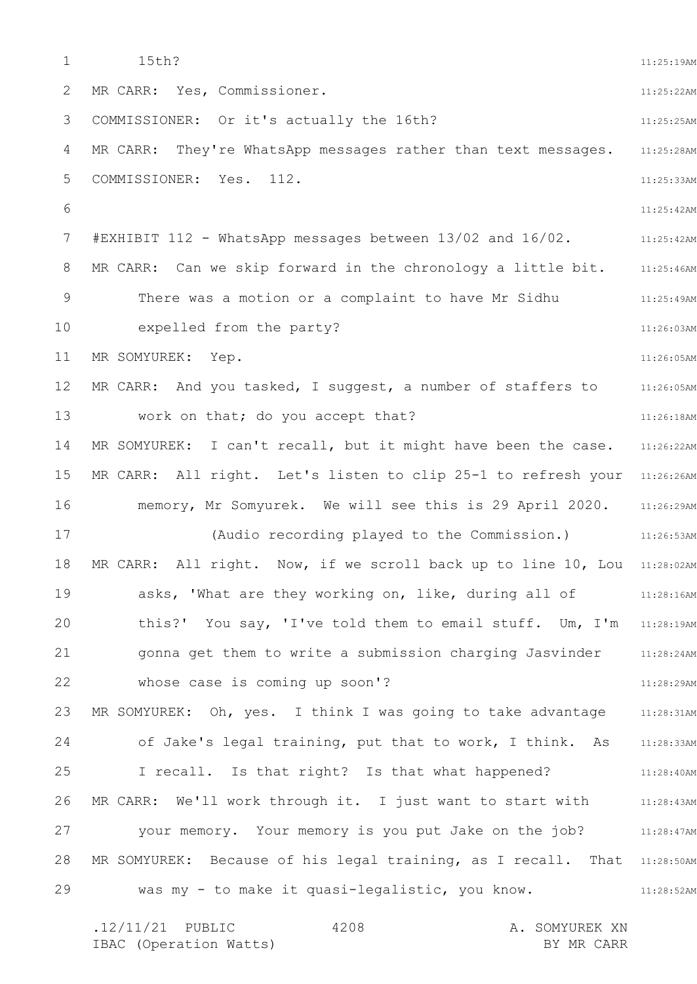1 2 3 4 5 6 7 8 9 10 11 12 13 14 15 16 17 18 19 20 21 22 23 24 25 26 27 28 29 11:25:19AM 11:25:22AM 11:25:25AM 11:25:28AM 11:25:33AM 11:25:42AM 11:25:42AM 11:25:46AM MR CARR: Can we skip forward in the chronology a little bit. 11:25:49AM 11:26:03AM 11:26:05AM 11:26:05AM 11:26:18AM 11:26:22AM MR CARR: All right. Let's listen to clip 25-1 to refresh your 11:26:26AM memory, Mr Somyurek. We will see this is 29 April 2020. 11:26:29AM 11:26:53AM MR CARR: All right. Now, if we scroll back up to line 10, Lou 11:28:02AM 11:28:16AM this?' You say, 'I've told them to email stuff. Um, I'm 11:28:19AM 11:28:24AM 11:28:29AM MR SOMYUREK: Oh, yes. I think I was going to take advantage 311:28:31AM of Jake's legal training, put that to work, I think. As 311:28:33AM 11:28:40AM 11:28:43AM your memory. Your memory is you put Jake on the job? 11:28:47AM MR SOMYUREK: Because of his legal training, as I recall. That 11:28:50AM 11:28:52AM 15th? MR CARR: Yes, Commissioner. COMMISSIONER: Or it's actually the 16th? MR CARR: They're WhatsApp messages rather than text messages. COMMISSIONER: Yes. 112. #EXHIBIT 112 - WhatsApp messages between 13/02 and 16/02. There was a motion or a complaint to have Mr Sidhu expelled from the party? MR SOMYUREK: Yep. MR CARR: And you tasked, I suggest, a number of staffers to work on that; do you accept that? MR SOMYUREK: I can't recall, but it might have been the case. (Audio recording played to the Commission.) asks, 'What are they working on, like, during all of gonna get them to write a submission charging Jasvinder whose case is coming up soon'? I recall. Is that right? Is that what happened? MR CARR: We'll work through it. I just want to start with was my - to make it quasi-legalistic, you know.

.12/11/21 PUBLIC 4208 A. SOMYUREK XN IBAC (Operation Watts) and the set of the BY MR CARR BY MR CARR 4208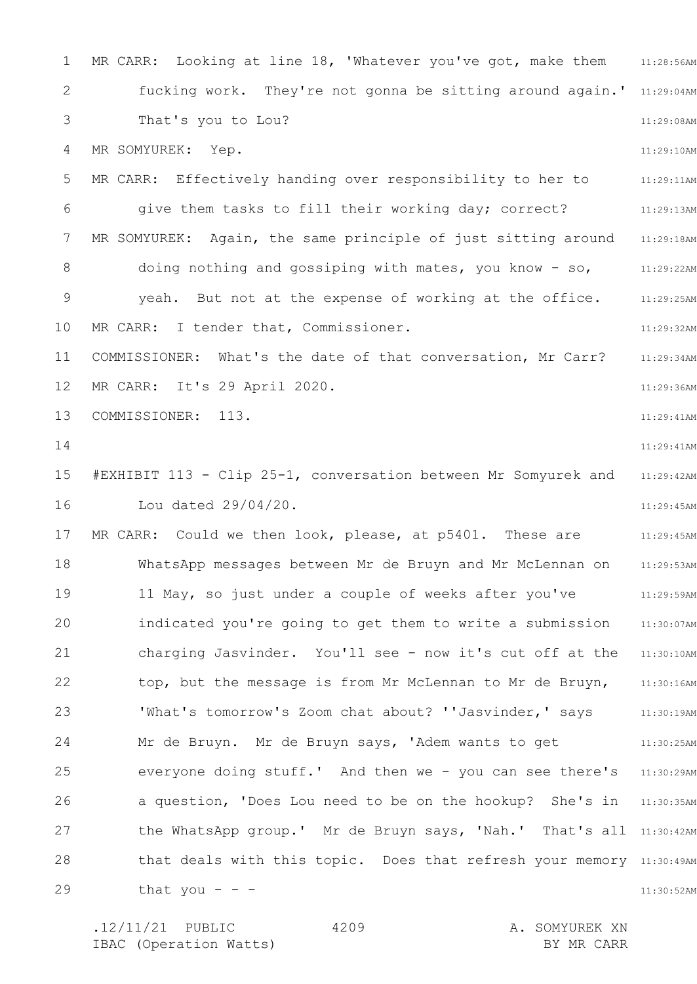1 2 3 4 5 6 7 8 9 10 11 12 13 14 15 16 17 18 19 20 21 22 23 24 25 26 27 28 29 MR CARR: Looking at line 18, 'Whatever you've got, make them an:28:56AM fucking work. They're not gonna be sitting around again.' 11:29:04AM 11:29:08AM 11:29:10AM 11:29:11AM 11:29:13AM 11:29:18AM 11:29:22AM 11:29:25AM 11:29:32AM 11:29:34AM 11:29:36AM 11:29:41AM 11:29:41AM 11:29:42AM 11:29:45AM 11:29:45AM 11:29:53AM 11:29:59AM 11:30:07AM charging Jasvinder. You'll see - now it's cut off at the 11:30:10AM 11:30:16AM 11:30:19AM 11:30:25AM everyone doing stuff.' And then we - you can see there's 11:30:29AM a question, 'Does Lou need to be on the hookup? She's in 11:30:35AM the WhatsApp group.' Mr de Bruyn says, 'Nah.' That's all 11:30:42AM that deals with this topic. Does that refresh your memory 11:30:49AM 11:30:52AM That's you to Lou? MR SOMYUREK: Yep. MR CARR: Effectively handing over responsibility to her to give them tasks to fill their working day; correct? MR SOMYUREK: Again, the same principle of just sitting around doing nothing and gossiping with mates, you know - so, yeah. But not at the expense of working at the office. MR CARR: I tender that, Commissioner. COMMISSIONER: What's the date of that conversation, Mr Carr? MR CARR: It's 29 April 2020. COMMISSIONER: 113. #EXHIBIT 113 - Clip 25-1, conversation between Mr Somyurek and Lou dated 29/04/20. MR CARR: Could we then look, please, at p5401. These are WhatsApp messages between Mr de Bruyn and Mr McLennan on 11 May, so just under a couple of weeks after you've indicated you're going to get them to write a submission top, but the message is from Mr McLennan to Mr de Bruyn, 'What's tomorrow's Zoom chat about? ''Jasvinder,' says Mr de Bruyn. Mr de Bruyn says, 'Adem wants to get that you  $-$ 

4209

.12/11/21 PUBLIC 4209 A. SOMYUREK XN IBAC (Operation Watts) and the set of the BY MR CARR BY MR CARR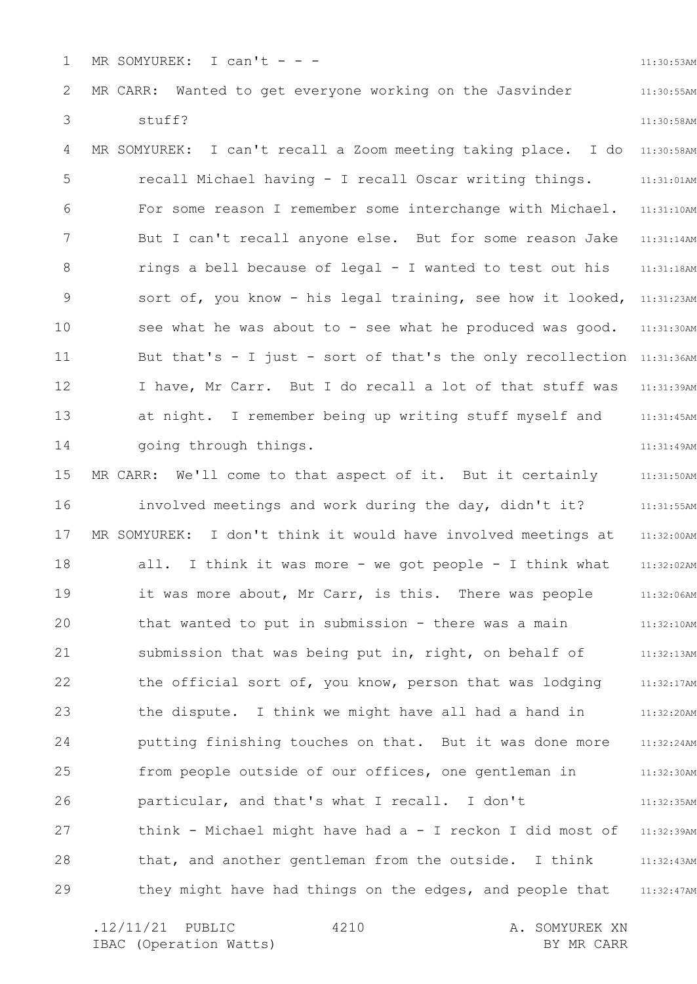1 MR SOMYUREK: I can't  $-$  - 11:30:53AM

11:30:55AM

11:30:58AM

## 2 3 MR CARR: Wanted to get everyone working on the Jasvinder stuff?

4 5 6 7 8 9 10 11 12 13 14 11:30:58AM 11:31:01AM 11:31:10AM 11:31:14AM 11:31:18AM sort of, you know - his legal training, see how it looked, 11:31:23AM 11:31:30AM But that's - I just - sort of that's the only recollection 11:31:36AM 11:31:39AM 11:31:45AM 11:31:49AM MR SOMYUREK: I can't recall a Zoom meeting taking place. I do recall Michael having - I recall Oscar writing things. For some reason I remember some interchange with Michael. But I can't recall anyone else. But for some reason Jake rings a bell because of legal - I wanted to test out his see what he was about to - see what he produced was good. I have, Mr Carr. But I do recall a lot of that stuff was at night. I remember being up writing stuff myself and going through things.

15 16 17 18 19 20 21 22 23 24 25 26 27 28 29 11:31:50AM 11:31:55AM 11:32:00AM 11:32:02AM 11:32:06AM 11:32:10AM 11:32:13AM 11:32:17AM 11:32:20AM 11:32:24AM 11:32:30AM 11:32:35AM 11:32:39AM 11:32:43AM 11:32:47AM MR CARR: We'll come to that aspect of it. But it certainly involved meetings and work during the day, didn't it? MR SOMYUREK: I don't think it would have involved meetings at all. I think it was more - we got people - I think what it was more about, Mr Carr, is this. There was people that wanted to put in submission - there was a main submission that was being put in, right, on behalf of the official sort of, you know, person that was lodging the dispute. I think we might have all had a hand in putting finishing touches on that. But it was done more from people outside of our offices, one gentleman in particular, and that's what I recall. I don't think - Michael might have had a - I reckon I did most of that, and another gentleman from the outside. I think they might have had things on the edges, and people that

4210

.12/11/21 PUBLIC 4210 A. SOMYUREK XN IBAC (Operation Watts) and the set of the BY MR CARR BY MR CARR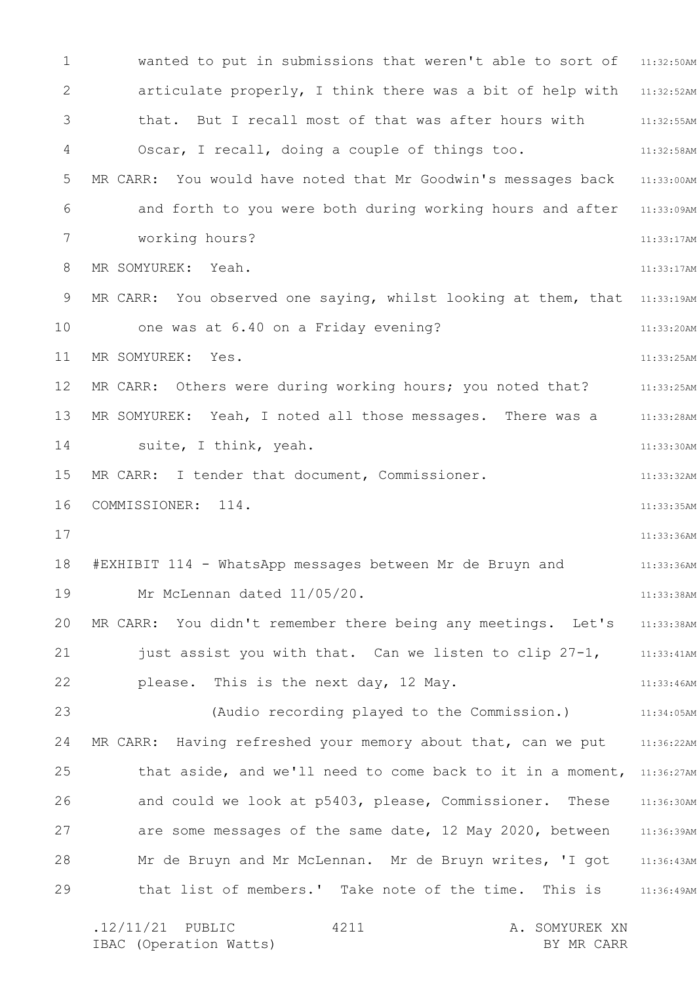1 2 3 4 5 6 7 8 9 10 11 12 13 14 15 16 17 18 19 20 21 22 23 24 25 26 27 28 29 wanted to put in submissions that weren't able to sort of 31:32:50AM articulate properly, I think there was a bit of help with 11:32:52AM 11:32:55AM 11:32:58AM 11:33:00AM and forth to you were both during working hours and after 11:33:09AM 11:33:17AM 11:33:17AM MR CARR: You observed one saying, whilst looking at them, that 11:33:19AM 11:33:20AM 11:33:25AM 11:33:25AM 11:33:28AM 11:33:30AM 11:33:32AM 11:33:35AM 11:33:36AM 11:33:36AM 11:33:38AM 11:33:38AM 11:33:41AM 11:33:46AM 11:34:05AM MR CARR: Having refreshed your memory about that, can we put  $11:36:22$ AM that aside, and we'll need to come back to it in a moment, 11:36:27AM 11:36:30AM are some messages of the same date, 12 May 2020, between 11:36:39AM 11:36:43AM 11:36:49AM .12/11/21 PUBLIC 4211 A. SOMYUREK XN 4211 that. But I recall most of that was after hours with Oscar, I recall, doing a couple of things too. MR CARR: You would have noted that Mr Goodwin's messages back working hours? MR SOMYUREK: Yeah. one was at 6.40 on a Friday evening? MR SOMYUREK: Yes. MR CARR: Others were during working hours; you noted that? MR SOMYUREK: Yeah, I noted all those messages. There was a suite, I think, yeah. MR CARR: I tender that document, Commissioner. COMMISSIONER: 114. #EXHIBIT 114 - WhatsApp messages between Mr de Bruyn and Mr McLennan dated 11/05/20. MR CARR: You didn't remember there being any meetings. Let's just assist you with that. Can we listen to clip 27-1, please. This is the next day, 12 May. (Audio recording played to the Commission.) and could we look at p5403, please, Commissioner. These Mr de Bruyn and Mr McLennan. Mr de Bruyn writes, 'I got that list of members.' Take note of the time. This is

IBAC (Operation Watts) BY MR CARR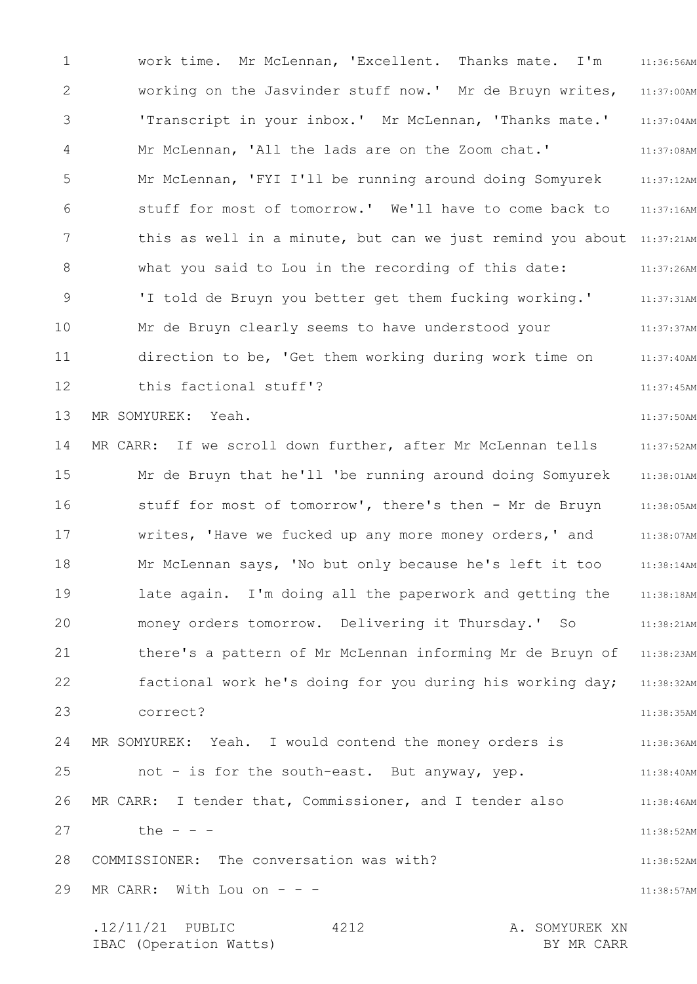1 2 3 4 5 6 7 8 9 10 11 12 13 14 15 16 17 18 19 20 21 22 23 24 25 26 27 28 29 11:36:56AM 11:37:00AM 11:37:04AM 11:37:08AM 11:37:12AM 11:37:16AM this as well in a minute, but can we just remind you about 11:37:21AM 11:37:26AM 11:37:31AM 11:37:37AM 11:37:40AM 11:37:45AM 11:37:50AM 11:37:52AM 11:38:01AM 11:38:05AM 11:38:07AM 11:38:14AM 11:38:18AM 11:38:21AM 11:38:23AM 11:38:32AM 11:38:35AM 11:38:36AM 11:38:40AM 11:38:46AM 11:38:52AM 11:38:52AM 11:38:57AM .12/11/21 PUBLIC 4212 A. SOMYUREK XN 4212 work time. Mr McLennan, 'Excellent. Thanks mate. I'm working on the Jasvinder stuff now.' Mr de Bruyn writes, 'Transcript in your inbox.' Mr McLennan, 'Thanks mate.' Mr McLennan, 'All the lads are on the Zoom chat.' Mr McLennan, 'FYI I'll be running around doing Somyurek stuff for most of tomorrow.' We'll have to come back to what you said to Lou in the recording of this date: 'I told de Bruyn you better get them fucking working.' Mr de Bruyn clearly seems to have understood your direction to be, 'Get them working during work time on this factional stuff'? MR SOMYUREK: Yeah. MR CARR: If we scroll down further, after Mr McLennan tells Mr de Bruyn that he'll 'be running around doing Somyurek stuff for most of tomorrow', there's then - Mr de Bruyn writes, 'Have we fucked up any more money orders,' and Mr McLennan says, 'No but only because he's left it too late again. I'm doing all the paperwork and getting the money orders tomorrow. Delivering it Thursday.' So there's a pattern of Mr McLennan informing Mr de Bruyn of factional work he's doing for you during his working day; correct? MR SOMYUREK: Yeah. I would contend the money orders is not - is for the south-east. But anyway, yep. MR CARR: I tender that, Commissioner, and I tender also the  $- -$ COMMISSIONER: The conversation was with? MR CARR: With Lou on  $-$ 

IBAC (Operation Watts) BY MR CARR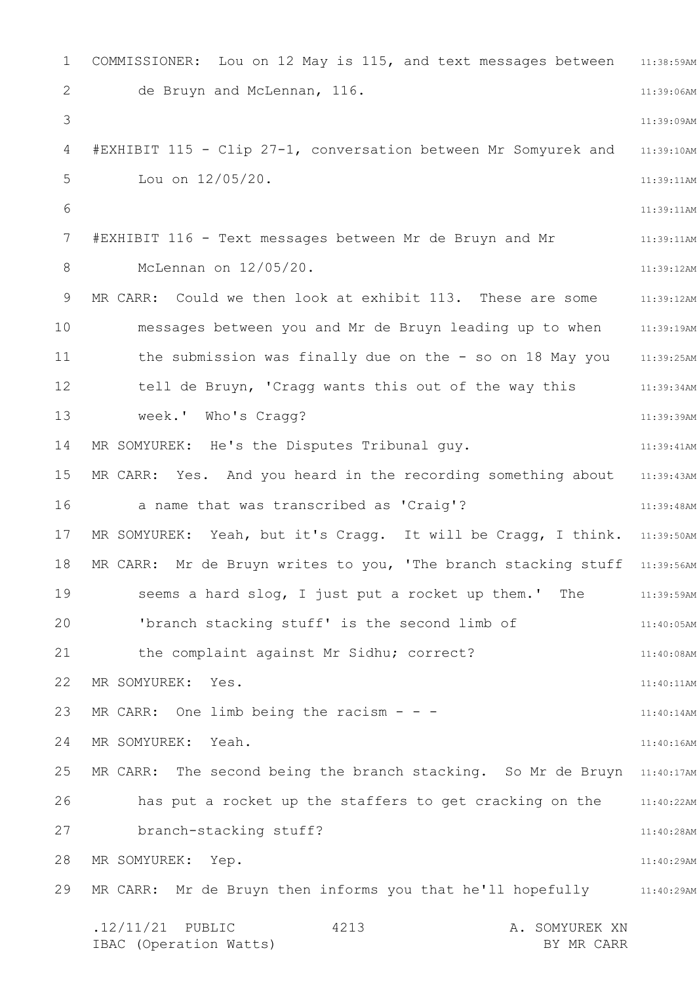1 2 3 4 5 6 7 8 9 10 11 12 13 14 15 16 17 18 19 20 21 22 23 24 25 26 27 28 29 COMMISSIONER: Lou on 12 May is 115, and text messages between  $11:38:59$ AM 11:39:06AM 11:39:09AM 11:39:10AM 11:39:11AM 11:39:11AM 11:39:11AM 11:39:12AM 11:39:12AM 11:39:19AM 11:39:25AM tell de Bruyn, 'Cragg wants this out of the way this 31:39:34AM 11:39:39AM 11:39:41AM MR CARR: Yes. And you heard in the recording something about 31:39:43AM 11:39:48AM MR SOMYUREK: Yeah, but it's Cragg. It will be Cragg, I think. 11:39:50AM MR CARR: Mr de Bruyn writes to you, 'The branch stacking stuff 11:39:56AM 11:39:59AM 11:40:05AM 11:40:08AM 11:40:11AM 11:40:14AM 11:40:16AM MR CARR: The second being the branch stacking. So Mr de Bruyn 11:40:17AM 11:40:22AM 11:40:28AM 11:40:29AM 11:40:29AM MR CARR: Mr de Bruyn then informs you that he'll hopefully .12/11/21 PUBLIC 4213 A. SOMYUREK XN IBAC (Operation Watts) and the set of the BY MR CARR BY MR CARR 4213 de Bruyn and McLennan, 116. #EXHIBIT 115 - Clip 27-1, conversation between Mr Somyurek and Lou on 12/05/20. #EXHIBIT 116 - Text messages between Mr de Bruyn and Mr McLennan on 12/05/20. MR CARR: Could we then look at exhibit 113. These are some messages between you and Mr de Bruyn leading up to when the submission was finally due on the - so on 18 May you week.' Who's Cragg? MR SOMYUREK: He's the Disputes Tribunal guy. a name that was transcribed as 'Craig'? seems a hard slog, I just put a rocket up them.' The 'branch stacking stuff' is the second limb of the complaint against Mr Sidhu; correct? MR SOMYUREK: Yes. MR CARR: One limb being the racism  $- -$ MR SOMYUREK: Yeah. has put a rocket up the staffers to get cracking on the branch-stacking stuff? MR SOMYUREK: Yep.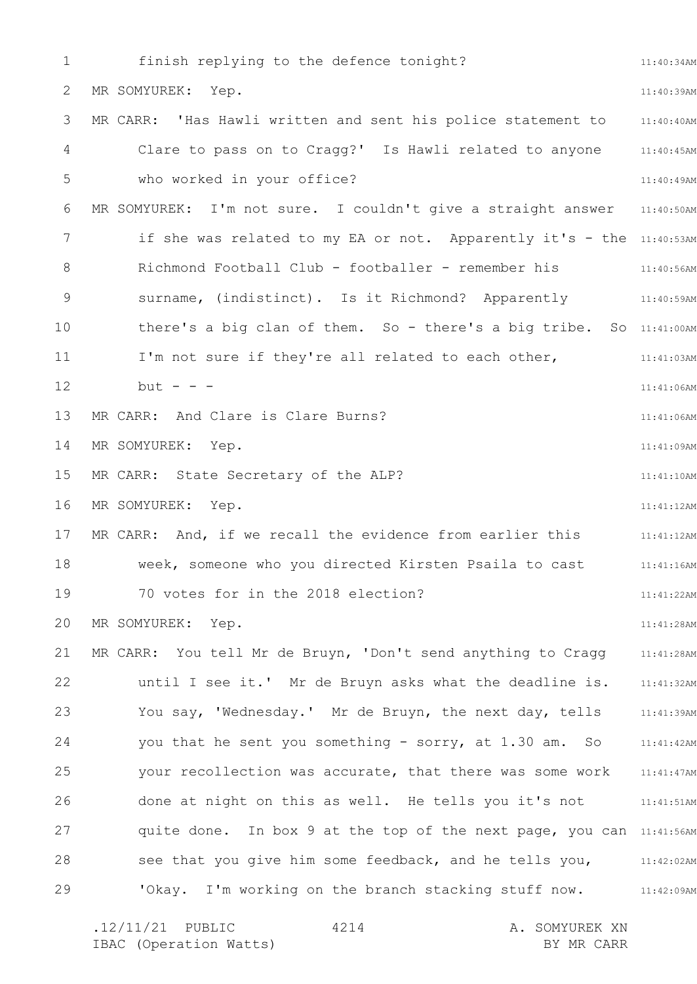1 2 3 4 5 6 7 8 9 10 11 12 13 14 15 16 17 18 19 20 21 22 23 24 25 26 27 28 29 11:40:34AM 11:40:39AM 11:40:40AM 11:40:45AM 11:40:49AM 11:40:50AM if she was related to my EA or not. Apparently it's - the 11:40:53AM 11:40:56AM 11:40:59AM there's a big clan of them. So - there's a big tribe. So 11:41:00AM 11:41:03AM 11:41:06AM 11:41:06AM 11:41:09AM 11:41:10AM 11:41:12AM 11:41:12AM 11:41:16AM 11:41:22AM 11:41:28AM 11:41:28AM 11:41:32AM You say, 'Wednesday.' Mr de Bruyn, the next day, tells and the 11:41:39AM you that he sent you something - sorry, at 1.30 am. So 11:41:42AM 11:41:47AM 11:41:51AM quite done. In box 9 at the top of the next page, you can 11:41:56AM see that you give him some feedback, and he tells you, 11:42:02AM 11:42:09AM finish replying to the defence tonight? MR SOMYUREK: Yep. MR CARR: 'Has Hawli written and sent his police statement to Clare to pass on to Cragg?' Is Hawli related to anyone who worked in your office? MR SOMYUREK: I'm not sure. I couldn't give a straight answer Richmond Football Club - footballer - remember his surname, (indistinct). Is it Richmond? Apparently I'm not sure if they're all related to each other,  $but - - -$ MR CARR: And Clare is Clare Burns? MR SOMYUREK: Yep. MR CARR: State Secretary of the ALP? MR SOMYUREK: Yep. MR CARR: And, if we recall the evidence from earlier this week, someone who you directed Kirsten Psaila to cast 70 votes for in the 2018 election? MR SOMYUREK: Yep. MR CARR: You tell Mr de Bruyn, 'Don't send anything to Cragg until I see it.' Mr de Bruyn asks what the deadline is. your recollection was accurate, that there was some work done at night on this as well. He tells you it's not 'Okay. I'm working on the branch stacking stuff now.

.12/11/21 PUBLIC 4214 A. SOMYUREK XN IBAC (Operation Watts) BY MR CARR 4214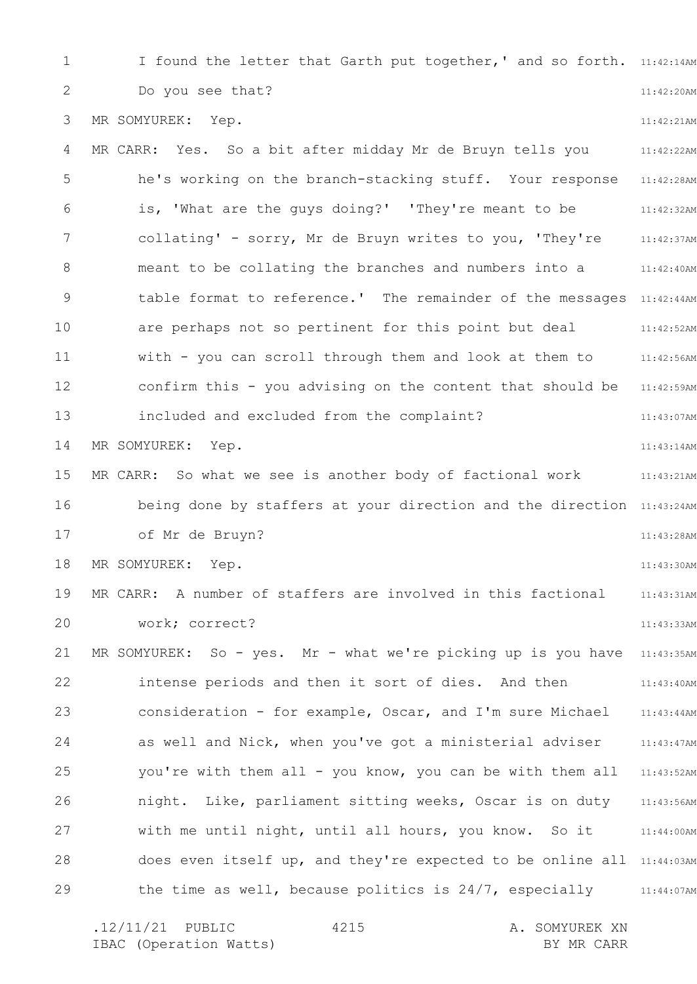1 2 3 4 5 6 7 8 9 10 11 12 13 14 15 16 17 18 19 20 21 22 23 24 25 26 27 28 29 I found the letter that Garth put together,' and so forth. 11:42:14AM 11:42:20AM 11:42:21AM 11:42:22AM he's working on the branch-stacking stuff. Your response 11:42:28AM 11:42:32AM 11:42:37AM 11:42:40AM table format to reference.' The remainder of the messages 11:42:44AM 11:42:52AM 11:42:56AM 11:42:59AM 11:43:07AM 11:43:14AM 11:43:21AM being done by staffers at your direction and the direction 11:43:24AM 11:43:28AM 11:43:30AM 11:43:31AM 11:43:33AM MR SOMYUREK: So - yes. Mr - what we're picking up is you have 11:43:35AM 11:43:40AM 11:43:44AM 11:43:47AM 11:43:52AM 11:43:56AM with me until night, until all hours, you know. So it and the 11:44:00AM does even itself up, and they're expected to be online all 11:44:03AM the time as well, because politics is 24/7, especially 11:44:07AM Do you see that? MR SOMYUREK: Yep. MR CARR: Yes. So a bit after midday Mr de Bruyn tells you is, 'What are the guys doing?' 'They're meant to be collating' - sorry, Mr de Bruyn writes to you, 'They're meant to be collating the branches and numbers into a are perhaps not so pertinent for this point but deal with - you can scroll through them and look at them to confirm this - you advising on the content that should be included and excluded from the complaint? MR SOMYUREK: Yep. MR CARR: So what we see is another body of factional work of Mr de Bruyn? MR SOMYUREK: Yep. MR CARR: A number of staffers are involved in this factional work; correct? intense periods and then it sort of dies. And then consideration - for example, Oscar, and I'm sure Michael as well and Nick, when you've got a ministerial adviser you're with them all - you know, you can be with them all night. Like, parliament sitting weeks, Oscar is on duty

.12/11/21 PUBLIC 4215 A. SOMYUREK XN IBAC (Operation Watts) and the set of the BY MR CARR BY MR CARR 4215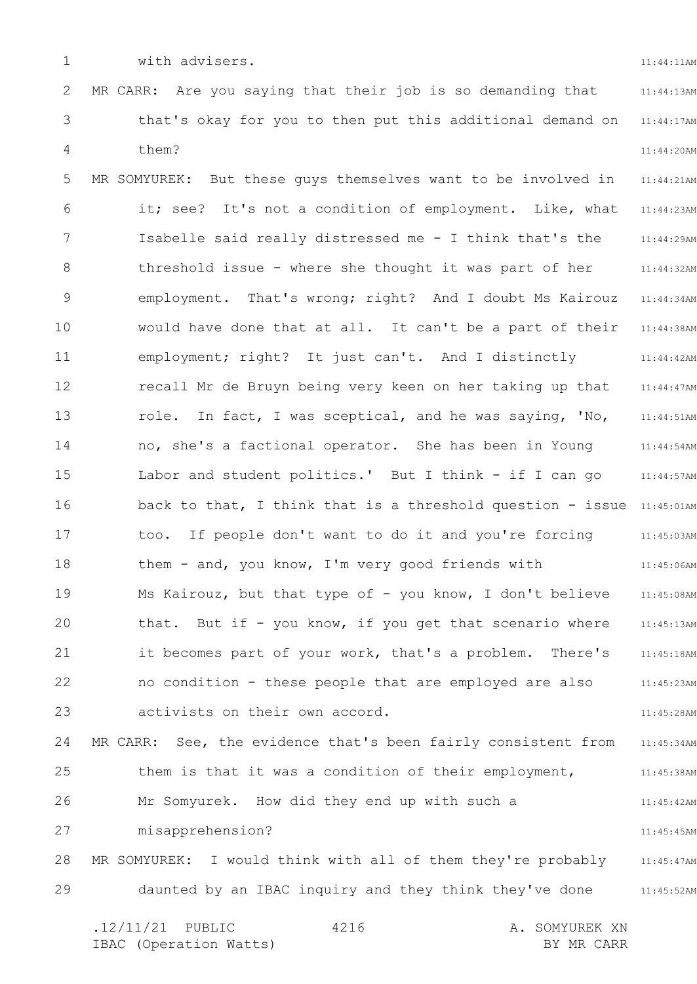1

with advisers.

11:44:11AM

2 3 4 5 6 7 8 9 10 11 12 13 14 15 16 17 18 19 20 21 22 23 24 25 26 27 28 29 11:44:13AM 11:44:17AM 11:44:20AM 11:44:21AM 11:44:23AM 11:44:29AM 11:44:32AM 11:44:34AM 11:44:38AM 11:44:42AM 11:44:47AM 11:44:51AM 11:44:54AM 11:44:57AM back to that, I think that is a threshold question - issue 11:45:01AM 11:45:03AM 11:45:06AM 11:45:08AM 11:45:13AM 11:45:18AM 11:45:23AM 11:45:28AM 11:45:34AM 11:45:38AM 11:45:42AM 11:45:45AM 11:45:47AM 11:45:52AM .12/11/21 PUBLIC 4216 A. SOMYUREK XN IBAC (Operation Watts) and the set of the BY MR CARR BY MR CARR 4216 MR CARR: Are you saying that their job is so demanding that that's okay for you to then put this additional demand on them? MR SOMYUREK: But these guys themselves want to be involved in it; see? It's not a condition of employment. Like, what Isabelle said really distressed me - I think that's the threshold issue - where she thought it was part of her employment. That's wrong; right? And I doubt Ms Kairouz would have done that at all. It can't be a part of their employment; right? It just can't. And I distinctly recall Mr de Bruyn being very keen on her taking up that role. In fact, I was sceptical, and he was saying, 'No, no, she's a factional operator. She has been in Young Labor and student politics.' But I think - if I can go too. If people don't want to do it and you're forcing them - and, you know, I'm very good friends with Ms Kairouz, but that type of - you know, I don't believe that. But if - you know, if you get that scenario where it becomes part of your work, that's a problem. There's no condition - these people that are employed are also activists on their own accord. MR CARR: See, the evidence that's been fairly consistent from them is that it was a condition of their employment, Mr Somyurek. How did they end up with such a misapprehension? MR SOMYUREK: I would think with all of them they're probably daunted by an IBAC inquiry and they think they've done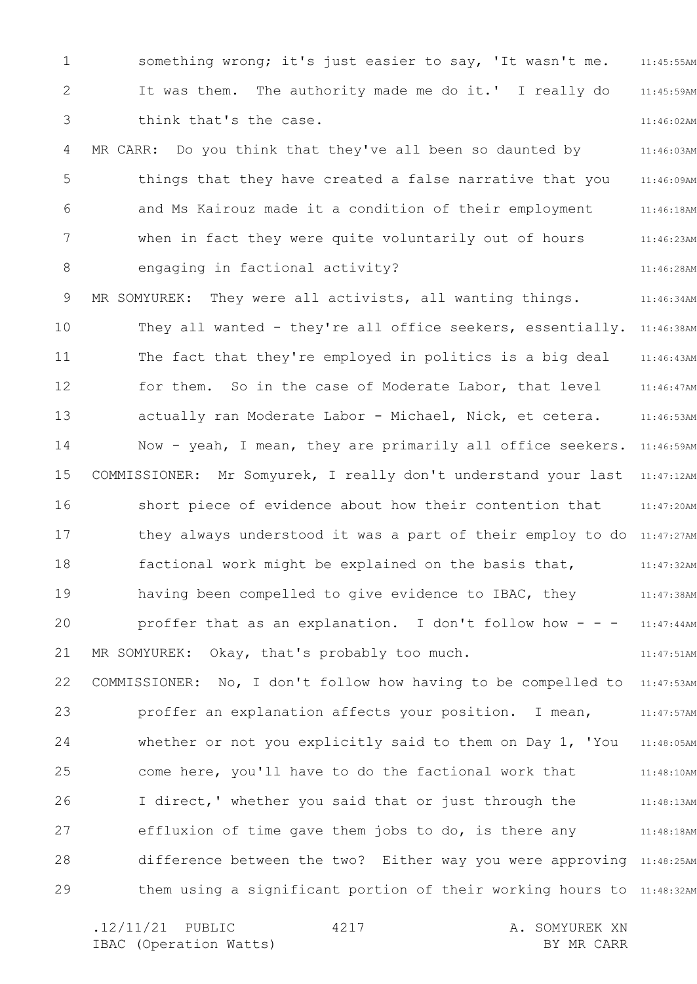1 2 3 4 5 6 7 8 9 10 11 12 13 14 15 16 17 18 19 20 21 22 23 24 25 26 27 28 29 11:45:55AM 11:45:59AM 11:46:02AM 11:46:03AM 11:46:09AM 11:46:18AM 11:46:23AM 11:46:28AM 11:46:34AM They all wanted - they're all office seekers, essentially. 11:46:38AM 11:46:43AM 11:46:47AM 11:46:53AM Now - yeah, I mean, they are primarily all office seekers. 11:46:59AM 11:47:12AM 11:47:20AM they always understood it was a part of their employ to do 11:47:27AM 11:47:32AM 11:47:38AM 11:47:44AM 11:47:51AM 11:47:53AM 11:47:57AM 11:48:05AM 11:48:10AM 11:48:13AM 11:48:18AM difference between the two? Either way you were approving 11:48:25AM them using a significant portion of their working hours to 11:48:32AM something wrong; it's just easier to say, 'It wasn't me. It was them. The authority made me do it.' I really do think that's the case. MR CARR: Do you think that they've all been so daunted by things that they have created a false narrative that you and Ms Kairouz made it a condition of their employment when in fact they were quite voluntarily out of hours engaging in factional activity? MR SOMYUREK: They were all activists, all wanting things. The fact that they're employed in politics is a big deal for them. So in the case of Moderate Labor, that level actually ran Moderate Labor - Michael, Nick, et cetera. COMMISSIONER: Mr Somyurek, I really don't understand your last short piece of evidence about how their contention that factional work might be explained on the basis that, having been compelled to give evidence to IBAC, they proffer that as an explanation. I don't follow how - - -MR SOMYUREK: Okay, that's probably too much. COMMISSIONER: No, I don't follow how having to be compelled to proffer an explanation affects your position. I mean, whether or not you explicitly said to them on Day 1, 'You come here, you'll have to do the factional work that I direct,' whether you said that or just through the effluxion of time gave them jobs to do, is there any

.12/11/21 PUBLIC 4217 A. SOMYUREK XN IBAC (Operation Watts) and the set of the BY MR CARR BY MR CARR 4217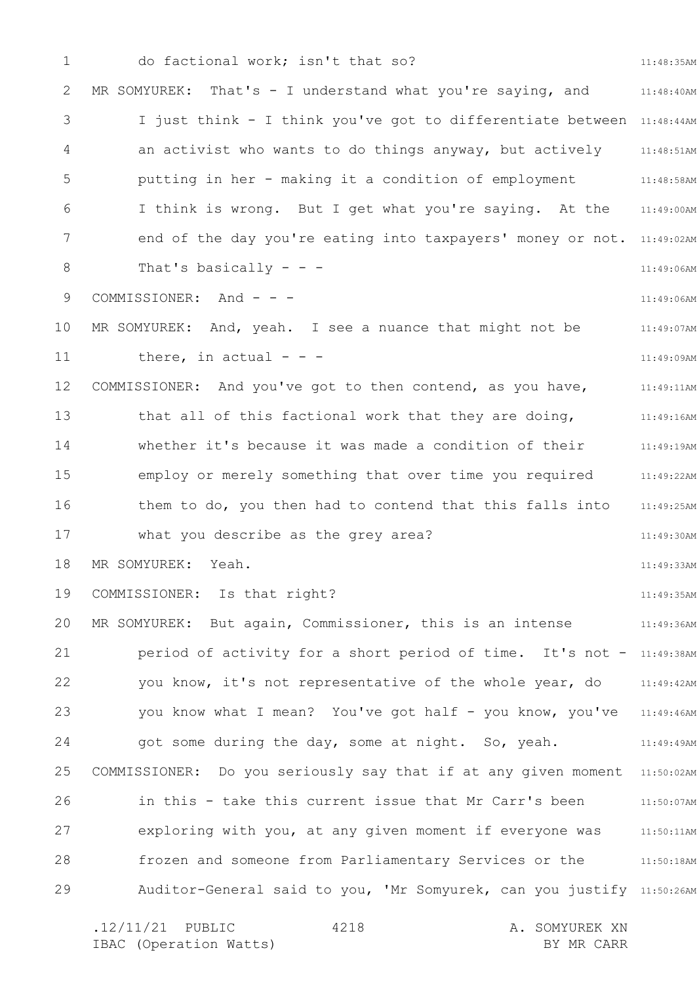1 2 3 4 5 6 7 8 9 10 11 12 13 14 15 16 17 18 19 20 21 22 23 24 25 26 27 28 29 11:48:35AM 11:48:40AM I just think - I think you've got to differentiate between 11:48:44AM 11:48:51AM 11:48:58AM 11:49:00AM end of the day you're eating into taxpayers' money or not. 11:49:02AM 11:49:06AM 11:49:06AM 11:49:07AM 11:49:09AM 11:49:11AM 11:49:16AM 11:49:19AM employ or merely something that over time you required and 11:49:22AM 11:49:25AM 11:49:30AM 11:49:33AM 11:49:35AM 11:49:36AM period of activity for a short period of time. It's not - 11:49:38AM you know, it's not representative of the whole year, do 11:49:42AM you know what I mean? You've got half - you know, you've 11:49:46AM 11:49:49AM COMMISSIONER: Do you seriously say that if at any given moment 11:50:02AM 11:50:07AM exploring with you, at any given moment if everyone was 11:50:11AM frozen and someone from Parliamentary Services or the 11:50:18AM Auditor-General said to you, 'Mr Somyurek, can you justify 11:50:26AM .12/11/21 PUBLIC 4218 A. SOMYUREK XN 4218 do factional work; isn't that so? MR SOMYUREK: That's - I understand what you're saying, and an activist who wants to do things anyway, but actively putting in her - making it a condition of employment I think is wrong. But I get what you're saying. At the That's basically  $-$  -  $-$ COMMISSIONER: And - - -MR SOMYUREK: And, yeah. I see a nuance that might not be there, in actual  $- -$ COMMISSIONER: And you've got to then contend, as you have, that all of this factional work that they are doing, whether it's because it was made a condition of their them to do, you then had to contend that this falls into what you describe as the grey area? MR SOMYUREK: Yeah. COMMISSIONER: Is that right? MR SOMYUREK: But again, Commissioner, this is an intense got some during the day, some at night. So, yeah. in this - take this current issue that Mr Carr's been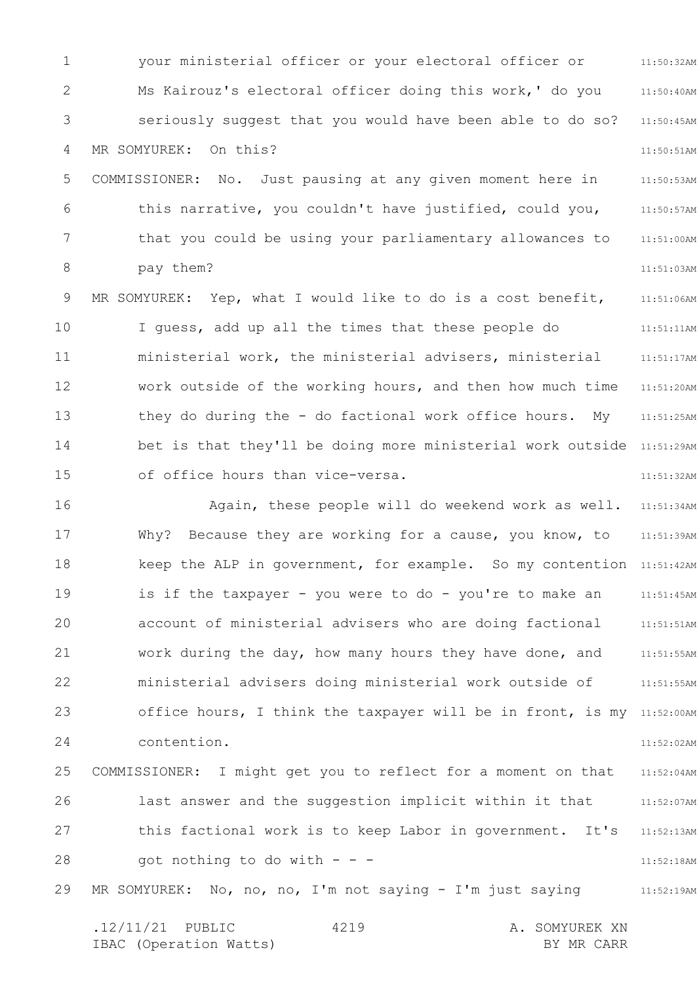1 2 3 4 5 6 7 8 9 10 11 12 13 14 15 11:50:32AM 11:50:40AM 11:50:45AM 11:50:51AM 11:50:53AM 11:50:57AM 11:51:00AM 11:51:03AM 11:51:06AM 11:51:11AM 11:51:17AM 11:51:20AM 11:51:25AM bet is that they'll be doing more ministerial work outside 11:51:29AM 11:51:32AM your ministerial officer or your electoral officer or Ms Kairouz's electoral officer doing this work,' do you seriously suggest that you would have been able to do so? MR SOMYUREK: On this? COMMISSIONER: No. Just pausing at any given moment here in this narrative, you couldn't have justified, could you, that you could be using your parliamentary allowances to pay them? MR SOMYUREK: Yep, what I would like to do is a cost benefit, I guess, add up all the times that these people do ministerial work, the ministerial advisers, ministerial work outside of the working hours, and then how much time they do during the - do factional work office hours. My of office hours than vice-versa.

16 17 18 19 20 21 22 23 24 25 26 27 28 29 11:51:34AM 11:51:39AM keep the ALP in government, for example. So my contention 11:51:42AM 11:51:45AM 11:51:51AM 11:51:55AM 11:51:55AM office hours, I think the taxpayer will be in front, is my 11:52:00AM 11:52:02AM 11:52:04AM 11:52:07AM 11:52:13AM 11:52:18AM 11:52:19AM Again, these people will do weekend work as well. Why? Because they are working for a cause, you know, to is if the taxpayer - you were to do - you're to make an account of ministerial advisers who are doing factional work during the day, how many hours they have done, and ministerial advisers doing ministerial work outside of contention. COMMISSIONER: I might get you to reflect for a moment on that last answer and the suggestion implicit within it that this factional work is to keep Labor in government. It's got nothing to do with  $- -$ MR SOMYUREK: No, no, no, I'm not saying - I'm just saying

.12/11/21 PUBLIC 4219 A. SOMYUREK XN IBAC (Operation Watts) and the set of the BY MR CARR BY MR CARR 4219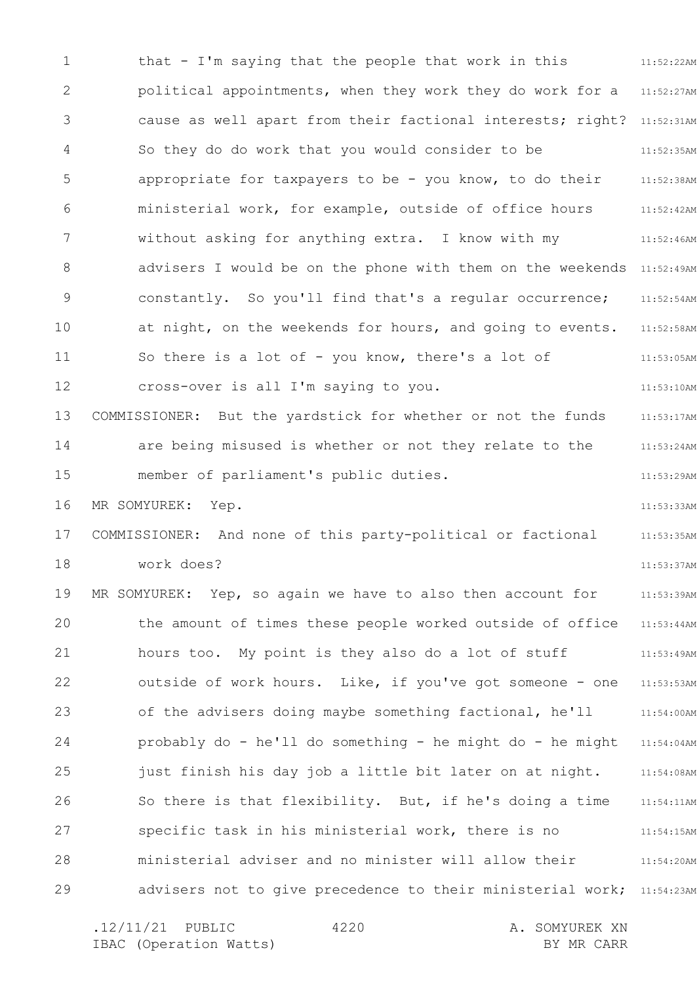1 2 3 4 5 6 7 8 9 10 11 12 13 14 15 16 17 18 19 20 21 22 23 24 25 26 27 28 29 11:52:22AM political appointments, when they work they do work for a 211:52:27AM cause as well apart from their factional interests; right? 11:52:31AM 11:52:35AM 11:52:38AM 11:52:42AM 11:52:46AM advisers I would be on the phone with them on the weekends 11:52:49AM 11:52:54AM 11:52:58AM 11:53:05AM 11:53:10AM 11:53:17AM 11:53:24AM 11:53:29AM 11:53:33AM 11:53:35AM 11:53:37AM 11:53:39AM 11:53:44AM 11:53:49AM 11:53:53AM 11:54:00AM 11:54:04AM 11:54:08AM 11:54:11AM 11:54:15AM 11:54:20AM advisers not to give precedence to their ministerial work; 11:54:23AM that - I'm saying that the people that work in this So they do do work that you would consider to be appropriate for taxpayers to be - you know, to do their ministerial work, for example, outside of office hours without asking for anything extra. I know with my constantly. So you'll find that's a regular occurrence; at night, on the weekends for hours, and going to events. So there is a lot of - you know, there's a lot of cross-over is all I'm saying to you. COMMISSIONER: But the yardstick for whether or not the funds are being misused is whether or not they relate to the member of parliament's public duties. MR SOMYUREK: Yep. COMMISSIONER: And none of this party-political or factional work does? MR SOMYUREK: Yep, so again we have to also then account for the amount of times these people worked outside of office hours too. My point is they also do a lot of stuff outside of work hours. Like, if you've got someone - one of the advisers doing maybe something factional, he'll probably do - he'll do something - he might do - he might just finish his day job a little bit later on at night. So there is that flexibility. But, if he's doing a time specific task in his ministerial work, there is no ministerial adviser and no minister will allow their

.12/11/21 PUBLIC 4220 A. SOMYUREK XN IBAC (Operation Watts) and the set of the BY MR CARR BY MR CARR 4220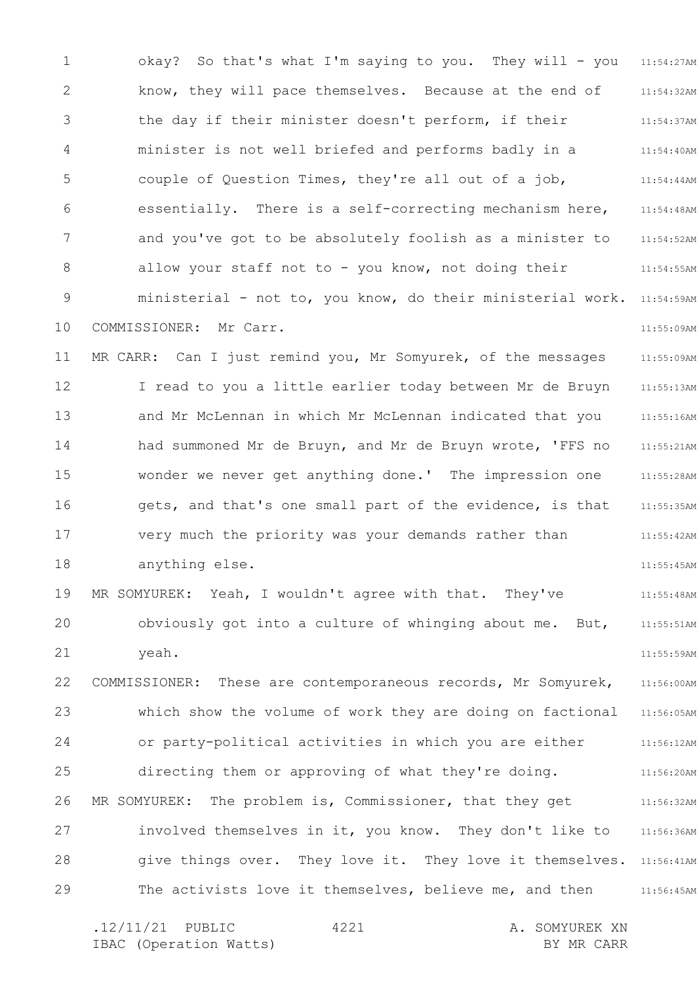1 2 3 4 5 6 7 8 9 10 11 12 13 14 15 16 17 18 19 20 21 22 23 24 25 26 27 28 29 11:54:27AM 11:54:32AM 11:54:37AM 11:54:40AM 11:54:44AM 11:54:48AM 11:54:52AM 11:54:55AM ministerial – not to, you know, do their ministerial work. 11:54:59AM 11:55:09AM 11:55:09AM 11:55:13AM 11:55:16AM 11:55:21AM 11:55:28AM 11:55:35AM 11:55:42AM 11:55:45AM 11:55:48AM 11:55:51AM 11:55:59AM 11:56:00AM 11:56:05AM 11:56:12AM 11:56:20AM 11:56:32AM 11:56:36AM give things over. They love it. They love it themselves. 11:56:41AM 11:56:45AM okay? So that's what I'm saying to you. They will - you know, they will pace themselves. Because at the end of the day if their minister doesn't perform, if their minister is not well briefed and performs badly in a couple of Question Times, they're all out of a job, essentially. There is a self-correcting mechanism here, and you've got to be absolutely foolish as a minister to allow your staff not to - you know, not doing their COMMISSIONER: Mr Carr. MR CARR: Can I just remind you, Mr Somyurek, of the messages I read to you a little earlier today between Mr de Bruyn and Mr McLennan in which Mr McLennan indicated that you had summoned Mr de Bruyn, and Mr de Bruyn wrote, 'FFS no wonder we never get anything done.' The impression one gets, and that's one small part of the evidence, is that very much the priority was your demands rather than anything else. MR SOMYUREK: Yeah, I wouldn't agree with that. They've obviously got into a culture of whinging about me. But, yeah. COMMISSIONER: These are contemporaneous records, Mr Somyurek, which show the volume of work they are doing on factional or party-political activities in which you are either directing them or approving of what they're doing. MR SOMYUREK: The problem is, Commissioner, that they get involved themselves in it, you know. They don't like to The activists love it themselves, believe me, and then

.12/11/21 PUBLIC 4221 A. SOMYUREK XN IBAC (Operation Watts) and the set of the BY MR CARR BY MR CARR 4221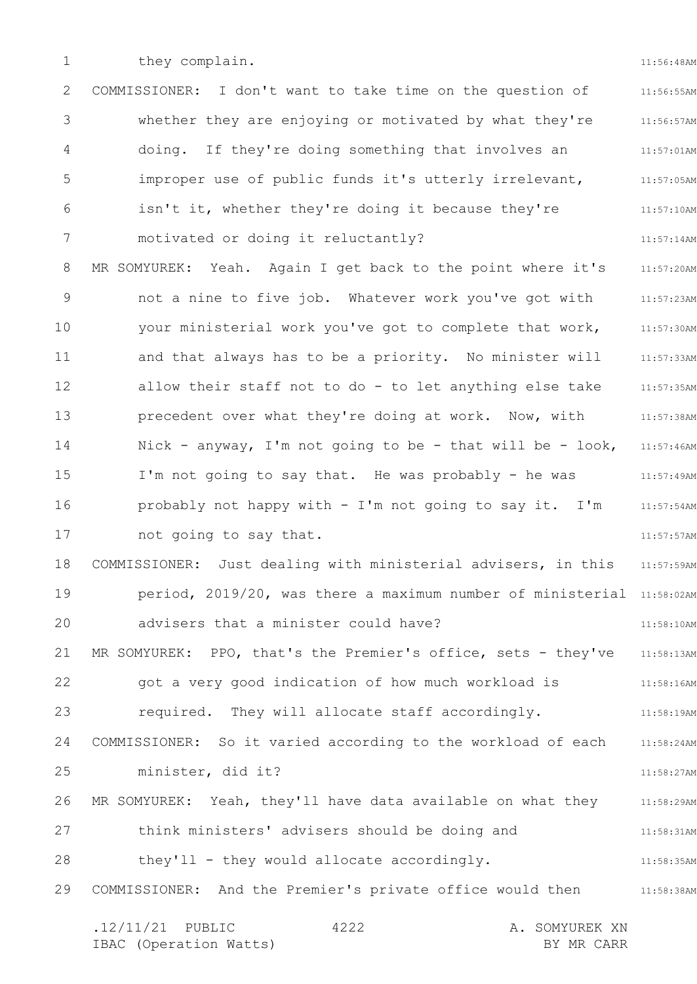1

they complain.

11:56:48AM

2 3 4 5 6 7 8 9 10 11 12 13 14 15 16 17 18 19 20 21 22 23 24 25 26 27 28 29 11:56:55AM 11:56:57AM 11:57:01AM 11:57:05AM 11:57:10AM 11:57:14AM 11:57:20AM 11:57:23AM 11:57:30AM 11:57:33AM 11:57:35AM 11:57:38AM 11:57:46AM 11:57:49AM 11:57:54AM 11:57:57AM 11:57:59AM period, 2019/20, was there a maximum number of ministerial 11:58:02AM 11:58:10AM 11:58:13AM 11:58:16AM 11:58:19AM COMMISSIONER: So it varied according to the workload of each 11:58:24AM 11:58:27AM 11:58:29AM 11:58:31AM 11:58:35AM 11:58:38AM .12/11/21 PUBLIC 4222 A. SOMYUREK XN IBAC (Operation Watts) and the set of the BY MR CARR BY MR CARR 4222 COMMISSIONER: I don't want to take time on the question of whether they are enjoying or motivated by what they're doing. If they're doing something that involves an improper use of public funds it's utterly irrelevant, isn't it, whether they're doing it because they're motivated or doing it reluctantly? MR SOMYUREK: Yeah. Again I get back to the point where it's not a nine to five job. Whatever work you've got with your ministerial work you've got to complete that work, and that always has to be a priority. No minister will allow their staff not to do - to let anything else take precedent over what they're doing at work. Now, with Nick - anyway, I'm not going to be - that will be - look, I'm not going to say that. He was probably - he was probably not happy with - I'm not going to say it. I'm not going to say that. COMMISSIONER: Just dealing with ministerial advisers, in this advisers that a minister could have? MR SOMYUREK: PPO, that's the Premier's office, sets - they've got a very good indication of how much workload is required. They will allocate staff accordingly. minister, did it? MR SOMYUREK: Yeah, they'll have data available on what they think ministers' advisers should be doing and they'll - they would allocate accordingly. COMMISSIONER: And the Premier's private office would then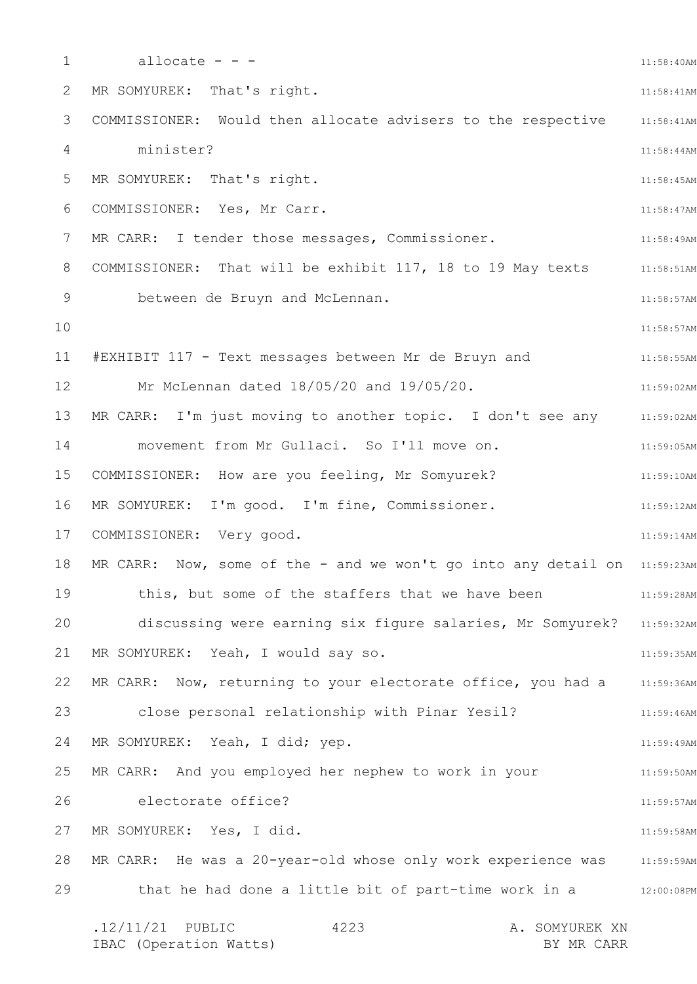1 2 3 4 5 6 7 8 9 10 11 12 13 14 15 16 17 18 19 20 21 22 23 24 25 26 27 28 29 11:58:40AM 11:58:41AM 11:58:41AM 11:58:44AM 11:58:45AM 11:58:47AM 11:58:49AM COMMISSIONER: That will be exhibit 117, 18 to 19 May texts 11:58:51AM 11:58:57AM 11:58:57AM 11:58:55AM 11:59:02AM 11:59:02AM 11:59:05AM 11:59:10AM 11:59:12AM 11:59:14AM MR CARR: Now, some of the - and we won't go into any detail on  $11:59:23$ AM 11:59:28AM discussing were earning six figure salaries, Mr Somyurek? 11:59:32AM 11:59:35AM MR CARR: Now, returning to your electorate office, you had a  $11:59:36$ AM 11:59:46AM 11:59:49AM 11:59:50AM 11:59:57AM 11:59:58AM MR CARR: He was a 20-year-old whose only work experience was a  $11:59:59$ AM that he had done a little bit of part-time work in a station:08PM .12/11/21 PUBLIC 4223 A. SOMYUREK XN 4223 allocate - - - MR SOMYUREK: That's right. COMMISSIONER: Would then allocate advisers to the respective minister? MR SOMYUREK: That's right. COMMISSIONER: Yes, Mr Carr. MR CARR: I tender those messages, Commissioner. between de Bruyn and McLennan. #EXHIBIT 117 - Text messages between Mr de Bruyn and Mr McLennan dated 18/05/20 and 19/05/20. MR CARR: I'm just moving to another topic. I don't see any movement from Mr Gullaci. So I'll move on. COMMISSIONER: How are you feeling, Mr Somyurek? MR SOMYUREK: I'm good. I'm fine, Commissioner. COMMISSIONER: Very good. this, but some of the staffers that we have been MR SOMYUREK: Yeah, I would say so. close personal relationship with Pinar Yesil? MR SOMYUREK: Yeah, I did; yep. MR CARR: And you employed her nephew to work in your electorate office? MR SOMYUREK: Yes, I did.

IBAC (Operation Watts) BY MR CARR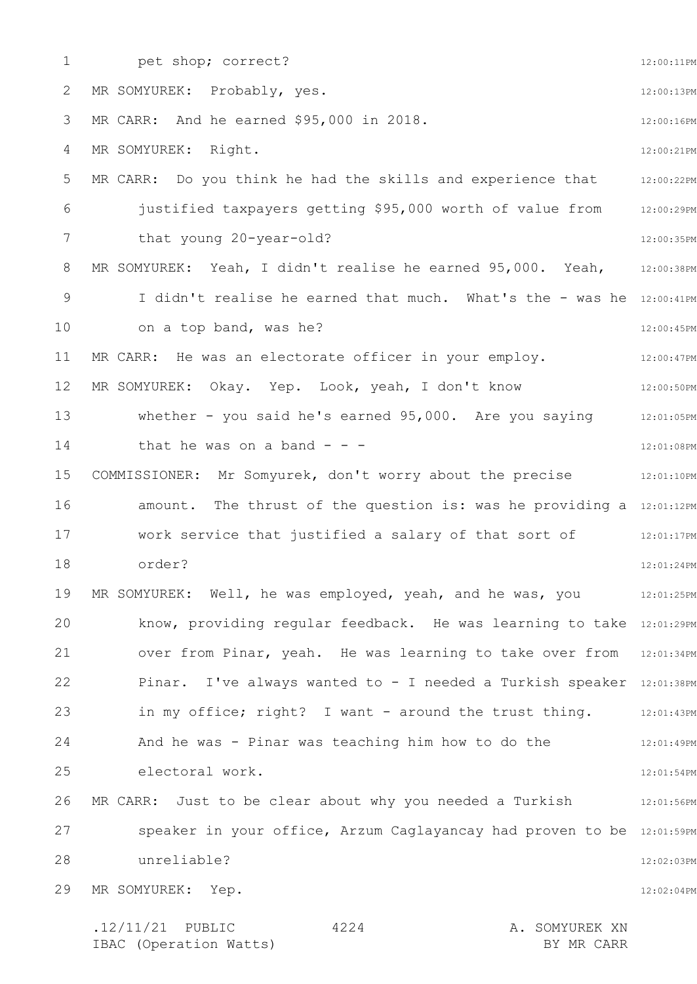1 2 3 4 5 6 7 8 9 10 11 12 13 14 15 16 17 18 19 20 21 22 23 24 25 26 27 28 29 12:00:11PM 12:00:13PM 12:00:16PM 12:00:21PM 12:00:22PM 12:00:29PM 12:00:35PM 12:00:38PM I didn't realise he earned that much. What's the - was he 12:00:41PM 12:00:45PM 12:00:47PM 12:00:50PM 12:01:05PM 12:01:08PM COMMISSIONER: Mr Somyurek, don't worry about the precise 12:01:10PM amount. The thrust of the question is: was he providing a 12:01:12PM 12:01:17PM 12:01:24PM 12:01:25PM know, providing regular feedback. He was learning to take 12:01:29PM over from Pinar, yeah. He was learning to take over from 12:01:34PM Pinar. I've always wanted to - I needed a Turkish speaker 12:01:38PM in my office; right? I want - around the trust thing. 12:01:43PM 12:01:49PM 12:01:54PM 12:01:56PM speaker in your office, Arzum Caglayancay had proven to be 12:01:59PM 12:02:03PM 12:02:04PM .12/11/21 PUBLIC 4224 A. SOMYUREK XN 4224 pet shop; correct? MR SOMYUREK: Probably, yes. MR CARR: And he earned \$95,000 in 2018. MR SOMYUREK: Right. MR CARR: Do you think he had the skills and experience that justified taxpayers getting \$95,000 worth of value from that young 20-year-old? MR SOMYUREK: Yeah, I didn't realise he earned 95,000. Yeah, on a top band, was he? MR CARR: He was an electorate officer in your employ. MR SOMYUREK: Okay. Yep. Look, yeah, I don't know whether - you said he's earned 95,000. Are you saying that he was on a band  $$ work service that justified a salary of that sort of order? MR SOMYUREK: Well, he was employed, yeah, and he was, you And he was - Pinar was teaching him how to do the electoral work. MR CARR: Just to be clear about why you needed a Turkish unreliable? MR SOMYUREK: Yep.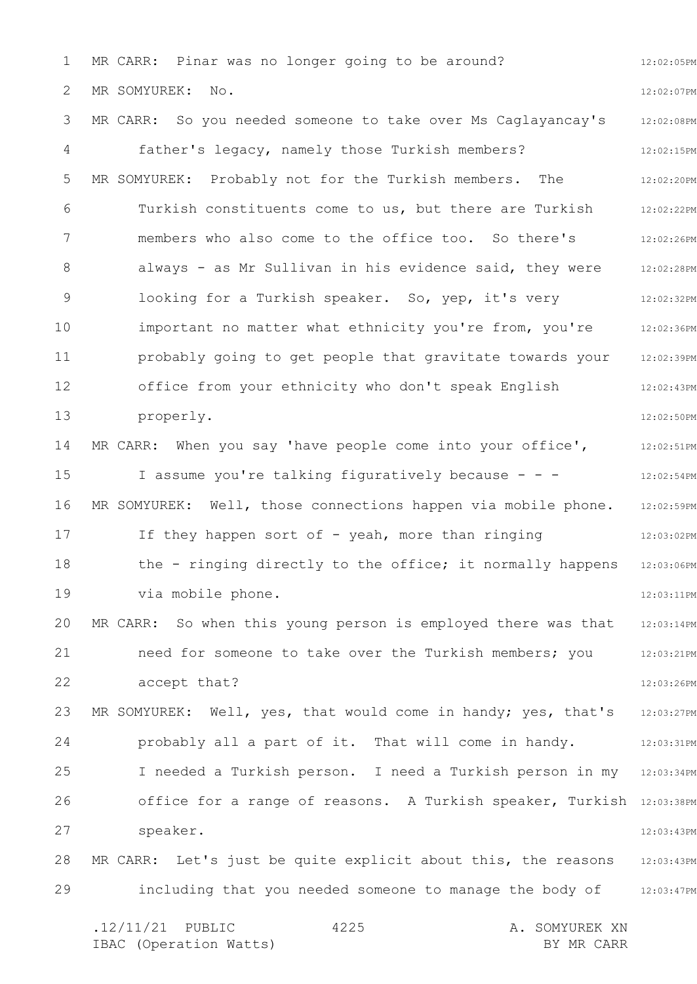1 2 3 4 5 6 7 8 9 10 11 12 13 14 15 16 17 18 19 20 21 22 23 24 25 26 27 28 29 12:02:05PM 12:02:07PM 12:02:08PM 12:02:15PM 12:02:20PM 12:02:22PM 12:02:26PM 12:02:28PM 12:02:32PM 12:02:36PM 12:02:39PM 12:02:43PM 12:02:50PM 12:02:51PM 12:02:54PM 12:02:59PM 12:03:02PM 12:03:06PM 12:03:11PM 12:03:14PM 12:03:21PM 12:03:26PM 12:03:27PM 12:03:31PM I needed a Turkish person. I need a Turkish person in my 12:03:34PM office for a range of reasons. A Turkish speaker, Turkish 12:03:38PM 12:03:43PM 12:03:43PM including that you needed someone to manage the body of 12:03:47PM MR CARR: Pinar was no longer going to be around? MR SOMYUREK: No. MR CARR: So you needed someone to take over Ms Caglayancay's father's legacy, namely those Turkish members? MR SOMYUREK: Probably not for the Turkish members. The Turkish constituents come to us, but there are Turkish members who also come to the office too. So there's always - as Mr Sullivan in his evidence said, they were looking for a Turkish speaker. So, yep, it's very important no matter what ethnicity you're from, you're probably going to get people that gravitate towards your office from your ethnicity who don't speak English properly. MR CARR: When you say 'have people come into your office', I assume you're talking figuratively because - - - MR SOMYUREK: Well, those connections happen via mobile phone. If they happen sort of - yeah, more than ringing the - ringing directly to the office; it normally happens via mobile phone. MR CARR: So when this young person is employed there was that need for someone to take over the Turkish members; you accept that? MR SOMYUREK: Well, yes, that would come in handy; yes, that's probably all a part of it. That will come in handy. speaker. MR CARR: Let's just be quite explicit about this, the reasons

.12/11/21 PUBLIC 4225 A. SOMYUREK XN IBAC (Operation Watts) and the set of the BY MR CARR BY MR CARR 4225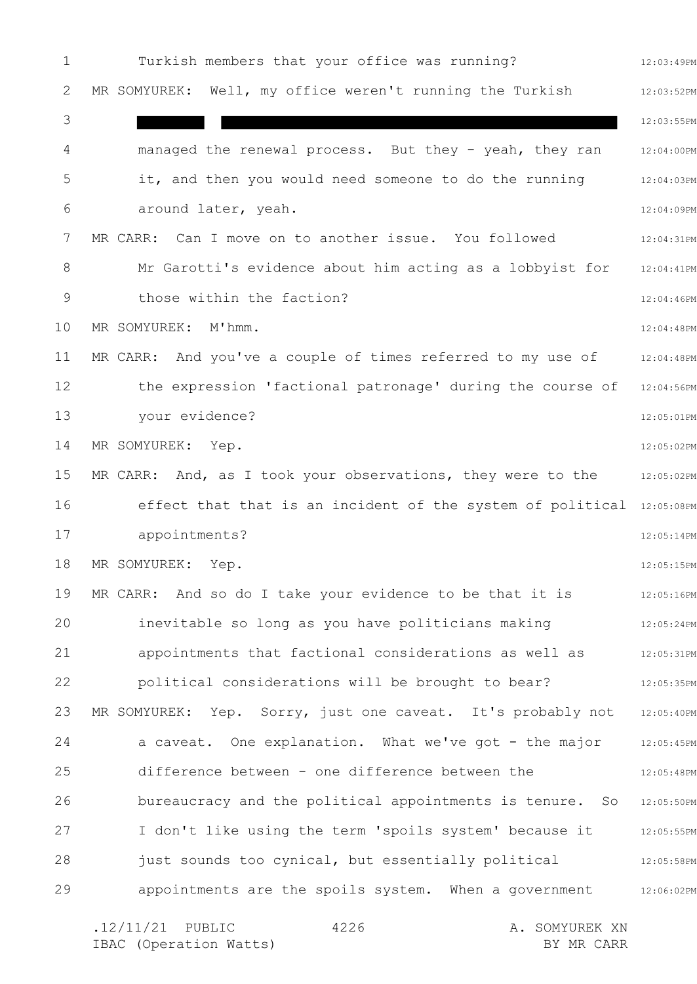1 2 3 4 5 6 7 8 9 10 11 12 13 14 15 16 17 18 19 20 21 22 23 24 25 26 27 28 29 12:03:49PM 12:03:52PM 12:03:55PM 12:04:00PM 12:04:03PM 12:04:09PM 12:04:31PM 12:04:41PM 12:04:46PM 12:04:48PM 12:04:48PM 12:04:56PM 12:05:01PM 12:05:02PM MR CARR: And, as I took your observations, they were to the  $12:05:02$ PM effect that that is an incident of the system of political 12:05:08PM 12:05:14PM 12:05:15PM 12:05:16PM 12:05:24PM 12:05:31PM 12:05:35PM 12:05:40PM 12:05:45PM 12:05:48PM 12:05:50PM I don't like using the term 'spoils system' because it 12:05:55PM 12:05:58PM 12:06:02PM Turkish members that your office was running? MR SOMYUREK: Well, my office weren't running the Turkish managed the renewal process. But they - yeah, they ran it, and then you would need someone to do the running around later, yeah. MR CARR: Can I move on to another issue. You followed Mr Garotti's evidence about him acting as a lobbyist for those within the faction? MR SOMYUREK: M'hmm. MR CARR: And you've a couple of times referred to my use of the expression 'factional patronage' during the course of your evidence? MR SOMYUREK: Yep. appointments? MR SOMYUREK: Yep. MR CARR: And so do I take your evidence to be that it is inevitable so long as you have politicians making appointments that factional considerations as well as political considerations will be brought to bear? MR SOMYUREK: Yep. Sorry, just one caveat. It's probably not a caveat. One explanation. What we've got - the major difference between - one difference between the bureaucracy and the political appointments is tenure. So just sounds too cynical, but essentially political appointments are the spoils system. When a government

.12/11/21 PUBLIC 4226 A. SOMYUREK XN IBAC (Operation Watts) BY MR CARR 4226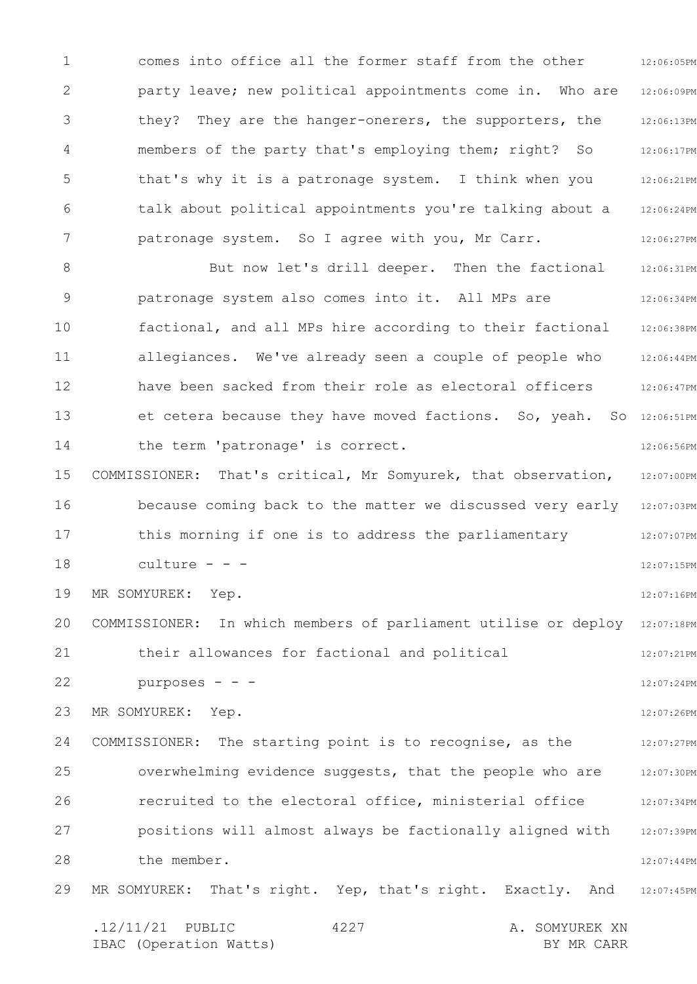1 2 3 4 5 6 7 12:06:05PM 12:06:09PM 12:06:13PM 12:06:17PM 12:06:21PM 12:06:24PM 12:06:27PM comes into office all the former staff from the other party leave; new political appointments come in. Who are they? They are the hanger-onerers, the supporters, the members of the party that's employing them; right? So that's why it is a patronage system. I think when you talk about political appointments you're talking about a patronage system. So I agree with you, Mr Carr.

8 9 10 11 12 13 14 15 16 17 18 19 20 21 22 23 24 25 26 27 28 29 12:06:31PM 12:06:34PM 12:06:38PM 12:06:44PM 12:06:47PM et cetera because they have moved factions. So, yeah. So 12:06:51PM 12:06:56PM 12:07:00PM because coming back to the matter we discussed very early 12:07:03PM 12:07:07PM 12:07:15PM 12:07:16PM COMMISSIONER: In which members of parliament utilise or deploy 12:07:18PM 12:07:21PM 12:07:24PM 12:07:26PM 12:07:27PM 12:07:30PM 12:07:34PM 12:07:39PM 12:07:44PM 12:07:45PM But now let's drill deeper. Then the factional patronage system also comes into it. All MPs are factional, and all MPs hire according to their factional allegiances. We've already seen a couple of people who have been sacked from their role as electoral officers the term 'patronage' is correct. COMMISSIONER: That's critical, Mr Somyurek, that observation, this morning if one is to address the parliamentary culture - - - MR SOMYUREK: Yep. their allowances for factional and political purposes - - - MR SOMYUREK: Yep. COMMISSIONER: The starting point is to recognise, as the overwhelming evidence suggests, that the people who are recruited to the electoral office, ministerial office positions will almost always be factionally aligned with the member. MR SOMYUREK: That's right. Yep, that's right. Exactly. And

.12/11/21 PUBLIC 4227 A. SOMYUREK XN IBAC (Operation Watts) and the set of the BY MR CARR BY MR CARR 4227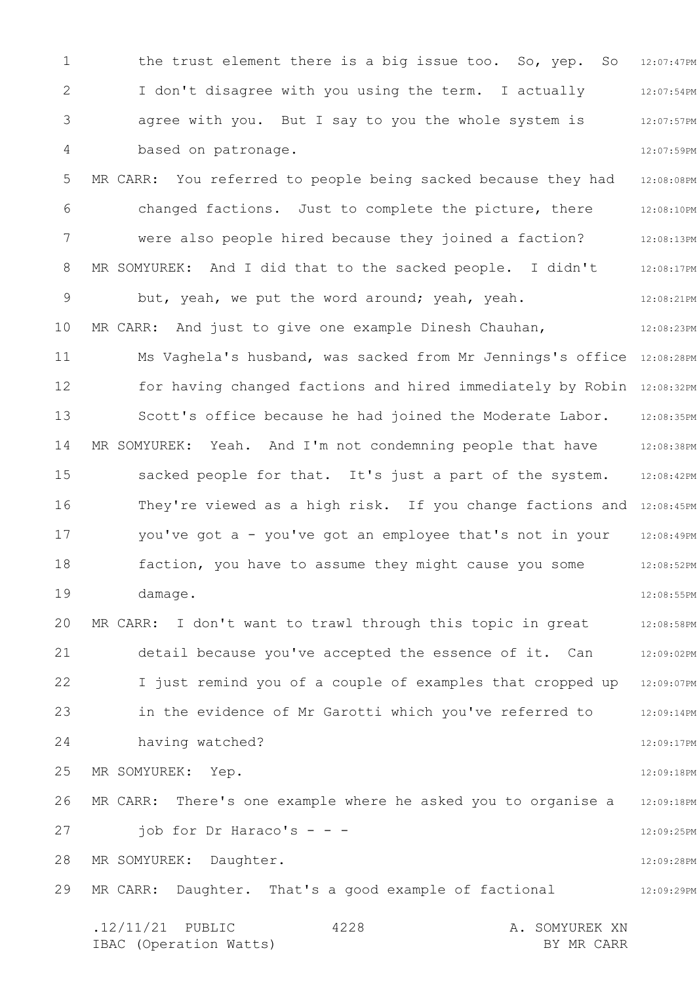1 2 3 4 5 6 7 8 9 10 11 12 13 14 15 16 17 18 19 20 21 22 23 24 25 26 27 28 29 12:07:47PM 12:07:54PM 12:07:57PM 12:07:59PM 12:08:08PM 12:08:10PM 12:08:13PM 12:08:17PM 12:08:21PM 12:08:23PM Ms Vaghela's husband, was sacked from Mr Jennings's office 12:08:28PM for having changed factions and hired immediately by Robin 12:08:32PM 12:08:35PM 12:08:38PM 12:08:42PM They're viewed as a high risk. If you change factions and 12:08:45PM 12:08:49PM 12:08:52PM 12:08:55PM 12:08:58PM 12:09:02PM 12:09:07PM 12:09:14PM 12:09:17PM 12:09:18PM 12:09:18PM 12:09:25PM 12:09:28PM 12:09:29PM .12/11/21 PUBLIC 4228 A. SOMYUREK XN IBAC (Operation Watts) and the set of the BY MR CARR BY MR CARR 4228 the trust element there is a big issue too. So, yep. So I don't disagree with you using the term. I actually agree with you. But I say to you the whole system is based on patronage. MR CARR: You referred to people being sacked because they had changed factions. Just to complete the picture, there were also people hired because they joined a faction? MR SOMYUREK: And I did that to the sacked people. I didn't but, yeah, we put the word around; yeah, yeah. MR CARR: And just to give one example Dinesh Chauhan, Scott's office because he had joined the Moderate Labor. MR SOMYUREK: Yeah. And I'm not condemning people that have sacked people for that. It's just a part of the system. you've got a - you've got an employee that's not in your faction, you have to assume they might cause you some damage. MR CARR: I don't want to trawl through this topic in great detail because you've accepted the essence of it. Can I just remind you of a couple of examples that cropped up in the evidence of Mr Garotti which you've referred to having watched? MR SOMYUREK: Yep. MR CARR: There's one example where he asked you to organise a job for Dr Haraco's  $- -$ MR SOMYUREK: Daughter. MR CARR: Daughter. That's a good example of factional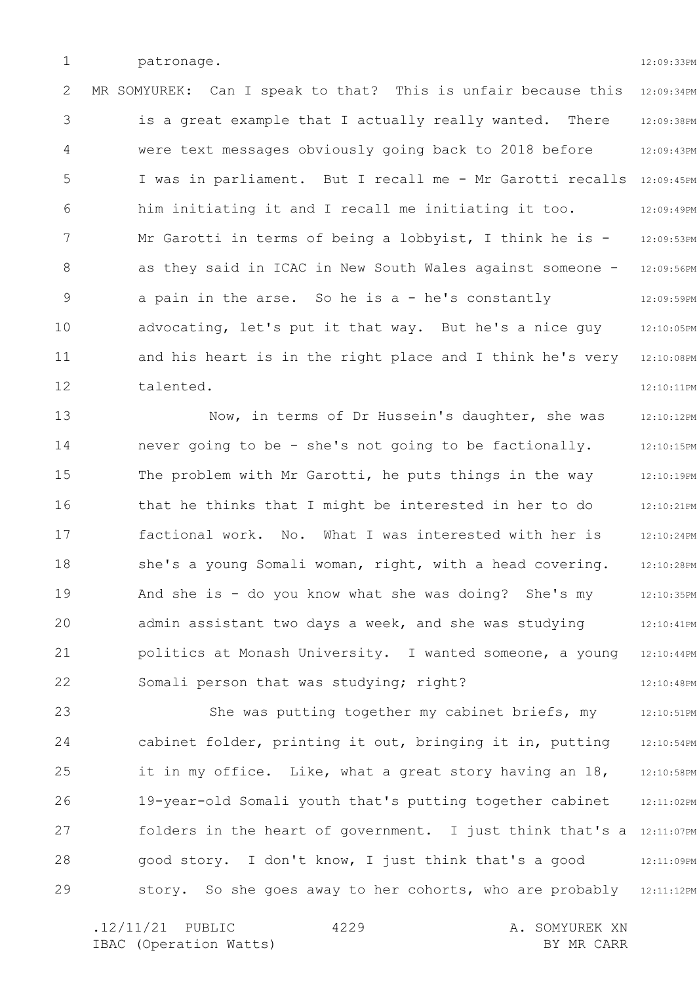1 patronage. 12:09:33PM

2 3 4 5 6 7 8 9 10 11 12 12:09:34PM 12:09:38PM 12:09:43PM I was in parliament. But I recall me - Mr Garotti recalls 12:09:45PM 12:09:49PM 12:09:53PM 12:09:56PM 12:09:59PM 12:10:05PM 12:10:08PM 12:10:11PM MR SOMYUREK: Can I speak to that? This is unfair because this is a great example that I actually really wanted. There were text messages obviously going back to 2018 before him initiating it and I recall me initiating it too. Mr Garotti in terms of being a lobbyist, I think he is as they said in ICAC in New South Wales against someone a pain in the arse. So he is a - he's constantly advocating, let's put it that way. But he's a nice guy and his heart is in the right place and I think he's very talented.

13 14 15 16 17 18 19 20 21 22 12:10:12PM 12:10:15PM 12:10:19PM 12:10:21PM 12:10:24PM 12:10:28PM 12:10:35PM 12:10:41PM 12:10:44PM 12:10:48PM Now, in terms of Dr Hussein's daughter, she was never going to be - she's not going to be factionally. The problem with Mr Garotti, he puts things in the way that he thinks that I might be interested in her to do factional work. No. What I was interested with her is she's a young Somali woman, right, with a head covering. And she is - do you know what she was doing? She's my admin assistant two days a week, and she was studying politics at Monash University. I wanted someone, a young Somali person that was studying; right?

23 24 25 26 27 28 29 12:10:51PM 12:10:54PM 12:10:58PM 12:11:02PM folders in the heart of government. I just think that's a 12:11:07PM 12:11:09PM story. So she goes away to her cohorts, who are probably 12:11:12PM She was putting together my cabinet briefs, my cabinet folder, printing it out, bringing it in, putting it in my office. Like, what a great story having an 18, 19-year-old Somali youth that's putting together cabinet good story. I don't know, I just think that's a good

4229

.12/11/21 PUBLIC 4229 A. SOMYUREK XN IBAC (Operation Watts) and the set of the BY MR CARR BY MR CARR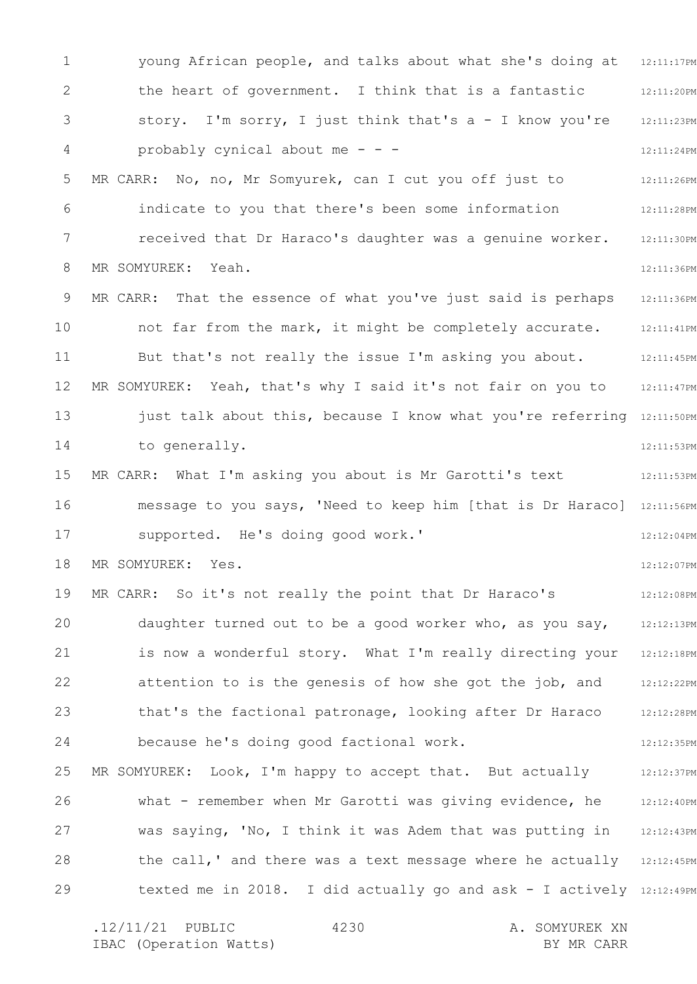1 2 3 4 5 6 7 8 9 10 11 12 13 14 15 16 17 18 19 20 21 22 23 24 25 26 27 28 29 12:11:17PM 12:11:20PM 12:11:23PM 12:11:24PM 12:11:26PM 12:11:28PM 12:11:30PM 12:11:36PM 12:11:36PM 12:11:41PM 12:11:45PM MR SOMYUREK: Yeah, that's why I said it's not fair on you to 12:11:47PM just talk about this, because I know what you're referring 12:11:50PM 12:11:53PM 12:11:53PM message to you says, 'Need to keep him [that is Dr Haraco] 12:11:56PM 12:12:04PM 12:12:07PM 12:12:08PM daughter turned out to be a good worker who, as you say, 12:12:13PM is now a wonderful story. What I'm really directing your 12:12:18PM 12:12:22PM 12:12:28PM 12:12:35PM 12:12:37PM 12:12:40PM 12:12:43PM the call,' and there was a text message where he actually 12:12:45PM texted me in 2018. I did actually go and ask - I actively 12:12:49PM young African people, and talks about what she's doing at the heart of government. I think that is a fantastic story. I'm sorry, I just think that's a - I know you're probably cynical about me - - - MR CARR: No, no, Mr Somyurek, can I cut you off just to indicate to you that there's been some information received that Dr Haraco's daughter was a genuine worker. MR SOMYUREK: Yeah. MR CARR: That the essence of what you've just said is perhaps not far from the mark, it might be completely accurate. But that's not really the issue I'm asking you about. to generally. MR CARR: What I'm asking you about is Mr Garotti's text supported. He's doing good work.' MR SOMYUREK: Yes. MR CARR: So it's not really the point that Dr Haraco's attention to is the genesis of how she got the job, and that's the factional patronage, looking after Dr Haraco because he's doing good factional work. MR SOMYUREK: Look, I'm happy to accept that. But actually what - remember when Mr Garotti was giving evidence, he was saying, 'No, I think it was Adem that was putting in

.12/11/21 PUBLIC 4230 A. SOMYUREK XN IBAC (Operation Watts) and the set of the BY MR CARR BY MR CARR 4230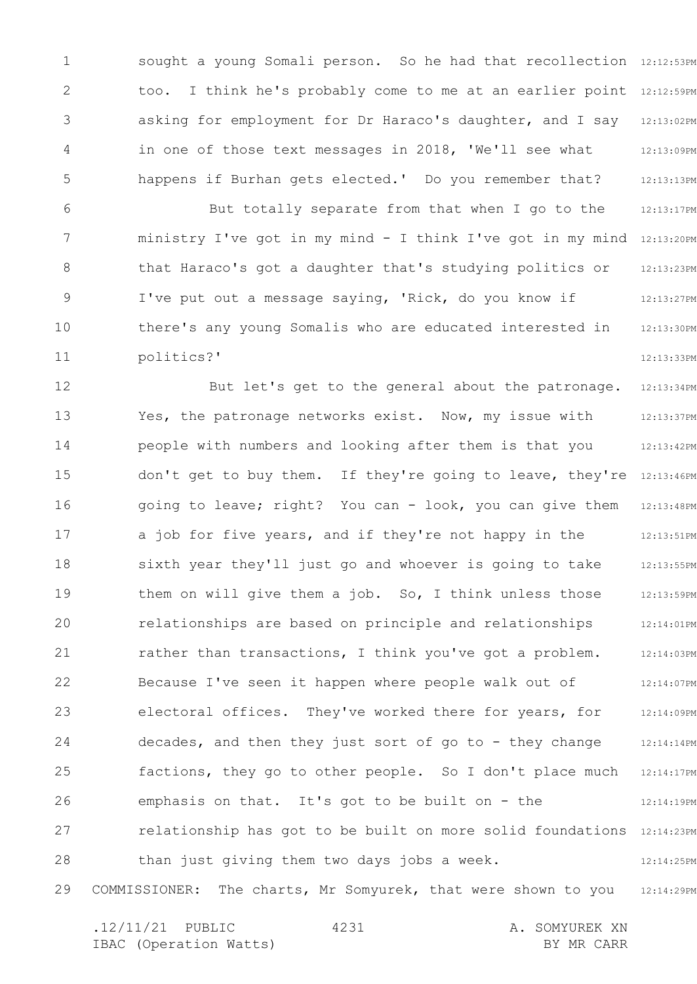1 2 3 4 5 6 sought a young Somali person. So he had that recollection 12:12:53PM too. I think he's probably come to me at an earlier point 12:12:59PM asking for employment for Dr Haraco's daughter, and I say 12:13:02PM 12:13:09PM 12:13:13PM 12:13:17PM in one of those text messages in 2018, 'We'll see what happens if Burhan gets elected.' Do you remember that? But totally separate from that when I go to the

7 8 9 10 11 ministry I've got in my mind - I think I've got in my mind 12:13:20PM 12:13:23PM 12:13:27PM 12:13:30PM 12:13:33PM that Haraco's got a daughter that's studying politics or I've put out a message saying, 'Rick, do you know if there's any young Somalis who are educated interested in politics?'

12 13 14 15 16 17 18 19 20 21 22 23 24 25 26 27 28 29 12:13:34PM 12:13:37PM 12:13:42PM don't get to buy them. If they're going to leave, they're 12:13:46PM 12:13:48PM 12:13:51PM 12:13:55PM 12:13:59PM 12:14:01PM 12:14:03PM 12:14:07PM 12:14:09PM 12:14:14PM 12:14:17PM 12:14:19PM relationship has got to be built on more solid foundations 12:14:23PM 12:14:25PM 12:14:29PM But let's get to the general about the patronage. Yes, the patronage networks exist. Now, my issue with people with numbers and looking after them is that you going to leave; right? You can - look, you can give them a job for five years, and if they're not happy in the sixth year they'll just go and whoever is going to take them on will give them a job. So, I think unless those relationships are based on principle and relationships rather than transactions, I think you've got a problem. Because I've seen it happen where people walk out of electoral offices. They've worked there for years, for decades, and then they just sort of go to - they change factions, they go to other people. So I don't place much emphasis on that. It's got to be built on - the than just giving them two days jobs a week. COMMISSIONER: The charts, Mr Somyurek, that were shown to you

| $.12/11/21$ PUBLIC |                        | 4231 | A. SOMYUREK XN |  |
|--------------------|------------------------|------|----------------|--|
|                    | IBAC (Operation Watts) |      | BY MR CARR     |  |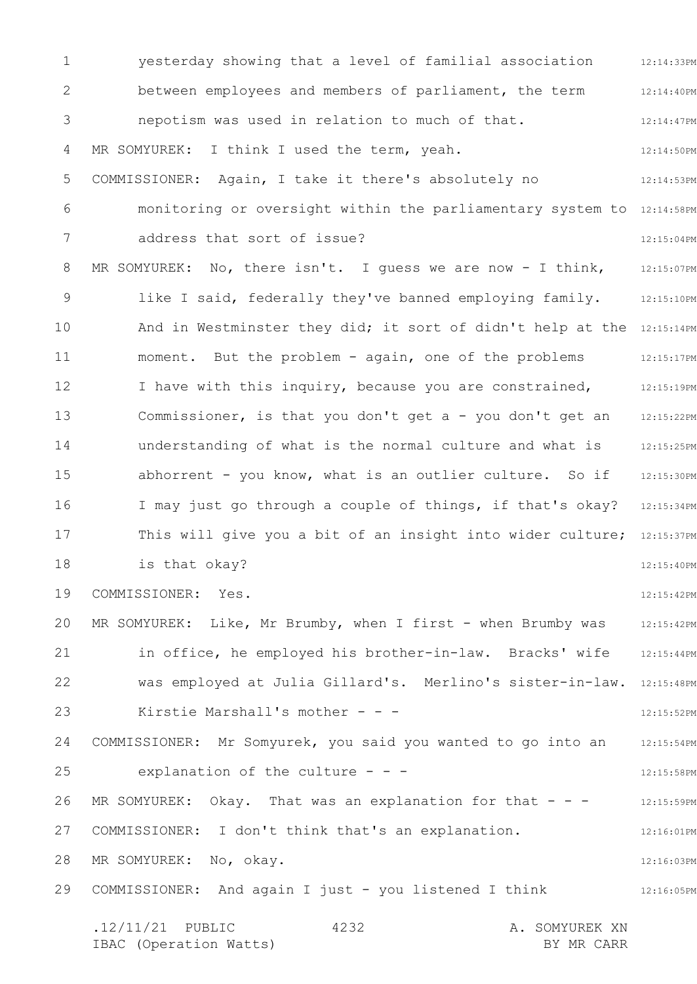1 2 3 4 5 6 7 8 9 10 11 12 13 14 15 16 17 18 19 20 21 22 23 24 25 26 27 28 29 12:14:33PM 12:14:40PM 12:14:47PM 12:14:50PM 12:14:53PM monitoring or oversight within the parliamentary system to 12:14:58PM 12:15:04PM MR SOMYUREK: No, there isn't. I guess we are now - I think, 12:15:07PM 12:15:10PM And in Westminster they did; it sort of didn't help at the 12:15:14PM 12:15:17PM 12:15:19PM 12:15:22PM 12:15:25PM 12:15:30PM I may just go through a couple of things, if that's okay? 12:15:34PM This will give you a bit of an insight into wider culture; 12:15:37PM 12:15:40PM 12:15:42PM 12:15:42PM 12:15:44PM was employed at Julia Gillard's. Merlino's sister-in-law. 12:15:48PM 12:15:52PM 12:15:54PM 12:15:58PM 12:15:59PM 12:16:01PM 12:16:03PM 12:16:05PM .12/11/21 PUBLIC 4232 A. SOMYUREK XN 4232 yesterday showing that a level of familial association between employees and members of parliament, the term nepotism was used in relation to much of that. MR SOMYUREK: I think I used the term, yeah. COMMISSIONER: Again, I take it there's absolutely no address that sort of issue? like I said, federally they've banned employing family. moment. But the problem - again, one of the problems I have with this inquiry, because you are constrained, Commissioner, is that you don't get a - you don't get an understanding of what is the normal culture and what is abhorrent - you know, what is an outlier culture. So if is that okay? COMMISSIONER: Yes. MR SOMYUREK: Like, Mr Brumby, when I first - when Brumby was in office, he employed his brother-in-law. Bracks' wife Kirstie Marshall's mother - - -COMMISSIONER: Mr Somyurek, you said you wanted to go into an explanation of the culture - - -MR SOMYUREK: Okay. That was an explanation for that  $- -$ COMMISSIONER: I don't think that's an explanation. MR SOMYUREK: No, okay. COMMISSIONER: And again I just - you listened I think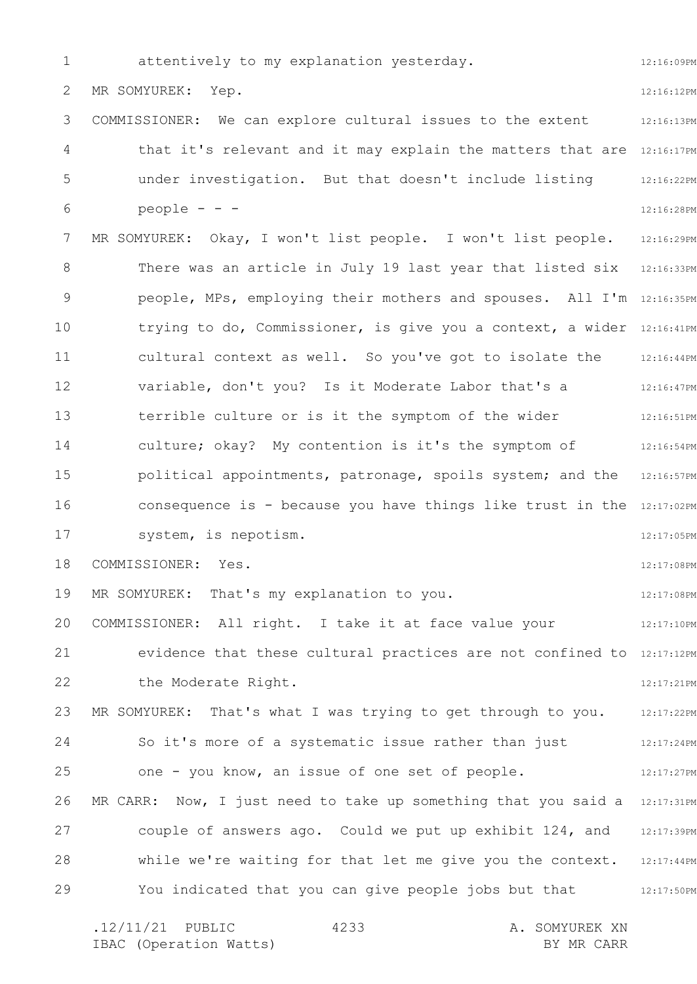1 2 3 4 5 6 7 8 9 10 11 12 13 14 15 16 17 18 19 20 21 22 23 24 25 26 27 28 29 12:16:09PM 12:16:12PM 12:16:13PM that it's relevant and it may explain the matters that are 12:16:17PM 12:16:22PM 12:16:28PM 12:16:29PM There was an article in July 19 last year that listed six 12:16:33PM people, MPs, employing their mothers and spouses. All I'm 12:16:35PM trying to do, Commissioner, is give you a context, a wider 12:16:41PM 12:16:44PM 12:16:47PM 12:16:51PM 12:16:54PM political appointments, patronage, spoils system; and the 12:16:57PM consequence is - because you have things like trust in the 12:17:02PM 12:17:05PM 12:17:08PM 12:17:08PM 12:17:10PM evidence that these cultural practices are not confined to 12:17:12PM 12:17:21PM MR SOMYUREK: That's what I was trying to get through to you. 12:17:22PM 12:17:24PM 12:17:27PM MR CARR:  $\,$  Now, I just need to take up something that you said a  $\,$  12:17:31PM couple of answers ago. Could we put up exhibit 124, and 12:17:39PM while we're waiting for that let me give you the context. 12:17:44PM You indicated that you can give people jobs but that  $12:17:50PM$ .12/11/21 PUBLIC 4233 A. SOMYUREK XN 4233 attentively to my explanation yesterday. MR SOMYUREK: Yep. COMMISSIONER: We can explore cultural issues to the extent under investigation. But that doesn't include listing people - - - MR SOMYUREK: Okay, I won't list people. I won't list people. cultural context as well. So you've got to isolate the variable, don't you? Is it Moderate Labor that's a terrible culture or is it the symptom of the wider culture; okay? My contention is it's the symptom of system, is nepotism. COMMISSIONER: Yes. MR SOMYUREK: That's my explanation to you. COMMISSIONER: All right. I take it at face value your the Moderate Right. So it's more of a systematic issue rather than just one - you know, an issue of one set of people.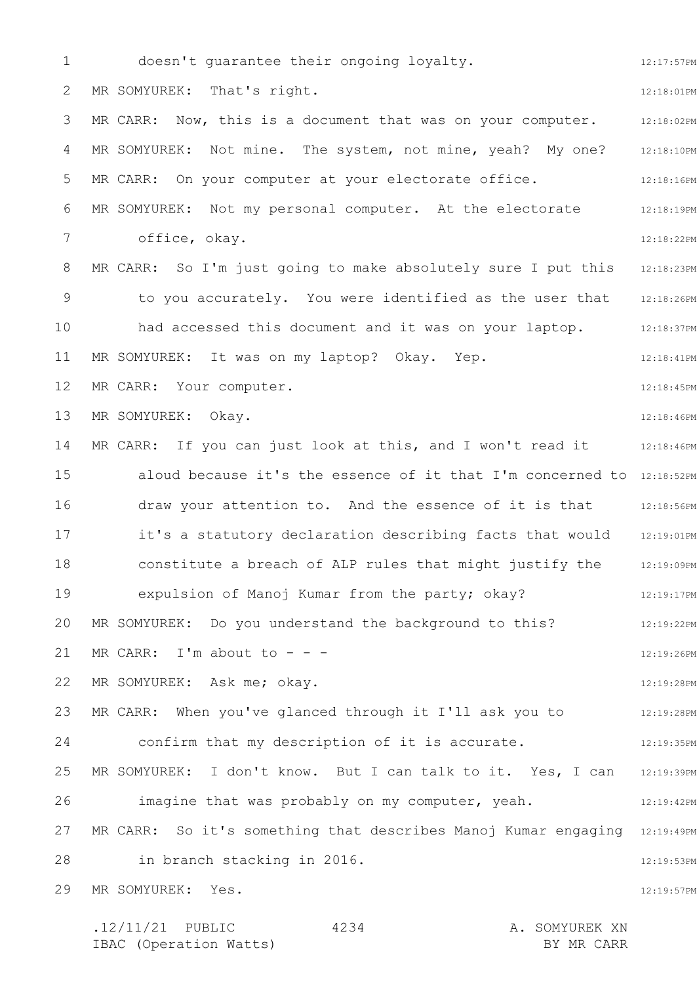1 2 3 4 5 6 7 8 9 10 11 12 13 14 15 16 17 18 19 20 21 22 23 24 25 26 27 28 29 12:17:57PM 12:18:01PM 12:18:02PM MR SOMYUREK: Not mine. The system, not mine, yeah? My one? 12:18:10PM 12:18:16PM 12:18:19PM 12:18:22PM MR CARR: So I'm just going to make absolutely sure I put this 312:18:23PM to you accurately. You were identified as the user that 12:18:26PM 12:18:37PM 12:18:41PM 12:18:45PM 12:18:46PM MR CARR: If you can just look at this, and I won't read it  $12:18:46PM$ aloud because it's the essence of it that I'm concerned to 12:18:52PM draw your attention to. And the essence of it is that 12:18:56PM it's a statutory declaration describing facts that would 12:19:01PM 12:19:09PM 12:19:17PM 12:19:22PM 12:19:26PM 12:19:28PM MR CARR: When you've glanced through it I'll ask you to  $12:19:28\,\mathrm{PM}$ confirm that my description of it is accurate. 412:19:35PM MR SOMYUREK: I don't know. But I can talk to it. Yes, I can 12:19:39PM 12:19:42PM MR CARR: So it's something that describes Manoj Kumar engaging 12:19:49PM 12:19:53PM 12:19:57PM .12/11/21 PUBLIC 4234 A. SOMYUREK XN 4234 doesn't guarantee their ongoing loyalty. MR SOMYUREK: That's right. MR CARR: Now, this is a document that was on your computer. MR CARR: On your computer at your electorate office. MR SOMYUREK: Not my personal computer. At the electorate office, okay. had accessed this document and it was on your laptop. MR SOMYUREK: It was on my laptop? Okay. Yep. MR CARR: Your computer. MR SOMYUREK: Okay. constitute a breach of ALP rules that might justify the expulsion of Manoj Kumar from the party; okay? MR SOMYUREK: Do you understand the background to this? MR CARR: I'm about to  $-$  -  $-$ MR SOMYUREK: Ask me; okay. imagine that was probably on my computer, yeah. in branch stacking in 2016. MR SOMYUREK: Yes.

IBAC (Operation Watts) BY MR CARR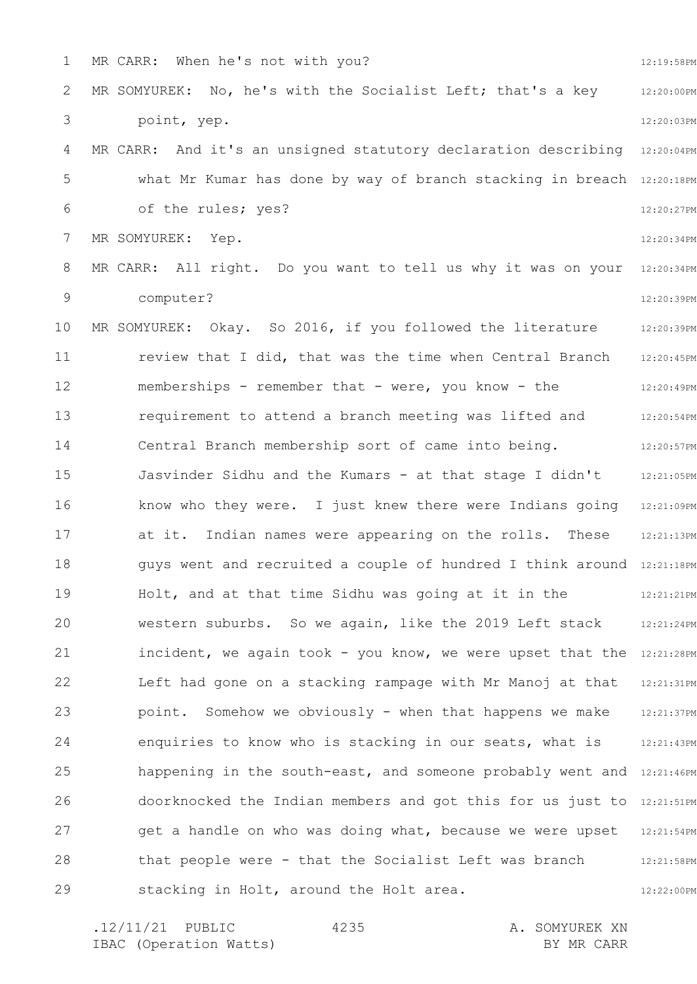1 2 3 4 5 6 7 8 9 10 11 12 13 14 15 16 17 18 19 20 21 22 23 24 25 26 27 28 29 12:19:58PM 12:20:00PM 12:20:03PM MR CARR: And it's an unsigned statutory declaration describing 12:20:04PM what Mr Kumar has done by way of branch stacking in breach 12:20:18PM 12:20:27PM 12:20:34PM 12:20:34PM 12:20:39PM 12:20:39PM 12:20:45PM 12:20:49PM 12:20:54PM 12:20:57PM 12:21:05PM 12:21:09PM 12:21:13PM guys went and recruited a couple of hundred I think around 12:21:18PM 12:21:21PM 12:21:24PM incident, we again took - you know, we were upset that the 12:21:28PM 12:21:31PM 12:21:37PM 12:21:43PM happening in the south-east, and someone probably went and  $12:21:46PM$ doorknocked the Indian members and got this for us just to 12:21:51PM get a handle on who was doing what, because we were upset 12:21:54PM 12:21:58PM 12:22:00PM MR CARR: When he's not with you? MR SOMYUREK: No, he's with the Socialist Left; that's a key point, yep. of the rules; yes? MR SOMYUREK: Yep. MR CARR: All right. Do you want to tell us why it was on your computer? MR SOMYUREK: Okay. So 2016, if you followed the literature review that I did, that was the time when Central Branch memberships - remember that - were, you know - the requirement to attend a branch meeting was lifted and Central Branch membership sort of came into being. Jasvinder Sidhu and the Kumars - at that stage I didn't know who they were. I just knew there were Indians going at it. Indian names were appearing on the rolls. These Holt, and at that time Sidhu was going at it in the western suburbs. So we again, like the 2019 Left stack Left had gone on a stacking rampage with Mr Manoj at that point. Somehow we obviously - when that happens we make enquiries to know who is stacking in our seats, what is that people were - that the Socialist Left was branch stacking in Holt, around the Holt area.

.12/11/21 PUBLIC 4235 A. SOMYUREK XN IBAC (Operation Watts) and the set of the BY MR CARR BY MR CARR 4235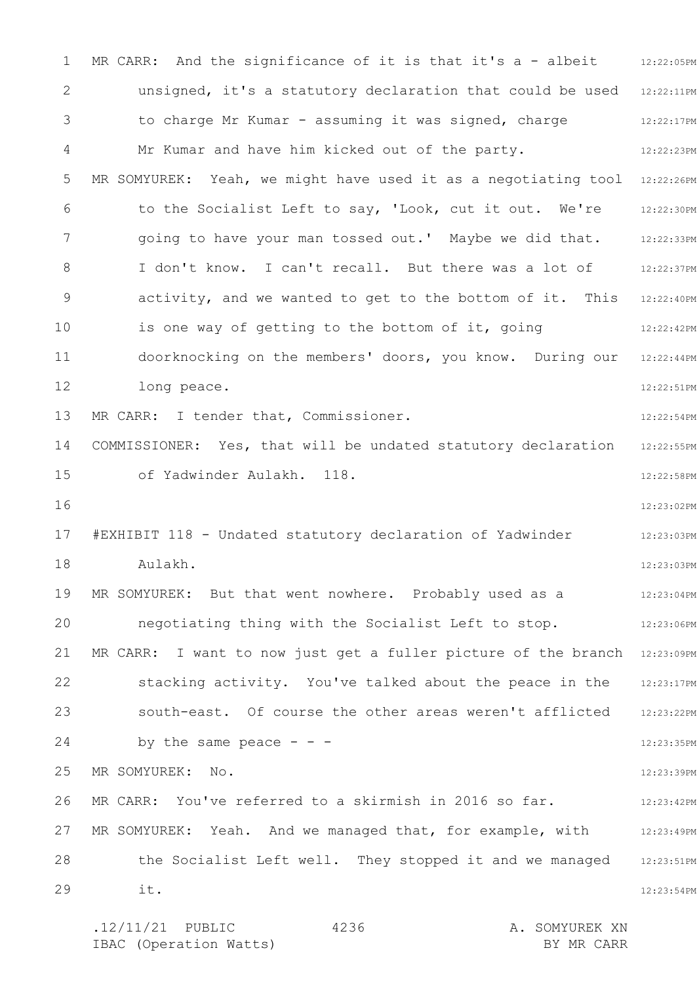1 2 3 4 5 6 7 8 9 10 11 12 13 14 15 16 17 18 19 20 21 22 23 24 25 26 27 28 29 MR CARR: And the significance of it is that it's a - albeit  $12:22:05PM$ unsigned, it's a statutory declaration that could be used 12:22:11PM 12:22:17PM 12:22:23PM MR SOMYUREK: Yeah, we might have used it as a negotiating tool 12:22:26PM 12:22:30PM 12:22:33PM 12:22:37PM activity, and we wanted to get to the bottom of it. This 12:22:40PM 12:22:42PM 12:22:44PM 12:22:51PM 12:22:54PM 12:22:55PM 12:22:58PM 12:23:02PM 12:23:03PM 12:23:03PM 12:23:04PM 12:23:06PM MR CARR: I want to now just get a fuller picture of the branch 12:23:09PM 12:23:17PM 12:23:22PM 12:23:35PM 12:23:39PM 12:23:42PM MR SOMYUREK: Yeah. And we managed that, for example, with 12:23:49PM 12:23:51PM 12:23:54PM .12/11/21 PUBLIC 4236 A. SOMYUREK XN 4236 to charge Mr Kumar - assuming it was signed, charge Mr Kumar and have him kicked out of the party. to the Socialist Left to say, 'Look, cut it out. We're going to have your man tossed out.' Maybe we did that. I don't know. I can't recall. But there was a lot of is one way of getting to the bottom of it, going doorknocking on the members' doors, you know. During our long peace. MR CARR: I tender that, Commissioner. COMMISSIONER: Yes, that will be undated statutory declaration of Yadwinder Aulakh. 118. #EXHIBIT 118 - Undated statutory declaration of Yadwinder Aulakh. MR SOMYUREK: But that went nowhere. Probably used as a negotiating thing with the Socialist Left to stop. stacking activity. You've talked about the peace in the south-east. Of course the other areas weren't afflicted by the same peace  $- -$ MR SOMYUREK: No. MR CARR: You've referred to a skirmish in 2016 so far. the Socialist Left well. They stopped it and we managed it.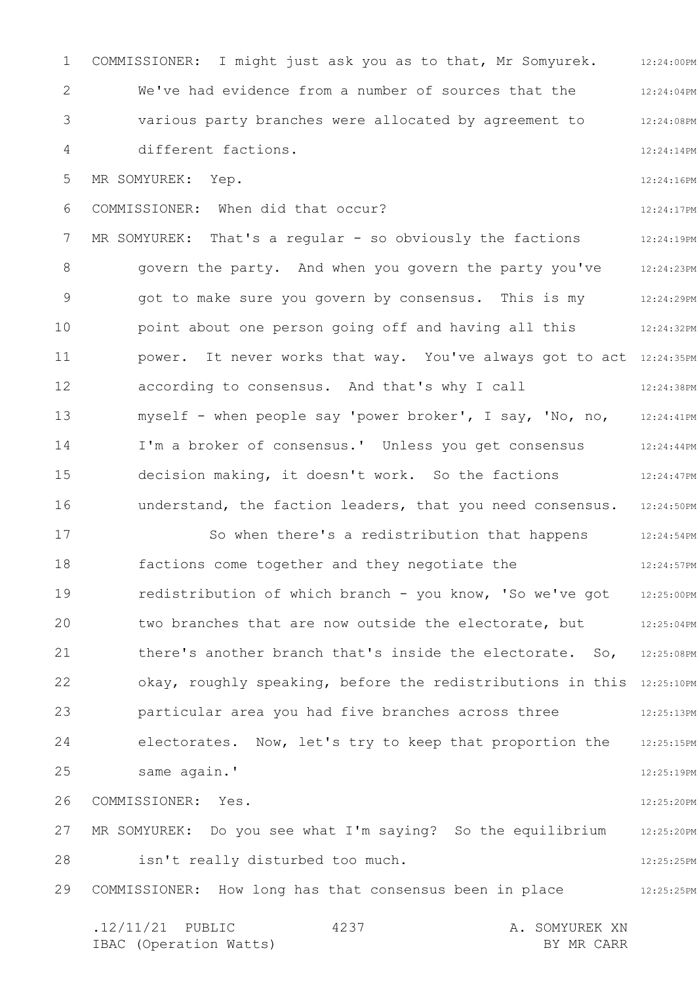1 2 3 4 5 6 7 8 9 10 11 12 13 14 15 16 17 18 19 20 21 22 23 24 25 26 27 28 29 12:24:00PM 12:24:04PM 12:24:08PM 12:24:14PM 12:24:16PM 12:24:17PM 12:24:19PM 12:24:23PM 12:24:29PM 12:24:32PM power. It never works that way. You've always got to act 12:24:35PM 12:24:38PM 12:24:41PM 12:24:44PM 12:24:47PM understand, the faction leaders, that you need consensus. 12:24:50PM 12:24:54PM 12:24:57PM 12:25:00PM 12:25:04PM there's another branch that's inside the electorate. So, 12:25:08PM okay, roughly speaking, before the redistributions in this 12:25:10PM 12:25:13PM electorates. Now, let's try to keep that proportion the 12:25:15PM 12:25:19PM 12:25:20PM 12:25:20PM 12:25:25PM 12:25:25PM .12/11/21 PUBLIC 4237 A. SOMYUREK XN IBAC (Operation Watts) BY MR CARR 4237 COMMISSIONER: I might just ask you as to that, Mr Somyurek. We've had evidence from a number of sources that the various party branches were allocated by agreement to different factions. MR SOMYUREK: Yep. COMMISSIONER: When did that occur? MR SOMYUREK: That's a regular - so obviously the factions govern the party. And when you govern the party you've got to make sure you govern by consensus. This is my point about one person going off and having all this according to consensus. And that's why I call myself - when people say 'power broker', I say, 'No, no, I'm a broker of consensus.' Unless you get consensus decision making, it doesn't work. So the factions So when there's a redistribution that happens factions come together and they negotiate the redistribution of which branch - you know, 'So we've got two branches that are now outside the electorate, but particular area you had five branches across three same again.' COMMISSIONER: Yes. MR SOMYUREK: Do you see what I'm saying? So the equilibrium isn't really disturbed too much. COMMISSIONER: How long has that consensus been in place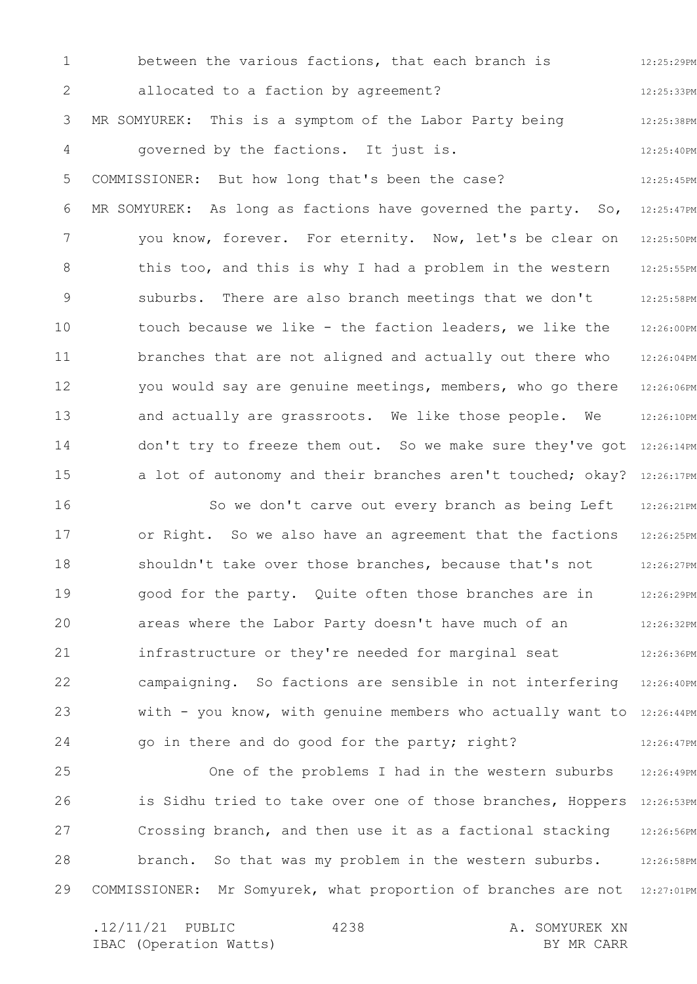1 2 3 4 5 6 7 8 9 10 11 12 13 14 15 12:25:29PM 12:25:33PM 12:25:38PM 12:25:40PM 12:25:45PM 12:25:47PM 12:25:50PM 12:25:55PM 12:25:58PM 12:26:00PM 12:26:04PM 12:26:06PM 12:26:10PM don't try to freeze them out. So we make sure they've got 12:26:14PM a lot of autonomy and their branches aren't touched; okay? 12:26:17PM between the various factions, that each branch is allocated to a faction by agreement? MR SOMYUREK: This is a symptom of the Labor Party being governed by the factions. It just is. COMMISSIONER: But how long that's been the case? MR SOMYUREK: As long as factions have governed the party. So, you know, forever. For eternity. Now, let's be clear on this too, and this is why I had a problem in the western suburbs. There are also branch meetings that we don't touch because we like - the faction leaders, we like the branches that are not aligned and actually out there who you would say are genuine meetings, members, who go there and actually are grassroots. We like those people. We

16 17 18 19 20 21 22 23 24 12:26:21PM 12:26:25PM 12:26:27PM 12:26:29PM 12:26:32PM 12:26:36PM campaigning. So factions are sensible in not interfering 12:26:40PM with - you know, with genuine members who actually want to 12:26:44PM 12:26:47PM So we don't carve out every branch as being Left or Right. So we also have an agreement that the factions shouldn't take over those branches, because that's not good for the party. Quite often those branches are in areas where the Labor Party doesn't have much of an infrastructure or they're needed for marginal seat go in there and do good for the party; right?

25 26 27 28 29 12:26:49PM is Sidhu tried to take over one of those branches, Hoppers 12:26:53PM 12:26:56PM branch. So that was my problem in the western suburbs. 12:26:58PM COMMISSIONER: Mr Somyurek, what proportion of branches are not 12:27:01PM One of the problems I had in the western suburbs Crossing branch, and then use it as a factional stacking

.12/11/21 PUBLIC 4238 A. SOMYUREK XN IBAC (Operation Watts) and the set of the BY MR CARR BY MR CARR 4238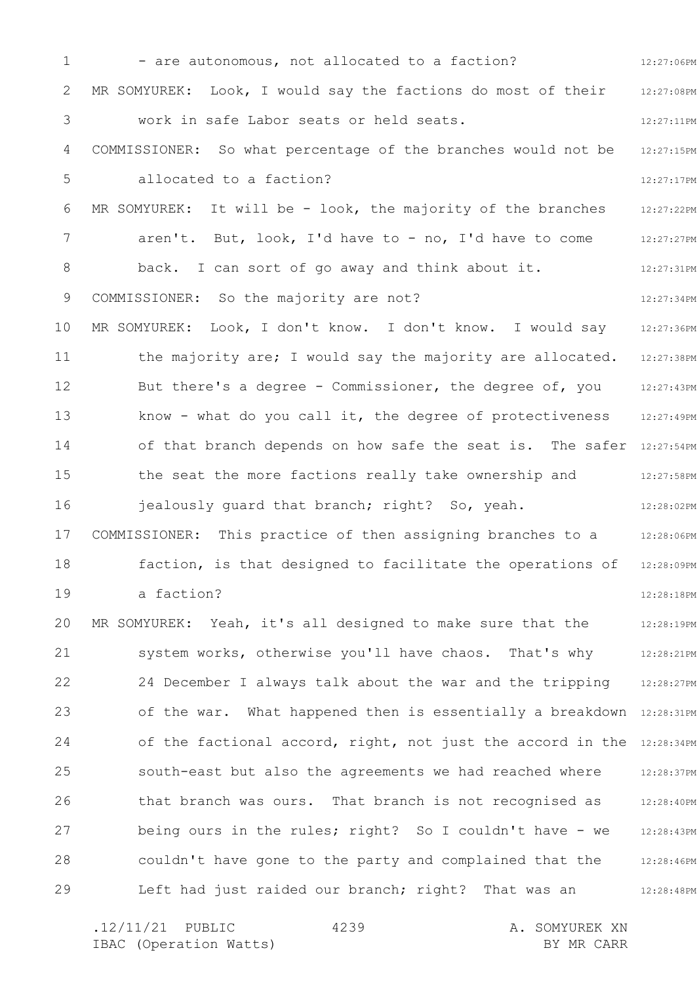1 2 3 4 5 6 7 8 9 10 11 12 13 14 15 16 17 18 19 20 21 22 23 24 25 26 27 28 29 12:27:06PM 12:27:08PM 12:27:11PM 12:27:15PM 12:27:17PM 12:27:22PM 12:27:27PM 12:27:31PM 12:27:34PM 12:27:36PM 12:27:38PM 12:27:43PM 12:27:49PM of that branch depends on how safe the seat is. The safer 12:27:54PM 12:27:58PM 12:28:02PM 12:28:06PM 12:28:09PM 12:28:18PM 12:28:19PM 12:28:21PM 12:28:27PM of the war. What happened then is essentially a breakdown 12:28:31PM of the factional accord, right, not just the accord in the 12:28:34PM 12:28:37PM 12:28:40PM 12:28:43PM 12:28:46PM 12:28:48PM - are autonomous, not allocated to a faction? MR SOMYUREK: Look, I would say the factions do most of their work in safe Labor seats or held seats. COMMISSIONER: So what percentage of the branches would not be allocated to a faction? MR SOMYUREK: It will be - look, the majority of the branches aren't. But, look, I'd have to - no, I'd have to come back. I can sort of go away and think about it. COMMISSIONER: So the majority are not? MR SOMYUREK: Look, I don't know. I don't know. I would say the majority are; I would say the majority are allocated. But there's a degree - Commissioner, the degree of, you know - what do you call it, the degree of protectiveness the seat the more factions really take ownership and jealously guard that branch; right? So, yeah. COMMISSIONER: This practice of then assigning branches to a faction, is that designed to facilitate the operations of a faction? MR SOMYUREK: Yeah, it's all designed to make sure that the system works, otherwise you'll have chaos. That's why 24 December I always talk about the war and the tripping south-east but also the agreements we had reached where that branch was ours. That branch is not recognised as being ours in the rules; right? So I couldn't have - we couldn't have gone to the party and complained that the Left had just raided our branch; right? That was an

.12/11/21 PUBLIC 4239 A. SOMYUREK XN IBAC (Operation Watts) and the set of the BY MR CARR BY MR CARR 4239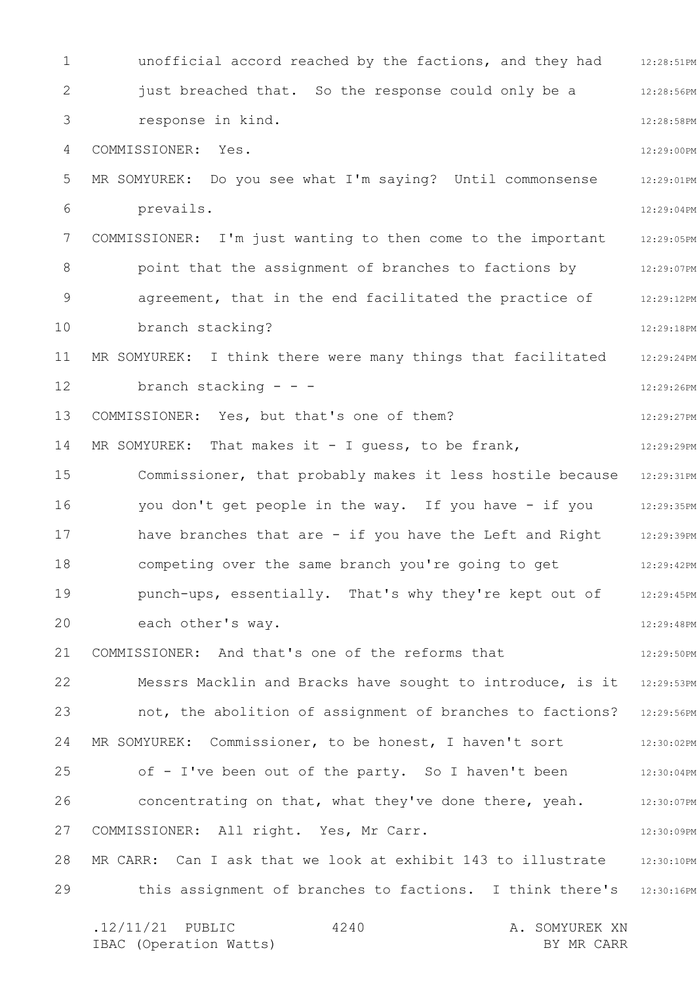1 2 3 4 5 6 7 8 9 10 11 12 13 14 15 16 17 18 19 20 21 22 23 24 25 26 27 28 29 unofficial accord reached by the factions, and they had 12:28:51PM 12:28:56PM 12:28:58PM 12:29:00PM 12:29:01PM 12:29:04PM 12:29:05PM 12:29:07PM 12:29:12PM 12:29:18PM 12:29:24PM 12:29:26PM 12:29:27PM 12:29:29PM Commissioner, that probably makes it less hostile because 12:29:31PM you don't get people in the way. If you have - if you all:29:35PM 12:29:39PM 12:29:42PM 12:29:45PM 12:29:48PM 12:29:50PM Messrs Macklin and Bracks have sought to introduce, is it  $\,$  12:29:53PM  $\,$ 12:29:56PM 12:30:02PM 12:30:04PM 12:30:07PM 12:30:09PM MR CARR: Can I ask that we look at exhibit 143 to illustrate 12:30:10PM this assignment of branches to factions. I think there's 12:30:16PM .12/11/21 PUBLIC 4240 A. SOMYUREK XN 4240 just breached that. So the response could only be a response in kind. COMMISSIONER: Yes. MR SOMYUREK: Do you see what I'm saying? Until commonsense prevails. COMMISSIONER: I'm just wanting to then come to the important point that the assignment of branches to factions by agreement, that in the end facilitated the practice of branch stacking? MR SOMYUREK: I think there were many things that facilitated branch stacking  $-$  -  $-$ COMMISSIONER: Yes, but that's one of them? MR SOMYUREK: That makes it - I guess, to be frank, have branches that are - if you have the Left and Right competing over the same branch you're going to get punch-ups, essentially. That's why they're kept out of each other's way. COMMISSIONER: And that's one of the reforms that not, the abolition of assignment of branches to factions? MR SOMYUREK: Commissioner, to be honest, I haven't sort of - I've been out of the party. So I haven't been concentrating on that, what they've done there, yeah. COMMISSIONER: All right. Yes, Mr Carr.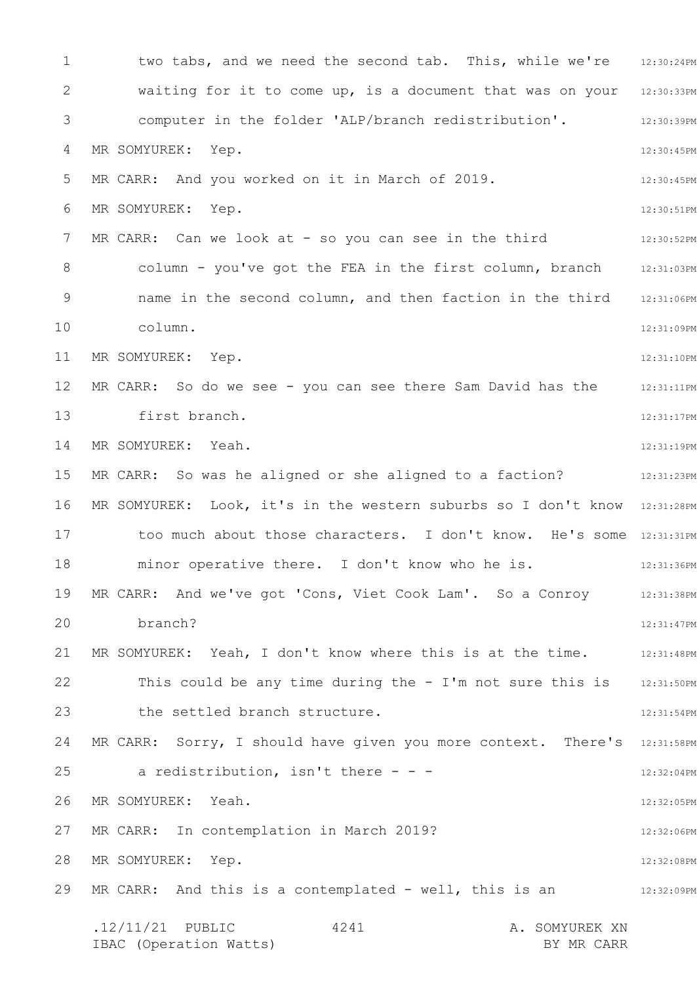1 2 3 4 5 6 7 8 9 10 11 12 13 14 15 16 17 18 19 20 21 22 23 24 25 26 27 28 29 two tabs, and we need the second tab. This, while we're 12:30:24PM waiting for it to come up, is a document that was on your 12:30:33PM 12:30:39PM 12:30:45PM 12:30:45PM 12:30:51PM 12:30:52PM column - you've got the FEA in the first column, branch 12:31:03PM name in the second column, and then faction in the third 12:31:06PM 12:31:09PM 12:31:10PM MR CARR: So do we see - you can see there Sam David has the stass:111PM 12:31:17PM 12:31:19PM MR CARR: So was he aligned or she aligned to a faction? The mass is all interest that the MR CARR:  $\,$  12:31:23PM MR SOMYUREK: Look, it's in the western suburbs so I don't know 12:31:28PM too much about those characters. I don't know. He's some 12:31:31PM 12:31:36PM MR CARR: And we've got 'Cons, Viet Cook Lam'. So a Conroy 12:31:38PM 12:31:47PM MR SOMYUREK: Yeah, I don't know where this is at the time. 42:31:48PM 12:31:50PM 12:31:54PM MR CARR: Sorry, I should have given you more context. There's 12:31:58PM 12:32:04PM 12:32:05PM 12:32:06PM 12:32:08PM 12:32:09PM .12/11/21 PUBLIC 4241 A. SOMYUREK XN IBAC (Operation Watts) BY MR CARR 4241 computer in the folder 'ALP/branch redistribution'. MR SOMYUREK: Yep. MR CARR: And you worked on it in March of 2019. MR SOMYUREK: Yep. MR CARR: Can we look at - so you can see in the third column. MR SOMYUREK: Yep. first branch. MR SOMYUREK: Yeah. minor operative there. I don't know who he is. branch? This could be any time during the - I'm not sure this is the settled branch structure. a redistribution, isn't there  $- -$ MR SOMYUREK: Yeah. MR CARR: In contemplation in March 2019? MR SOMYUREK: Yep. MR CARR: And this is a contemplated - well, this is an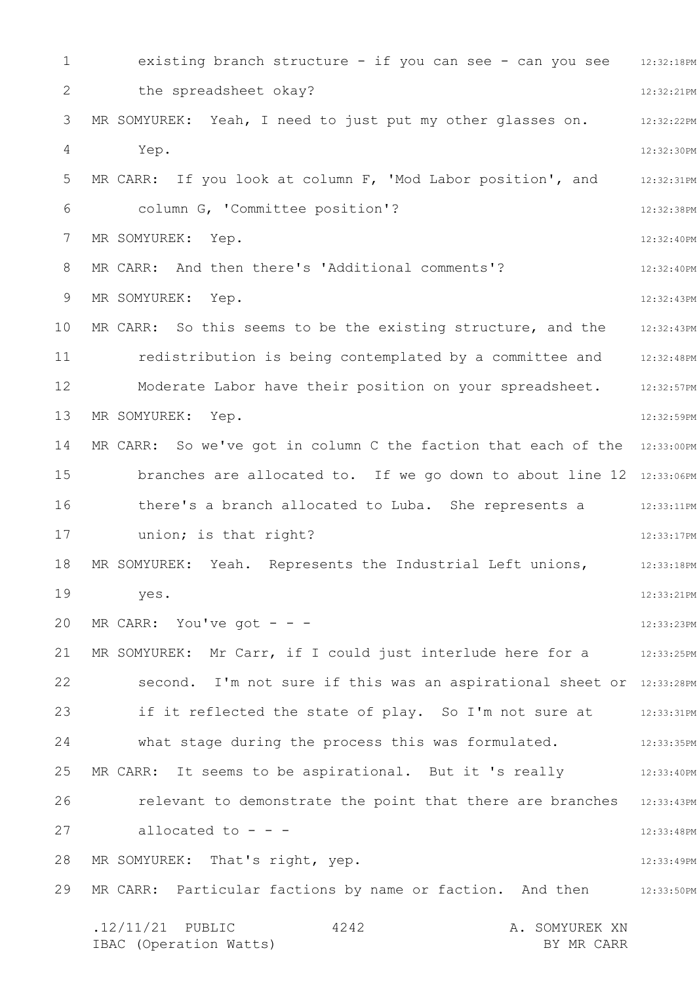1 2 3 4 5 6 7 8 9 10 11 12 13 14 15 16 17 18 19 20 21 22 23 24 25 26 27 28 29 existing branch structure - if you can see - can you see 12:32:18PM 12:32:21PM 12:32:22PM 12:32:30PM 12:32:31PM 12:32:38PM 12:32:40PM 12:32:40PM 12:32:43PM 12:32:43PM 12:32:48PM Moderate Labor have their position on your spreadsheet. 32:32:57PM 12:32:59PM MR CARR: So we've got in column C the faction that each of the  $12:33:00PM$ branches are allocated to. If we go down to about line 12 12:33:06PM there's a branch allocated to Luba. She represents a 12:33:11PM 12:33:17PM 12:33:18PM 12:33:21PM 12:33:23PM MR SOMYUREK: Mr Carr, if I could just interlude here for a stars 12:33:25PM second. I'm not sure if this was an aspirational sheet or 12:33:28PM if it reflected the state of play. So I'm not sure at 12:33:31PM what stage during the process this was formulated. 412:33:35PM 12:33:40PM relevant to demonstrate the point that there are branches 12:33:43PM 12:33:48PM 12:33:49PM MR CARR: Particular factions by name or faction. And then  $12:33:50PM$ .12/11/21 PUBLIC 4242 A. SOMYUREK XN 4242 the spreadsheet okay? MR SOMYUREK: Yeah, I need to just put my other glasses on. Yep. MR CARR: If you look at column F, 'Mod Labor position', and column G, 'Committee position'? MR SOMYUREK: Yep. MR CARR: And then there's 'Additional comments'? MR SOMYUREK: Yep. MR CARR: So this seems to be the existing structure, and the redistribution is being contemplated by a committee and MR SOMYUREK: Yep. union; is that right? MR SOMYUREK: Yeah. Represents the Industrial Left unions, yes. MR CARR: You've got  $-$  -MR CARR: It seems to be aspirational. But it 's really allocated to - - - MR SOMYUREK: That's right, yep.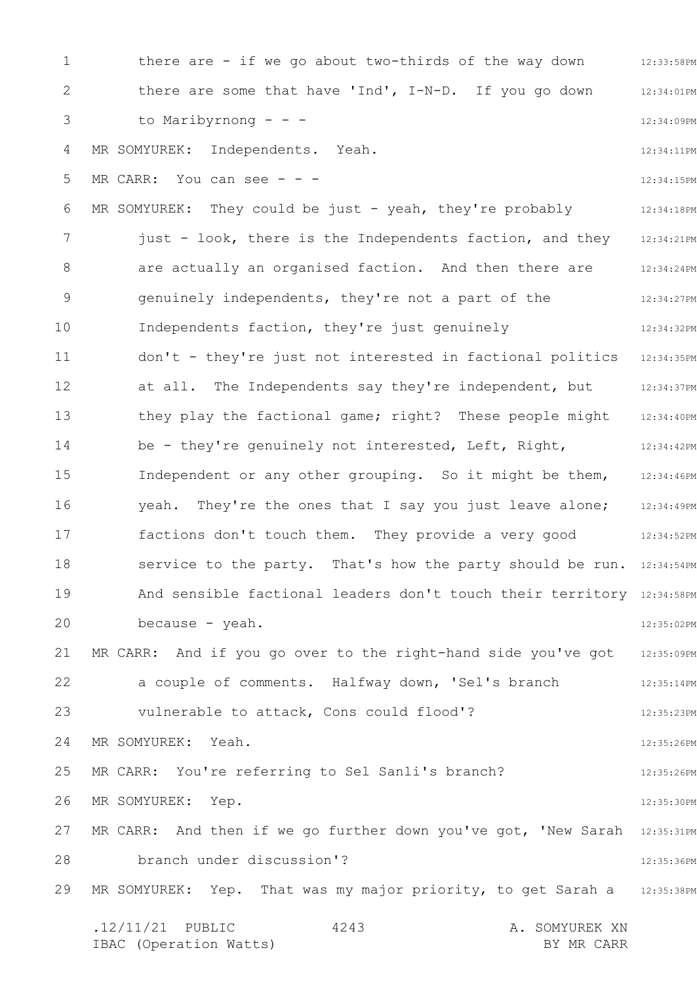1 2 3 4 5 6 7 8 9 10 11 12 13 14 15 16 17 18 19 20 21 22 23 24 25 26 27 28 29 12:33:58PM 12:34:01PM 12:34:09PM 12:34:11PM 12:34:15PM 12:34:18PM 12:34:21PM 12:34:24PM 12:34:27PM 12:34:32PM 12:34:35PM 12:34:37PM 12:34:40PM 12:34:42PM 12:34:46PM yeah. They're the ones that I say you just leave alone; 12:34:49PM 12:34:52PM service to the party. That's how the party should be run. 12:34:54PM And sensible factional leaders don't touch their territory 12:34:58PM 12:35:02PM 12:35:09PM 12:35:14PM 12:35:23PM 12:35:26PM 12:35:26PM 12:35:30PM MR CARR: And then if we go further down you've got, 'New Sarah 12:35:31PM 12:35:36PM MR SOMYUREK: Yep. That was my major priority, to get Sarah a 12:35:38PM .12/11/21 PUBLIC 4243 A. SOMYUREK XN IBAC (Operation Watts) and the set of the BY MR CARR BY MR CARR 4243 there are - if we go about two-thirds of the way down there are some that have 'Ind', I-N-D. If you go down to Maribyrnong - - - MR SOMYUREK: Independents. Yeah. MR CARR: You can see  $-$ MR SOMYUREK: They could be just - yeah, they're probably just - look, there is the Independents faction, and they are actually an organised faction. And then there are genuinely independents, they're not a part of the Independents faction, they're just genuinely don't - they're just not interested in factional politics at all. The Independents say they're independent, but they play the factional game; right? These people might be - they're genuinely not interested, Left, Right, Independent or any other grouping. So it might be them, factions don't touch them. They provide a very good because - yeah. MR CARR: And if you go over to the right-hand side you've got a couple of comments. Halfway down, 'Sel's branch vulnerable to attack, Cons could flood'? MR SOMYUREK: Yeah. MR CARR: You're referring to Sel Sanli's branch? MR SOMYUREK: Yep. branch under discussion'?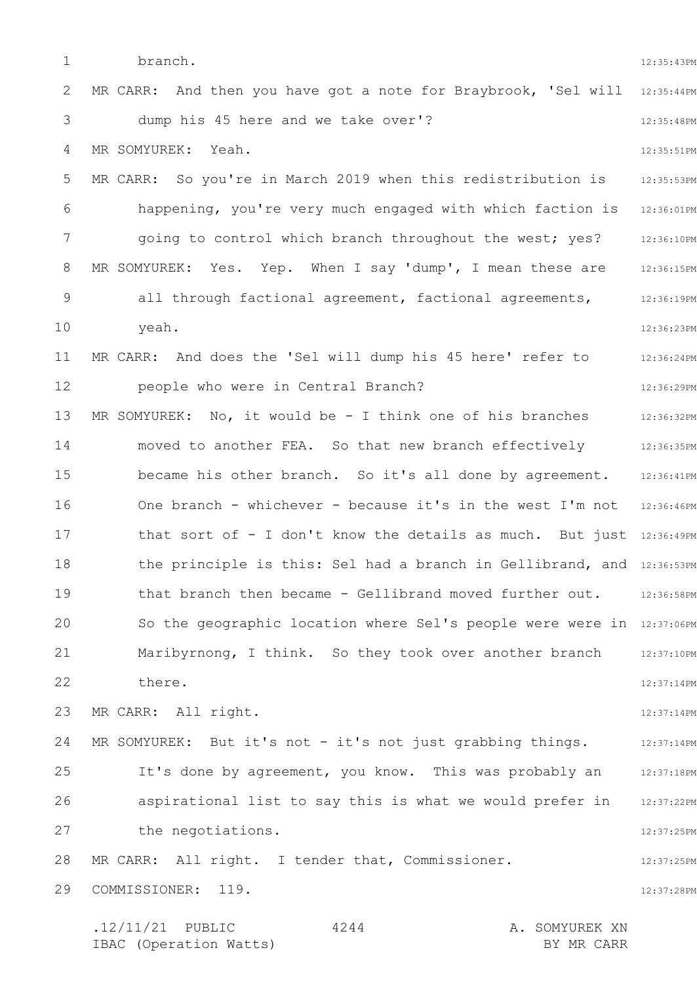1 2 3 4 5 6 7 8 9 10 11 12 13 14 15 16 17 18 19 20 21 22 23 24 25 26 27 28 29 12:35:43PM MR CARR: And then you have got a note for Braybrook, 'Sel will 12:35:44PM 12:35:48PM 12:35:51PM 12:35:53PM 12:36:01PM 12:36:10PM MR SOMYUREK: Yes. Yep. When I say 'dump', I mean these are  $12:36:15PM$ 12:36:19PM 12:36:23PM 12:36:24PM 12:36:29PM 12:36:32PM 12:36:35PM became his other branch. So it's all done by agreement. 12:36:41PM One branch - whichever - because it's in the west I'm not 12:36:46PM that sort of - I don't know the details as much. But just 12:36:49PM the principle is this: Sel had a branch in Gellibrand, and 12:36:53PM that branch then became - Gellibrand moved further out. 12:36:58PM So the geographic location where Sel's people were were in 12:37:06PM 12:37:10PM 12:37:14PM 12:37:14PM 12:37:14PM 12:37:18PM 12:37:22PM 12:37:25PM 12:37:25PM 12:37:28PM .12/11/21 PUBLIC 4244 A. SOMYUREK XN 4244 branch. dump his 45 here and we take over'? MR SOMYUREK: Yeah. MR CARR: So you're in March 2019 when this redistribution is happening, you're very much engaged with which faction is going to control which branch throughout the west; yes? all through factional agreement, factional agreements, yeah. MR CARR: And does the 'Sel will dump his 45 here' refer to people who were in Central Branch? MR SOMYUREK: No, it would be - I think one of his branches moved to another FEA. So that new branch effectively Maribyrnong, I think. So they took over another branch there. MR CARR: All right. MR SOMYUREK: But it's not - it's not just grabbing things. It's done by agreement, you know. This was probably an aspirational list to say this is what we would prefer in the negotiations. MR CARR: All right. I tender that, Commissioner. COMMISSIONER: 119.

IBAC (Operation Watts) BY MR CARR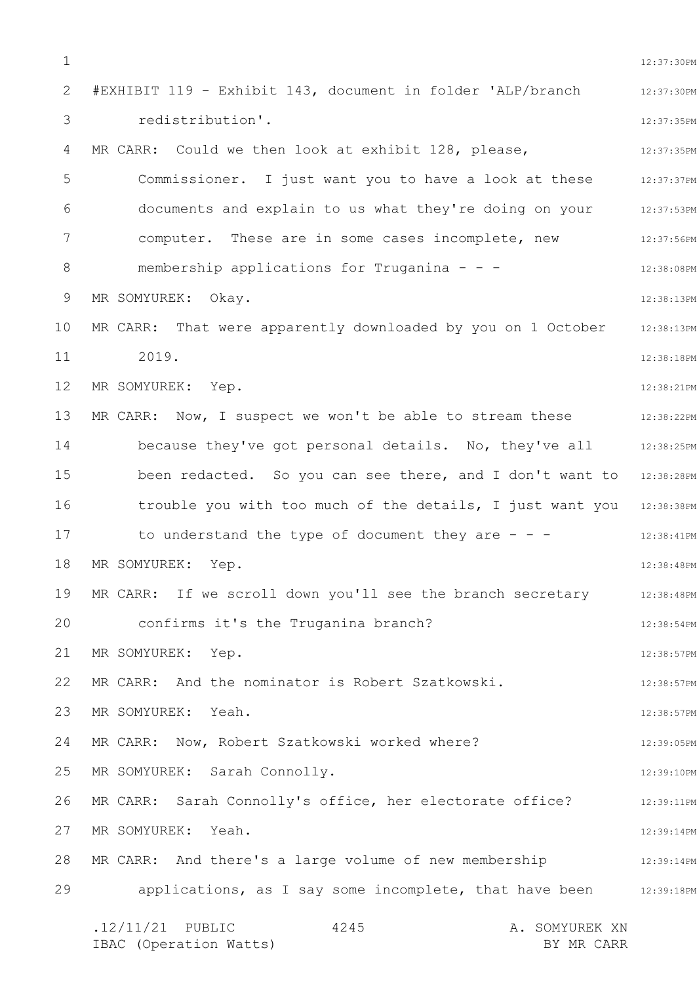1 2 3 4 5 6 7 8 9 10 11 12 13 14 15 16 17 18 19 20 21 22 23 24 25 26 27 28 29 12:37:30PM 12:37:30PM 12:37:35PM 12:37:35PM Commissioner. I just want you to have a look at these 12:37:37PM 12:37:53PM 12:37:56PM 12:38:08PM 12:38:13PM 12:38:13PM 12:38:18PM 12:38:21PM 12:38:22PM 12:38:25PM been redacted. So you can see there, and I don't want to 12:38:28PM trouble you with too much of the details, I just want you 12:38:38PM 12:38:41PM 12:38:48PM 12:38:48PM 12:38:54PM 12:38:57PM 12:38:57PM 12:38:57PM 12:39:05PM 12:39:10PM 12:39:11PM 12:39:14PM 12:39:14PM applications, as I say some incomplete, that have been 12:39:18PM .12/11/21 PUBLIC 4245 A. SOMYUREK XN IBAC (Operation Watts) BY MR CARR 4245 #EXHIBIT 119 - Exhibit 143, document in folder 'ALP/branch redistribution'. MR CARR: Could we then look at exhibit 128, please, documents and explain to us what they're doing on your computer. These are in some cases incomplete, new membership applications for Truganina - - - MR SOMYUREK: Okay. MR CARR: That were apparently downloaded by you on 1 October 2019. MR SOMYUREK: Yep. MR CARR: Now, I suspect we won't be able to stream these because they've got personal details. No, they've all to understand the type of document they are  $-$  -MR SOMYUREK: Yep. MR CARR: If we scroll down you'll see the branch secretary confirms it's the Truganina branch? MR SOMYUREK: Yep. MR CARR: And the nominator is Robert Szatkowski. MR SOMYUREK: Yeah. MR CARR: Now, Robert Szatkowski worked where? MR SOMYUREK: Sarah Connolly. MR CARR: Sarah Connolly's office, her electorate office? MR SOMYUREK: Yeah. MR CARR: And there's a large volume of new membership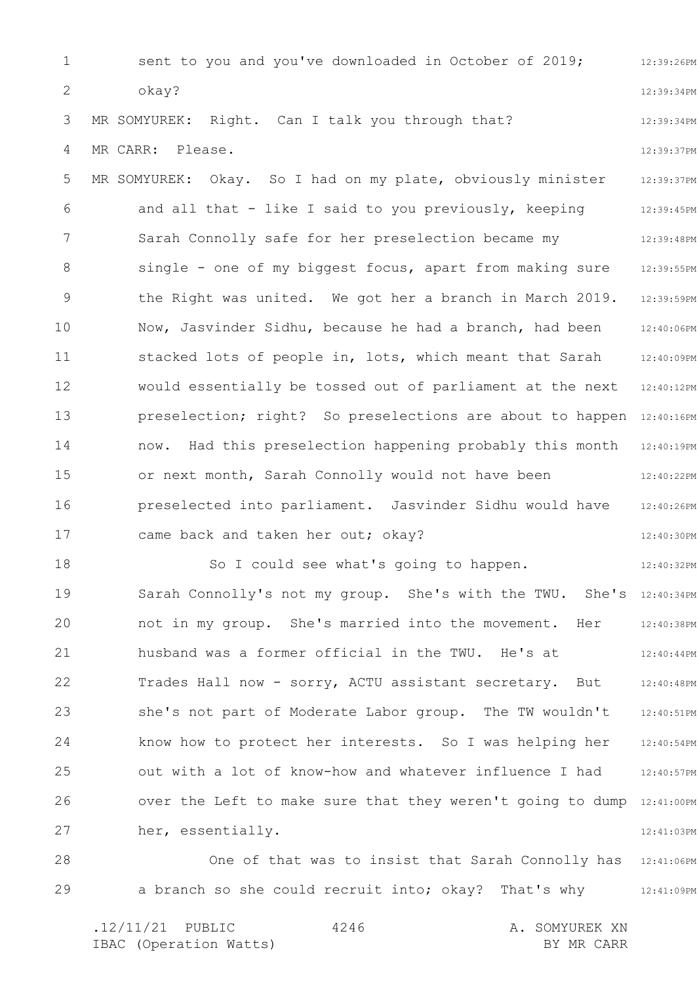1 2 3 4 5 6 7 8 9 10 11 12 13 14 15 16 17 18 19 20 21 22 23 24 25 26 27 28 12:39:26PM 12:39:34PM 12:39:34PM 12:39:37PM 12:39:37PM 12:39:45PM 12:39:48PM 12:39:55PM 12:39:59PM 12:40:06PM 12:40:09PM 12:40:12PM preselection; right? So preselections are about to happen 12:40:16PM 12:40:19PM 12:40:22PM 12:40:26PM 12:40:30PM 12:40:32PM Sarah Connolly's not my group. She's with the TWU. She's 12:40:34PM 12:40:38PM 12:40:44PM 12:40:48PM 12:40:51PM 12:40:54PM 12:40:57PM over the Left to make sure that they weren't going to dump 12:41:00PM 12:41:03PM One of that was to insist that Sarah Connolly has 12:41:06PM sent to you and you've downloaded in October of 2019; okay? MR SOMYUREK: Right. Can I talk you through that? MR CARR: Please. MR SOMYUREK: Okay. So I had on my plate, obviously minister and all that - like I said to you previously, keeping Sarah Connolly safe for her preselection became my single - one of my biggest focus, apart from making sure the Right was united. We got her a branch in March 2019. Now, Jasvinder Sidhu, because he had a branch, had been stacked lots of people in, lots, which meant that Sarah would essentially be tossed out of parliament at the next now. Had this preselection happening probably this month or next month, Sarah Connolly would not have been preselected into parliament. Jasvinder Sidhu would have came back and taken her out; okay? So I could see what's going to happen. not in my group. She's married into the movement. Her husband was a former official in the TWU. He's at Trades Hall now - sorry, ACTU assistant secretary. But she's not part of Moderate Labor group. The TW wouldn't know how to protect her interests. So I was helping her out with a lot of know-how and whatever influence I had her, essentially.

29 a branch so she could recruit into; okay? That's why 12:41:09PM

.12/11/21 PUBLIC 4246 A. SOMYUREK XN IBAC (Operation Watts) and the set of the BY MR CARR BY MR CARR 4246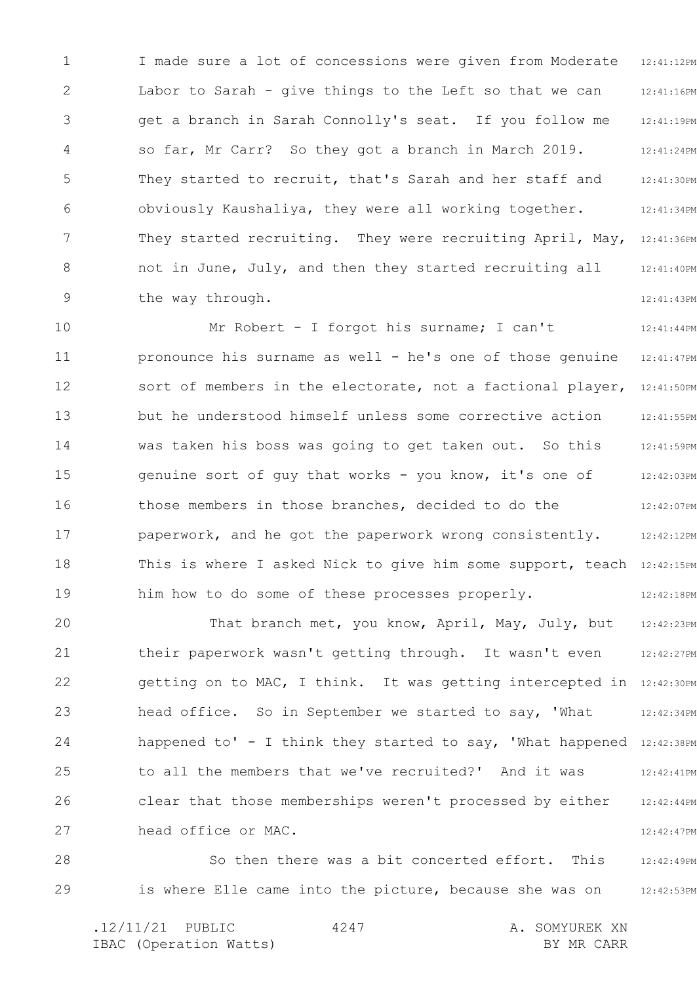1 2 3 4 5 6 7 8 9 12:41:12PM 12:41:16PM 12:41:19PM 12:41:24PM 12:41:30PM 12:41:34PM 12:41:36PM 12:41:40PM 12:41:43PM I made sure a lot of concessions were given from Moderate Labor to Sarah - give things to the Left so that we can get a branch in Sarah Connolly's seat. If you follow me so far, Mr Carr? So they got a branch in March 2019. They started to recruit, that's Sarah and her staff and obviously Kaushaliya, they were all working together. They started recruiting. They were recruiting April, May, not in June, July, and then they started recruiting all the way through.

10 11 12 13 14 15 16 17 18 19 12:41:44PM 12:41:47PM 12:41:50PM 12:41:55PM 12:41:59PM 12:42:03PM 12:42:07PM 12:42:12PM This is where I asked Nick to give him some support, teach 12:42:15PM 12:42:18PM Mr Robert - I forgot his surname; I can't pronounce his surname as well - he's one of those genuine sort of members in the electorate, not a factional player, but he understood himself unless some corrective action was taken his boss was going to get taken out. So this genuine sort of guy that works - you know, it's one of those members in those branches, decided to do the paperwork, and he got the paperwork wrong consistently. him how to do some of these processes properly.

20 21 22 23 24 25 26 27 12:42:23PM 12:42:27PM getting on to MAC, I think. It was getting intercepted in 12:42:30PM 12:42:34PM happened to' - I think they started to say, 'What happened 12:42:38PM 12:42:41PM 12:42:44PM 12:42:47PM That branch met, you know, April, May, July, but their paperwork wasn't getting through. It wasn't even head office. So in September we started to say, 'What to all the members that we've recruited?' And it was clear that those memberships weren't processed by either head office or MAC.

28 29 12:42:49PM 12:42:53PM So then there was a bit concerted effort. This is where Elle came into the picture, because she was on

.12/11/21 PUBLIC 4247 A. SOMYUREK XN IBAC (Operation Watts) and the set of the BY MR CARR BY MR CARR 4247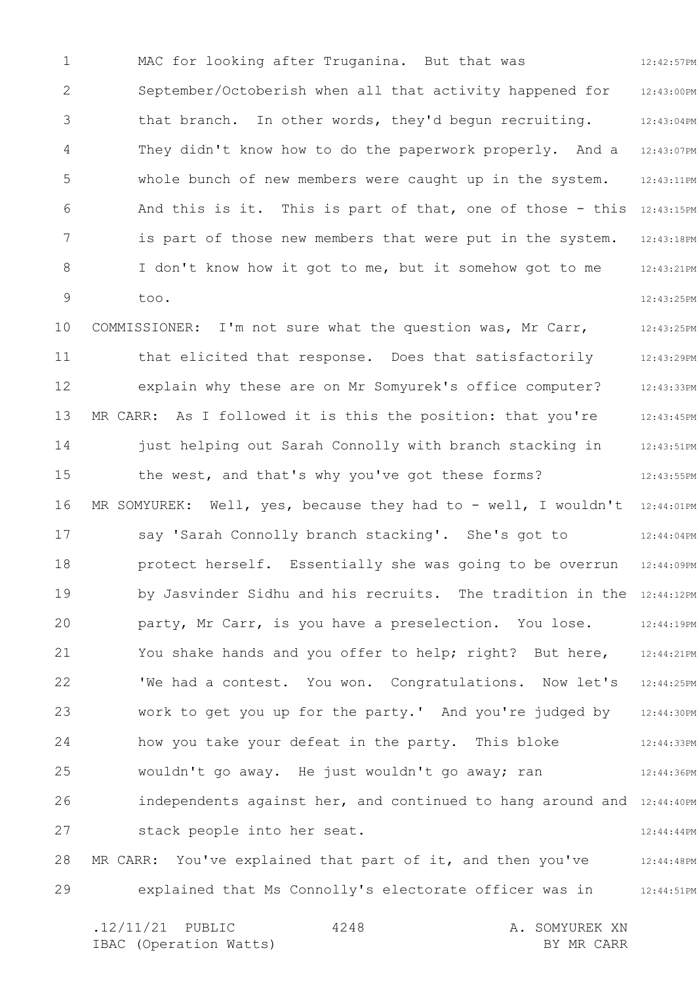1 2 3 4 5 6 7 8 9 12:42:57PM 12:43:00PM 12:43:04PM 12:43:07PM 12:43:11PM And this is it. This is part of that, one of those - this  $12:43:15PM$ 12:43:18PM 12:43:21PM 12:43:25PM MAC for looking after Truganina. But that was September/Octoberish when all that activity happened for that branch. In other words, they'd begun recruiting. They didn't know how to do the paperwork properly. And a whole bunch of new members were caught up in the system. is part of those new members that were put in the system. I don't know how it got to me, but it somehow got to me too.

10 11 12 13 14 15 16 17 18 19 20 21 22 23 24 25 26 27 28 12:43:25PM 12:43:29PM 12:43:33PM 12:43:45PM 12:43:51PM 12:43:55PM MR SOMYUREK: Well, yes, because they had to - well, I wouldn't  $\,$  12:44:01PM  $\,$ 12:44:04PM 12:44:09PM by Jasvinder Sidhu and his recruits. The tradition in the 12:44:12PM 12:44:19PM 12:44:21PM 12:44:25PM 12:44:30PM 12:44:33PM 12:44:36PM independents against her, and continued to hang around and 12:44:40PM 12:44:44PM 12:44:48PM COMMISSIONER: I'm not sure what the question was, Mr Carr, that elicited that response. Does that satisfactorily explain why these are on Mr Somyurek's office computer? MR CARR: As I followed it is this the position: that you're just helping out Sarah Connolly with branch stacking in the west, and that's why you've got these forms? say 'Sarah Connolly branch stacking'. She's got to protect herself. Essentially she was going to be overrun party, Mr Carr, is you have a preselection. You lose. You shake hands and you offer to help; right? But here, 'We had a contest. You won. Congratulations. Now let's work to get you up for the party.' And you're judged by how you take your defeat in the party. This bloke wouldn't go away. He just wouldn't go away; ran stack people into her seat. MR CARR: You've explained that part of it, and then you've

29 12:44:51PM explained that Ms Connolly's electorate officer was in

.12/11/21 PUBLIC 4248 A. SOMYUREK XN IBAC (Operation Watts) and the set of the BY MR CARR BY MR CARR 4248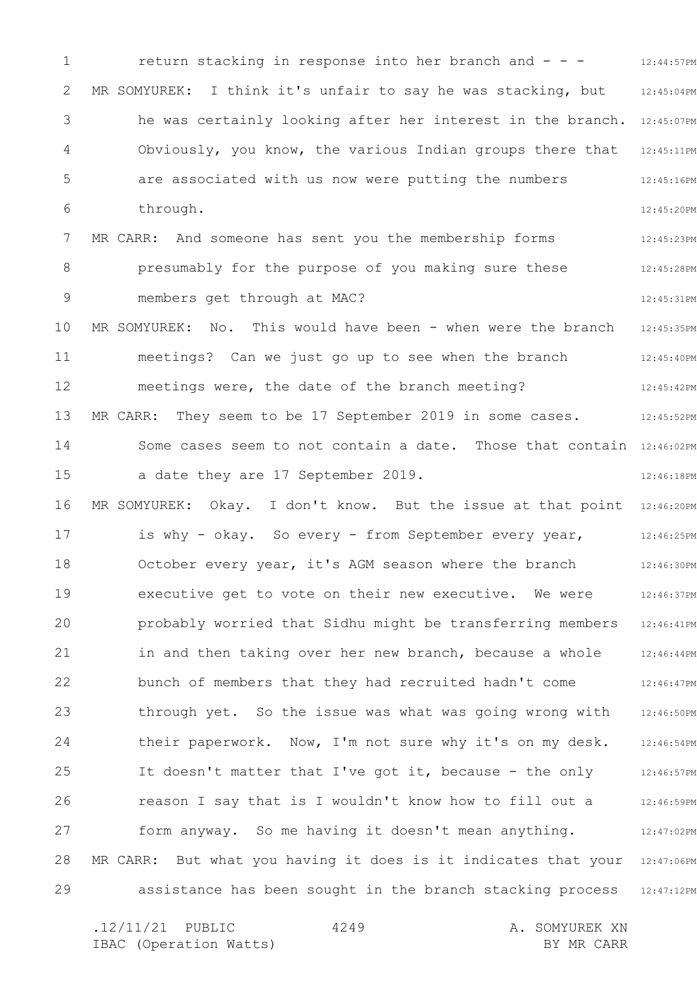1 2 3 4 5 6 7 8 9 10 11 12 13 14 15 16 17 18 19 20 21 22 23 24 25 26 27 28 29 12:44:57PM 12:45:04PM he was certainly looking after her interest in the branch. 12:45:07PM 12:45:11PM 12:45:16PM 12:45:20PM 12:45:23PM 12:45:28PM 12:45:31PM 12:45:35PM 12:45:40PM 12:45:42PM 12:45:52PM Some cases seem to not contain a date. Those that contain 12:46:02PM 12:46:18PM MR SOMYUREK: Okay. I don't know. But the issue at that point 12:46:20PM 12:46:25PM 12:46:30PM 12:46:37PM 12:46:41PM 12:46:44PM 12:46:47PM 12:46:50PM 12:46:54PM 12:46:57PM 12:46:59PM 12:47:02PM MR CARR: But what you having it does is it indicates that your 12:47:06PM assistance has been sought in the branch stacking process 12:47:12PM return stacking in response into her branch and - - - MR SOMYUREK: I think it's unfair to say he was stacking, but Obviously, you know, the various Indian groups there that are associated with us now were putting the numbers through. MR CARR: And someone has sent you the membership forms presumably for the purpose of you making sure these members get through at MAC? MR SOMYUREK: No. This would have been - when were the branch meetings? Can we just go up to see when the branch meetings were, the date of the branch meeting? MR CARR: They seem to be 17 September 2019 in some cases. a date they are 17 September 2019. is why - okay. So every - from September every year, October every year, it's AGM season where the branch executive get to vote on their new executive. We were probably worried that Sidhu might be transferring members in and then taking over her new branch, because a whole bunch of members that they had recruited hadn't come through yet. So the issue was what was going wrong with their paperwork. Now, I'm not sure why it's on my desk. It doesn't matter that I've got it, because - the only reason I say that is I wouldn't know how to fill out a form anyway. So me having it doesn't mean anything.

.12/11/21 PUBLIC 4249 A. SOMYUREK XN IBAC (Operation Watts) and the set of the BY MR CARR BY MR CARR 4249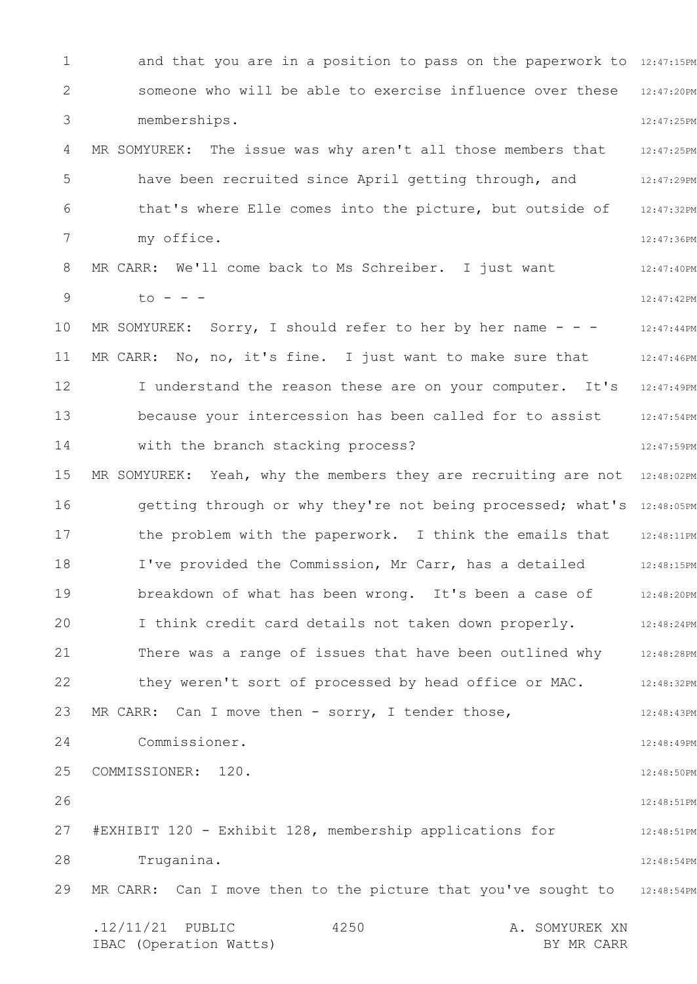1 2 3 4 5 6 7 8 9 10 11 12 13 14 15 16 17 18 19 20 21 22 23 24 25 26 27 28 29 and that you are in a position to pass on the paperwork to 12:47:15PM someone who will be able to exercise influence over these 12:47:20PM 12:47:25PM MR SOMYUREK: The issue was why aren't all those members that 12:47:25PM 12:47:29PM 12:47:32PM 12:47:36PM 12:47:40PM 12:47:42PM 12:47:44PM 12:47:46PM I understand the reason these are on your computer. It's 12:47:49PM 12:47:54PM 12:47:59PM MR SOMYUREK: Yeah, why the members they are recruiting are not 12:48:02PM getting through or why they're not being processed; what's 12:48:05PM 12:48:11PM 12:48:15PM 12:48:20PM 12:48:24PM 12:48:28PM 12:48:32PM 12:48:43PM 12:48:49PM 12:48:50PM 12:48:51PM 12:48:51PM 12:48:54PM MR CARR: Can I move then to the picture that you've sought to 312:48:54PM .12/11/21 PUBLIC 4250 A. SOMYUREK XN IBAC (Operation Watts) and the set of the BY MR CARR BY MR CARR 4250 memberships. have been recruited since April getting through, and that's where Elle comes into the picture, but outside of my office. MR CARR: We'll come back to Ms Schreiber. I just want  $to - - -$ MR SOMYUREK: Sorry, I should refer to her by her name  $- -$ MR CARR: No, no, it's fine. I just want to make sure that because your intercession has been called for to assist with the branch stacking process? the problem with the paperwork. I think the emails that I've provided the Commission, Mr Carr, has a detailed breakdown of what has been wrong. It's been a case of I think credit card details not taken down properly. There was a range of issues that have been outlined why they weren't sort of processed by head office or MAC. MR CARR: Can I move then - sorry, I tender those, Commissioner. COMMISSIONER: 120. #EXHIBIT 120 - Exhibit 128, membership applications for Truganina.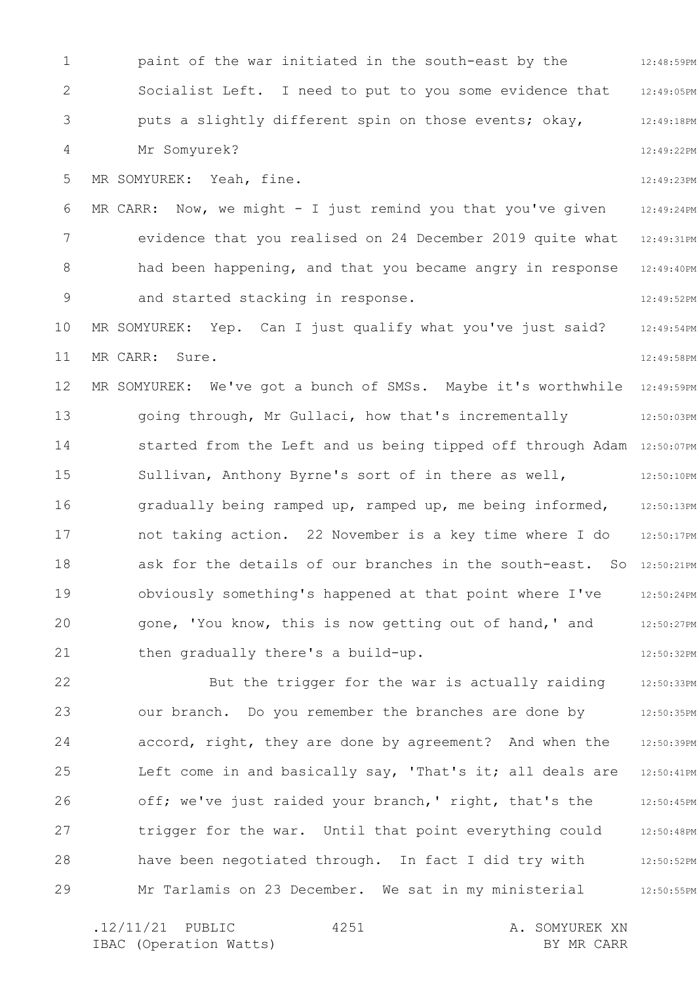1 2 3 4 5 6 7 8 9 10 11 12 13 14 15 16 17 18 19 20 21 22 23 24 25 12:48:59PM 12:49:05PM 12:49:18PM 12:49:22PM 12:49:23PM 12:49:24PM 12:49:31PM 12:49:40PM 12:49:52PM 12:49:54PM 12:49:58PM 12:49:59PM 12:50:03PM started from the Left and us being tipped off through Adam 12:50:07PM 12:50:10PM 12:50:13PM 12:50:17PM ask for the details of our branches in the south-east. So 12:50:21PM 12:50:24PM 12:50:27PM 12:50:32PM 12:50:33PM 12:50:35PM 12:50:39PM 12:50:41PM paint of the war initiated in the south-east by the Socialist Left. I need to put to you some evidence that puts a slightly different spin on those events; okay, Mr Somyurek? MR SOMYUREK: Yeah, fine. MR CARR: Now, we might - I just remind you that you've given evidence that you realised on 24 December 2019 quite what had been happening, and that you became angry in response and started stacking in response. MR SOMYUREK: Yep. Can I just qualify what you've just said? MR CARR: Sure. MR SOMYUREK: We've got a bunch of SMSs. Maybe it's worthwhile going through, Mr Gullaci, how that's incrementally Sullivan, Anthony Byrne's sort of in there as well, gradually being ramped up, ramped up, me being informed, not taking action. 22 November is a key time where I do obviously something's happened at that point where I've gone, 'You know, this is now getting out of hand,' and then gradually there's a build-up. But the trigger for the war is actually raiding our branch. Do you remember the branches are done by accord, right, they are done by agreement? And when the Left come in and basically say, 'That's it; all deals are

26 27 28 29 12:50:45PM 12:50:48PM 12:50:52PM 12:50:55PM off; we've just raided your branch,' right, that's the trigger for the war. Until that point everything could have been negotiated through. In fact I did try with Mr Tarlamis on 23 December. We sat in my ministerial

4251

.12/11/21 PUBLIC 4251 A. SOMYUREK XN IBAC (Operation Watts) and the set of the BY MR CARR BY MR CARR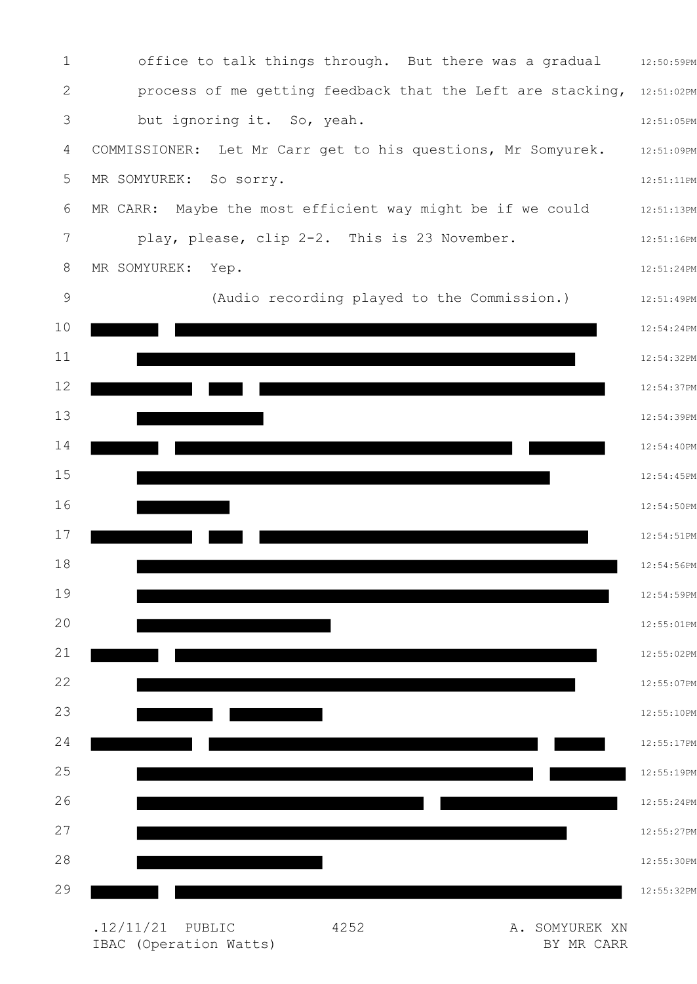

.12/11/21 PUBLIC 4252 A. SOMYUREK XN IBAC (Operation Watts) BY MR CARR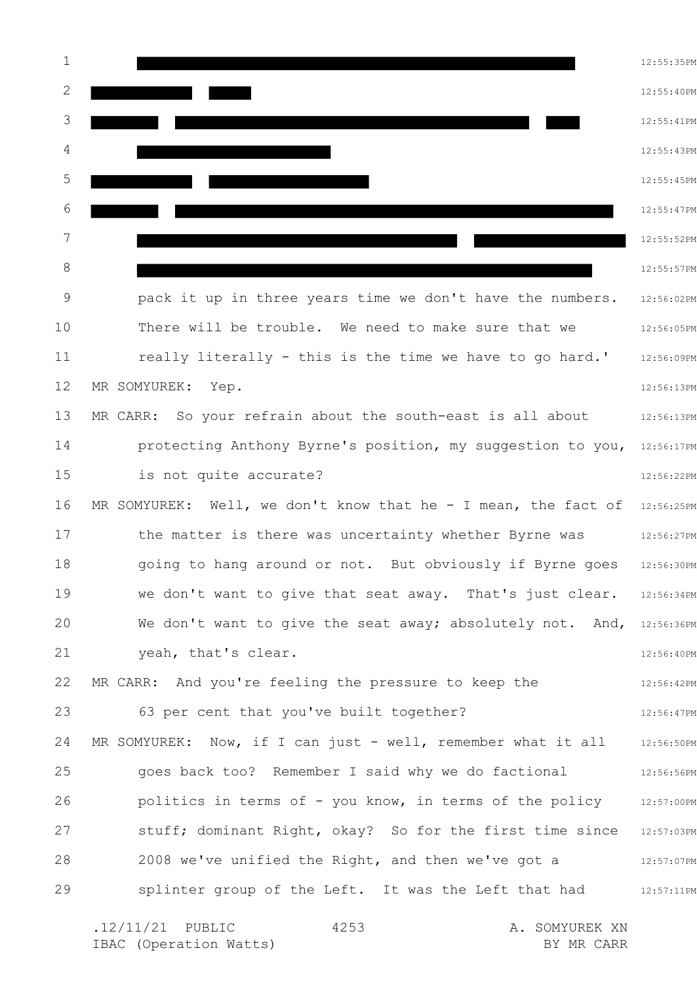1 2 3 4 5 6 7 8 9 10 11 12 13 14 15 16 17 18 19 20 21 22 23 24 25 26 27 28 29 12:55:35PM 12:55:40PM 12:55:41PM 12:55:43PM 12:55:45PM 12:55:47PM 12:55:52PM 12:55:57PM 12:56:02PM 12:56:05PM 12:56:09PM 12:56:13PM 12:56:13PM protecting Anthony Byrne's position, my suggestion to you, 12:56:17PM 12:56:22PM MR SOMYUREK: Well, we don't know that he - I mean, the fact of  $12:56:25PM$ 12:56:27PM 12:56:30PM 12:56:34PM We don't want to give the seat away; absolutely not. And, 12:56:36PM 12:56:40PM 12:56:42PM 12:56:47PM MR SOMYUREK: Now, if I can just - well, remember what it all alls6:50PM 12:56:56PM 12:57:00PM stuff; dominant Right, okay? So for the first time since 12:57:03PM 12:57:07PM 12:57:11PM .12/11/21 PUBLIC 4253 A. SOMYUREK XN 4253 pack it up in three years time we don't have the numbers. There will be trouble. We need to make sure that we really literally - this is the time we have to go hard.' MR SOMYUREK: Yep. MR CARR: So your refrain about the south-east is all about is not quite accurate? the matter is there was uncertainty whether Byrne was going to hang around or not. But obviously if Byrne goes we don't want to give that seat away. That's just clear. yeah, that's clear. MR CARR: And you're feeling the pressure to keep the 63 per cent that you've built together? goes back too? Remember I said why we do factional politics in terms of - you know, in terms of the policy 2008 we've unified the Right, and then we've got a splinter group of the Left. It was the Left that had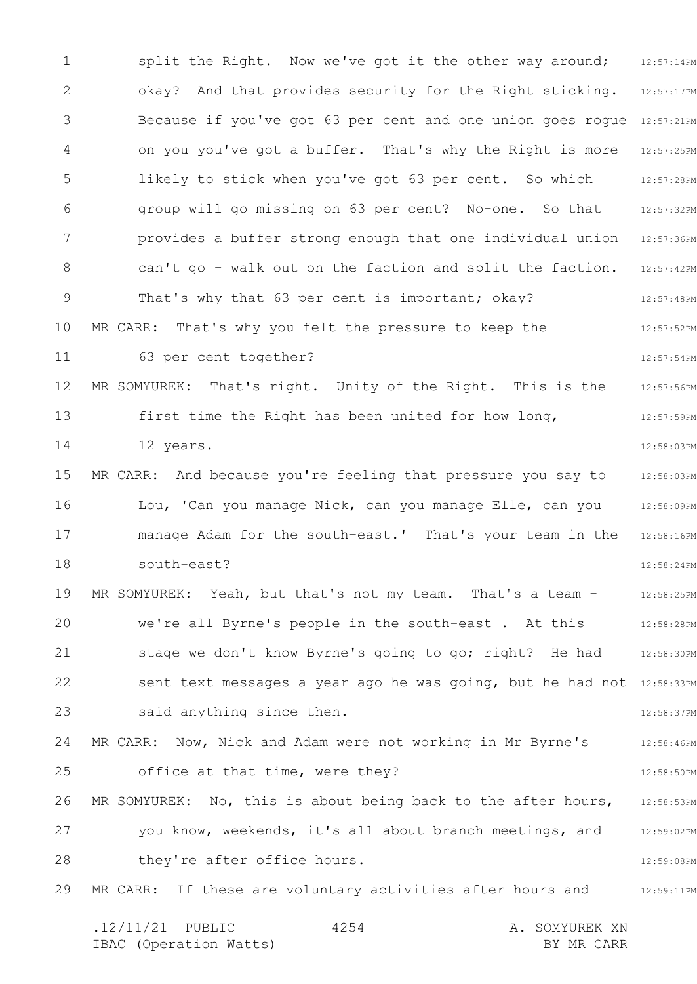1 2 3 4 5 6 7 8 9 10 11 12 13 14 15 16 17 18 19 20 21 22 23 24 25 26 27 28 29 12:57:14PM 12:57:17PM Because if you've got 63 per cent and one union goes rogue 12:57:21PM 12:57:25PM 12:57:28PM 12:57:32PM 12:57:36PM 12:57:42PM 12:57:48PM 12:57:52PM 12:57:54PM 12:57:56PM 12:57:59PM 12:58:03PM 12:58:03PM 12:58:09PM 12:58:16PM 12:58:24PM 12:58:25PM 12:58:28PM 12:58:30PM sent text messages a year ago he was going, but he had not 12:58:33PM 12:58:37PM 12:58:46PM 12:58:50PM 12:58:53PM 12:59:02PM 12:59:08PM 12:59:11PM .12/11/21 PUBLIC 4254 A. SOMYUREK XN 4254 split the Right. Now we've got it the other way around; okay? And that provides security for the Right sticking. on you you've got a buffer. That's why the Right is more likely to stick when you've got 63 per cent. So which group will go missing on 63 per cent? No-one. So that provides a buffer strong enough that one individual union can't go - walk out on the faction and split the faction. That's why that 63 per cent is important; okay? MR CARR: That's why you felt the pressure to keep the 63 per cent together? MR SOMYUREK: That's right. Unity of the Right. This is the first time the Right has been united for how long, 12 years. MR CARR: And because you're feeling that pressure you say to Lou, 'Can you manage Nick, can you manage Elle, can you manage Adam for the south-east.' That's your team in the south-east? MR SOMYUREK: Yeah, but that's not my team. That's a team we're all Byrne's people in the south-east . At this stage we don't know Byrne's going to go; right? He had said anything since then. MR CARR: Now, Nick and Adam were not working in Mr Byrne's office at that time, were they? MR SOMYUREK: No, this is about being back to the after hours, you know, weekends, it's all about branch meetings, and they're after office hours. MR CARR: If these are voluntary activities after hours and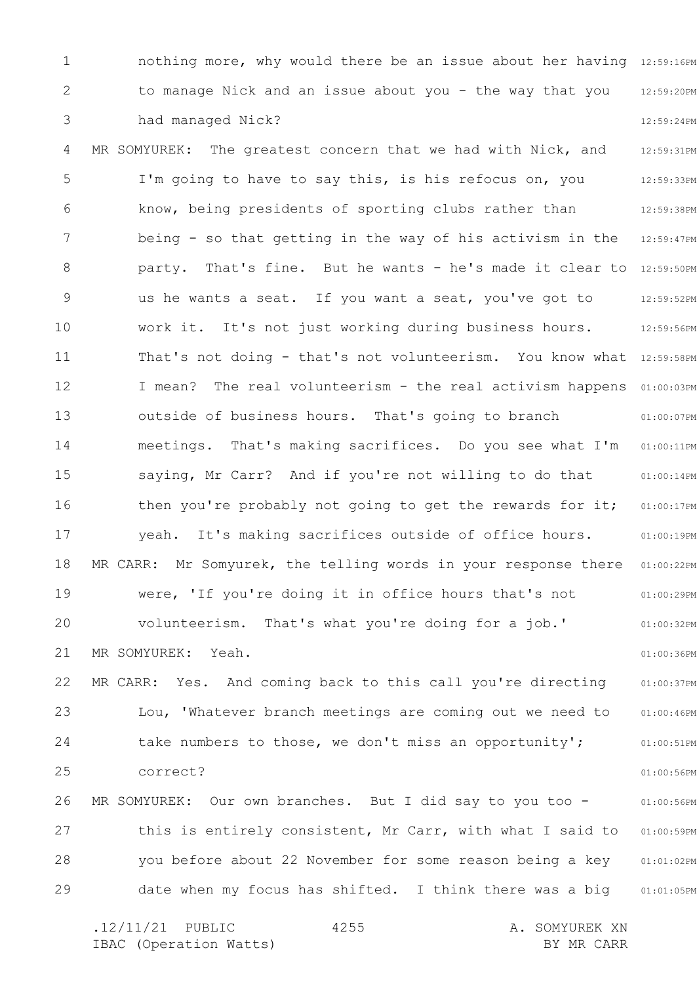1 2 3 4 5 6 7 8 9 10 11 12 13 14 15 16 17 18 19 20 21 22 23 24 25 26 27 28 29 nothing more, why would there be an issue about her having 12:59:16PM 12:59:20PM 12:59:24PM 12:59:31PM 12:59:33PM 12:59:38PM 12:59:47PM party. That's fine. But he wants - he's made it clear to 12:59:50PM 12:59:52PM 12:59:56PM That's not doing - that's not volunteerism. You know what 12:59:58PM I mean? The real volunteerism - the real activism happens 01:00:03PM 01:00:07PM 01:00:11PM 01:00:14PM 01:00:17PM 01:00:19PM 01:00:22PM 01:00:29PM 01:00:32PM 01:00:36PM 01:00:37PM 01:00:46PM 01:00:51PM 01:00:56PM 01:00:56PM 01:00:59PM 01:01:02PM 01:01:05PM .12/11/21 PUBLIC 4255 A. SOMYUREK XN 4255 to manage Nick and an issue about you - the way that you had managed Nick? MR SOMYUREK: The greatest concern that we had with Nick, and I'm going to have to say this, is his refocus on, you know, being presidents of sporting clubs rather than being - so that getting in the way of his activism in the us he wants a seat. If you want a seat, you've got to work it. It's not just working during business hours. outside of business hours. That's going to branch meetings. That's making sacrifices. Do you see what I'm saying, Mr Carr? And if you're not willing to do that then you're probably not going to get the rewards for it; yeah. It's making sacrifices outside of office hours. MR CARR: Mr Somyurek, the telling words in your response there were, 'If you're doing it in office hours that's not volunteerism. That's what you're doing for a job.' MR SOMYUREK: Yeah. MR CARR: Yes. And coming back to this call you're directing Lou, 'Whatever branch meetings are coming out we need to take numbers to those, we don't miss an opportunity'; correct? MR SOMYUREK: Our own branches. But I did say to you too this is entirely consistent, Mr Carr, with what I said to you before about 22 November for some reason being a key date when my focus has shifted. I think there was a big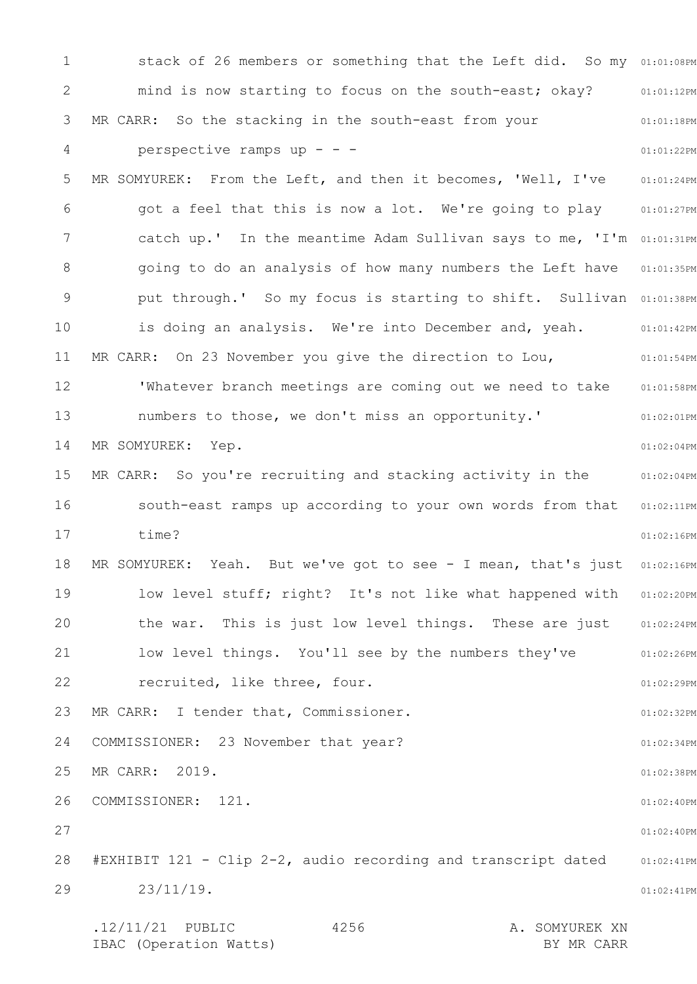1 2 3 4 5 6 7 8 9 10 11 12 13 14 15 16 17 18 19 20 21 22 23 24 25 26 27 28 29 stack of 26 members or something that the Left did. So my 01:01:08PM 01:01:12PM 01:01:18PM 01:01:22PM 01:01:24PM 01:01:27PM catch up.' In the meantime Adam Sullivan says to me, 'I'm 01:01:31PM 01:01:35PM put through.' So my focus is starting to shift. Sullivan 01:01:38PM 01:01:42PM 01:01:54PM 01:01:58PM 01:02:01PM 01:02:04PM MR CARR: So you're recruiting and stacking activity in the  $101:02:04$ PM south-east ramps up according to your own words from that 01:02:11PM 01:02:16PM MR SOMYUREK: Yeah. But we've got to see - I mean, that's just 01:02:16PM 01:02:20PM 01:02:24PM 01:02:26PM 01:02:29PM 01:02:32PM 01:02:34PM 01:02:38PM 01:02:40PM 01:02:40PM 01:02:41PM 01:02:41PM .12/11/21 PUBLIC 4256 A. SOMYUREK XN 4256 mind is now starting to focus on the south-east; okay? MR CARR: So the stacking in the south-east from your perspective ramps up - - - MR SOMYUREK: From the Left, and then it becomes, 'Well, I've got a feel that this is now a lot. We're going to play going to do an analysis of how many numbers the Left have is doing an analysis. We're into December and, yeah. MR CARR: On 23 November you give the direction to Lou, 'Whatever branch meetings are coming out we need to take numbers to those, we don't miss an opportunity.' MR SOMYUREK: Yep. time? low level stuff; right? It's not like what happened with the war. This is just low level things. These are just low level things. You'll see by the numbers they've recruited, like three, four. MR CARR: I tender that, Commissioner. COMMISSIONER: 23 November that year? MR CARR: 2019. COMMISSIONER: 121. #EXHIBIT 121 - Clip 2-2, audio recording and transcript dated 23/11/19.